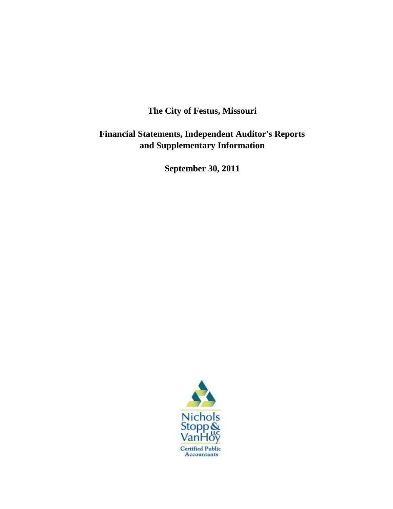# **The City of Festus, Missouri**

# **Financial Statements, Independent Auditor's Reports and Supplementary Information**

**September 30, 2011**

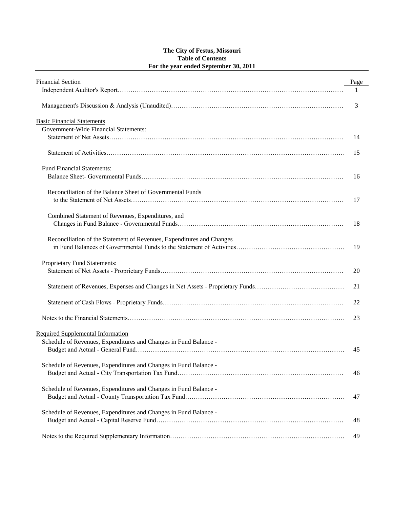### **The City of Festus, Missouri Table of Contents For the year ended September 30, 2011**

| <b>Financial Section</b>                                                                                     | Page |
|--------------------------------------------------------------------------------------------------------------|------|
|                                                                                                              |      |
|                                                                                                              | 3    |
| <b>Basic Financial Statements</b>                                                                            |      |
| Government-Wide Financial Statements:                                                                        |      |
|                                                                                                              | -14  |
|                                                                                                              |      |
| <b>Fund Financial Statements:</b>                                                                            |      |
|                                                                                                              | -16  |
| Reconciliation of the Balance Sheet of Governmental Funds                                                    |      |
|                                                                                                              | -17  |
|                                                                                                              |      |
| Combined Statement of Revenues, Expenditures, and                                                            | -18  |
|                                                                                                              |      |
| Reconciliation of the Statement of Revenues, Expenditures and Changes                                        |      |
|                                                                                                              |      |
| Proprietary Fund Statements:                                                                                 |      |
|                                                                                                              | 20   |
|                                                                                                              | -21  |
|                                                                                                              |      |
|                                                                                                              | 22   |
|                                                                                                              | 23   |
|                                                                                                              |      |
| <b>Required Supplemental Information</b><br>Schedule of Revenues, Expenditures and Changes in Fund Balance - |      |
|                                                                                                              | -45  |
|                                                                                                              |      |
| Schedule of Revenues, Expenditures and Changes in Fund Balance -                                             | 46   |
|                                                                                                              |      |
| Schedule of Revenues, Expenditures and Changes in Fund Balance -                                             |      |
|                                                                                                              | 47   |
| Schedule of Revenues, Expenditures and Changes in Fund Balance -                                             |      |
|                                                                                                              | 48   |
|                                                                                                              | 49   |
|                                                                                                              |      |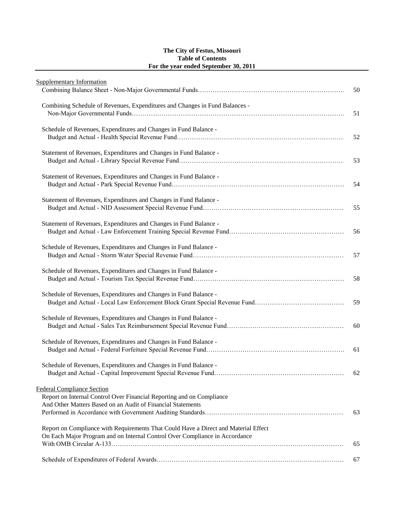### **The City of Festus, Missouri Table of Contents For the year ended September 30, 2011**

| Supplementary Information                                                           | 50 |
|-------------------------------------------------------------------------------------|----|
|                                                                                     |    |
| Combining Schedule of Revenues, Expenditures and Changes in Fund Balances -         | 51 |
|                                                                                     |    |
| Schedule of Revenues, Expenditures and Changes in Fund Balance -                    | 52 |
|                                                                                     |    |
| Statement of Revenues, Expenditures and Changes in Fund Balance -                   |    |
|                                                                                     | 53 |
| Statement of Revenues, Expenditures and Changes in Fund Balance -                   |    |
|                                                                                     | 54 |
| Statement of Revenues, Expenditures and Changes in Fund Balance -                   |    |
|                                                                                     | 55 |
|                                                                                     |    |
| Statement of Revenues, Expenditures and Changes in Fund Balance -                   | 56 |
|                                                                                     |    |
| Schedule of Revenues, Expenditures and Changes in Fund Balance -                    |    |
|                                                                                     | 57 |
| Schedule of Revenues, Expenditures and Changes in Fund Balance -                    |    |
|                                                                                     | 58 |
| Schedule of Revenues, Expenditures and Changes in Fund Balance -                    |    |
|                                                                                     | 59 |
|                                                                                     |    |
| Schedule of Revenues, Expenditures and Changes in Fund Balance -                    | 60 |
|                                                                                     |    |
| Schedule of Revenues, Expenditures and Changes in Fund Balance -                    |    |
|                                                                                     | 61 |
| Schedule of Revenues, Expenditures and Changes in Fund Balance -                    |    |
|                                                                                     | 62 |
| <b>Federal Compliance Section</b>                                                   |    |
| Report on Internal Control Over Financial Reporting and on Compliance               |    |
| And Other Matters Based on an Audit of Financial Statements                         |    |
|                                                                                     | 63 |
| Report on Compliance with Requirements That Could Have a Direct and Material Effect |    |
| On Each Major Program and on Internal Control Over Compliance in Accordance         |    |
|                                                                                     | 65 |
|                                                                                     | 67 |
|                                                                                     |    |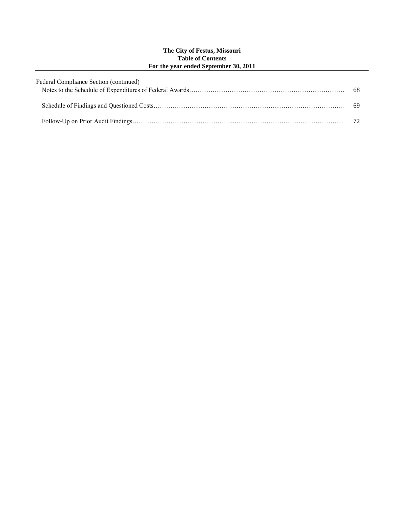### **The City of Festus, Missouri Table of Contents For the year ended September 30, 2011**

| Federal Compliance Section (continued) |     |
|----------------------------------------|-----|
|                                        |     |
|                                        |     |
|                                        | -69 |
|                                        |     |
|                                        |     |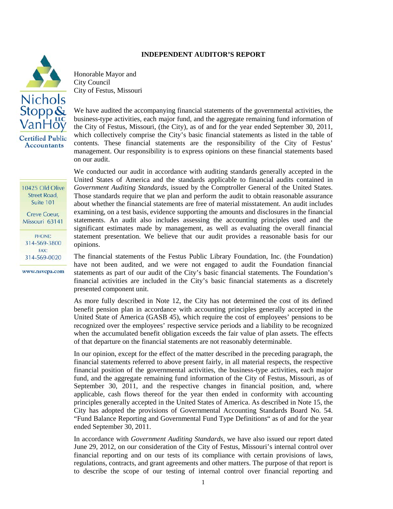### **INDEPENDENT AUDITOR'S REPORT**



10425 Old Olive Street Road, Suite 101

**Creve Coeur.** Missouri 63141

PHONE: 314-569-3800 FAX: 314-569-0020

www.nsvcpa.com

Honorable Mayor and City Council City of Festus, Missouri

We have audited the accompanying financial statements of the governmental activities, the business-type activities, each major fund, and the aggregate remaining fund information of the City of Festus, Missouri, (the City), as of and for the year ended September 30, 2011, which collectively comprise the City's basic financial statements as listed in the table of contents. These financial statements are the responsibility of the City of Festus' management. Our responsibility is to express opinions on these financial statements based on our audit.

We conducted our audit in accordance with auditing standards generally accepted in the United States of America and the standards applicable to financial audits contained in *Government Auditing Standards*, issued by the Comptroller General of the United States. Those standards require that we plan and perform the audit to obtain reasonable assurance about whether the financial statements are free of material misstatement. An audit includes examining, on a test basis, evidence supporting the amounts and disclosures in the financial statements. An audit also includes assessing the accounting principles used and the significant estimates made by management, as well as evaluating the overall financial statement presentation. We believe that our audit provides a reasonable basis for our opinions.

The financial statements of the Festus Public Library Foundation, Inc. (the Foundation) have not been audited, and we were not engaged to audit the Foundation financial statements as part of our audit of the City's basic financial statements. The Foundation's financial activities are included in the City's basic financial statements as a discretely presented component unit.

As more fully described in Note 12, the City has not determined the cost of its defined benefit pension plan in accordance with accounting principles generally accepted in the United State of America (GASB 45), which require the cost of employees' pensions to be recognized over the employees' respective service periods and a liability to be recognized when the accumulated benefit obligation exceeds the fair value of plan assets. The effects of that departure on the financial statements are not reasonably determinable.

In our opinion, except for the effect of the matter described in the preceding paragraph, the financial statements referred to above present fairly, in all material respects, the respective financial position of the governmental activities, the business-type activities, each major fund, and the aggregate remaining fund information of the City of Festus, Missouri, as of September 30, 2011, and the respective changes in financial position, and, where applicable, cash flows thereof for the year then ended in conformity with accounting principles generally accepted in the United States of America. As described in Note 15, the City has adopted the provisions of Governmental Accounting Standards Board No. 54. "Fund Balance Reporting and Governmental Fund Type Definitions" as of and for the year ended September 30, 2011.

In accordance with *Government Auditing Standards*, we have also issued our report dated June 29, 2012, on our consideration of the City of Festus, Missouri's internal control over financial reporting and on our tests of its compliance with certain provisions of laws, regulations, contracts, and grant agreements and other matters. The purpose of that report is to describe the scope of our testing of internal control over financial reporting and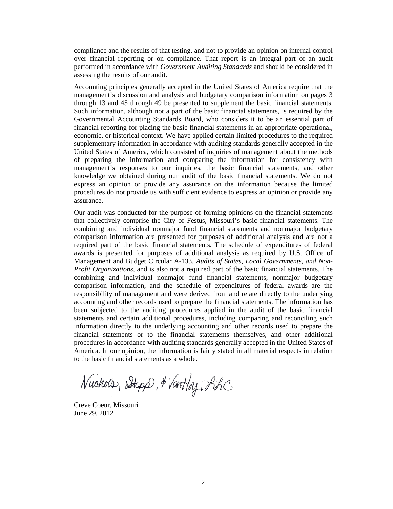compliance and the results of that testing, and not to provide an opinion on internal control over financial reporting or on compliance. That report is an integral part of an audit performed in accordance with *Government Auditing Standards* and should be considered in assessing the results of our audit.

Accounting principles generally accepted in the United States of America require that the management's discussion and analysis and budgetary comparison information on pages 3 through 13 and 45 through 49 be presented to supplement the basic financial statements. Such information, although not a part of the basic financial statements, is required by the Governmental Accounting Standards Board, who considers it to be an essential part of financial reporting for placing the basic financial statements in an appropriate operational, economic, or historical context. We have applied certain limited procedures to the required supplementary information in accordance with auditing standards generally accepted in the United States of America, which consisted of inquiries of management about the methods of preparing the information and comparing the information for consistency with management's responses to our inquiries, the basic financial statements, and other knowledge we obtained during our audit of the basic financial statements. We do not express an opinion or provide any assurance on the information because the limited procedures do not provide us with sufficient evidence to express an opinion or provide any assurance.

Our audit was conducted for the purpose of forming opinions on the financial statements that collectively comprise the City of Festus, Missouri's basic financial statements. The combining and individual nonmajor fund financial statements and nonmajor budgetary comparison information are presented for purposes of additional analysis and are not a required part of the basic financial statements. The schedule of expenditures of federal awards is presented for purposes of additional analysis as required by U.S. Office of Management and Budget Circular A-133, *Audits of States, Local Governments, and Non-Profit Organizations*, and is also not a required part of the basic financial statements. The combining and individual nonmajor fund financial statements, nonmajor budgetary comparison information, and the schedule of expenditures of federal awards are the responsibility of management and were derived from and relate directly to the underlying accounting and other records used to prepare the financial statements. The information has been subjected to the auditing procedures applied in the audit of the basic financial statements and certain additional procedures, including comparing and reconciling such information directly to the underlying accounting and other records used to prepare the financial statements or to the financial statements themselves, and other additional procedures in accordance with auditing standards generally accepted in the United States of America. In our opinion, the information is fairly stated in all material respects in relation to the basic financial statements as a whole.

Nuchols, Stopp, & Vantlay, SLC

Creve Coeur, Missouri June 29, 2012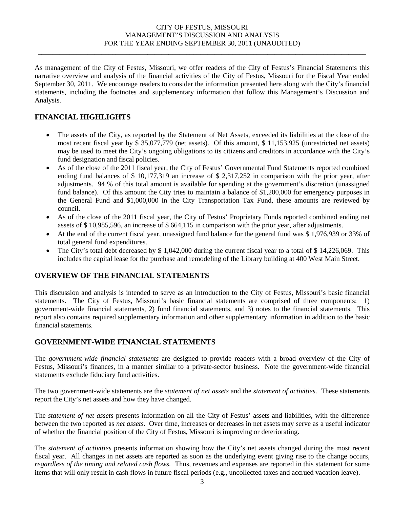As management of the City of Festus, Missouri, we offer readers of the City of Festus's Financial Statements this narrative overview and analysis of the financial activities of the City of Festus, Missouri for the Fiscal Year ended September 30, 2011. We encourage readers to consider the information presented here along with the City's financial statements, including the footnotes and supplementary information that follow this Management's Discussion and Analysis.

# **FINANCIAL HIGHLIGHTS**

- The assets of the City, as reported by the Statement of Net Assets, exceeded its liabilities at the close of the most recent fiscal year by \$ 35,077,779 (net assets). Of this amount, \$ 11,153,925 (unrestricted net assets) may be used to meet the City's ongoing obligations to its citizens and creditors in accordance with the City's fund designation and fiscal policies.
- As of the close of the 2011 fiscal year, the City of Festus' Governmental Fund Statements reported combined ending fund balances of \$ 10,177,319 an increase of \$ 2,317,252 in comparison with the prior year, after adjustments. 94 % of this total amount is available for spending at the government's discretion (unassigned fund balance). Of this amount the City tries to maintain a balance of \$1,200,000 for emergency purposes in the General Fund and \$1,000,000 in the City Transportation Tax Fund, these amounts are reviewed by council.
- As of the close of the 2011 fiscal year, the City of Festus' Proprietary Funds reported combined ending net assets of \$ 10,985,596, an increase of \$ 664,115 in comparison with the prior year, after adjustments.
- At the end of the current fiscal year, unassigned fund balance for the general fund was \$1,976,939 or 33% of total general fund expenditures.
- The City's total debt decreased by \$ 1,042,000 during the current fiscal year to a total of \$ 14,226,069. This includes the capital lease for the purchase and remodeling of the Library building at 400 West Main Street.

## **OVERVIEW OF THE FINANCIAL STATEMENTS**

This discussion and analysis is intended to serve as an introduction to the City of Festus, Missouri's basic financial statements. The City of Festus, Missouri's basic financial statements are comprised of three components: 1) government-wide financial statements, 2) fund financial statements, and 3) notes to the financial statements. This report also contains required supplementary information and other supplementary information in addition to the basic financial statements.

## **GOVERNMENT-WIDE FINANCIAL STATEMENTS**

The *government-wide financial statements* are designed to provide readers with a broad overview of the City of Festus, Missouri's finances, in a manner similar to a private-sector business. Note the government-wide financial statements exclude fiduciary fund activities.

The two government-wide statements are the *statement of net assets* and the *statement of activities*. These statements report the City's net assets and how they have changed.

The *statement of net assets* presents information on all the City of Festus' assets and liabilities, with the difference between the two reported as *net assets.* Over time, increases or decreases in net assets may serve as a useful indicator of whether the financial position of the City of Festus, Missouri is improving or deteriorating.

The *statement of activities* presents information showing how the City's net assets changed during the most recent fiscal year. All changes in net assets are reported as soon as the underlying event giving rise to the change occurs, *regardless of the timing and related cash flows.* Thus, revenues and expenses are reported in this statement for some items that will only result in cash flows in future fiscal periods (e.g., uncollected taxes and accrued vacation leave).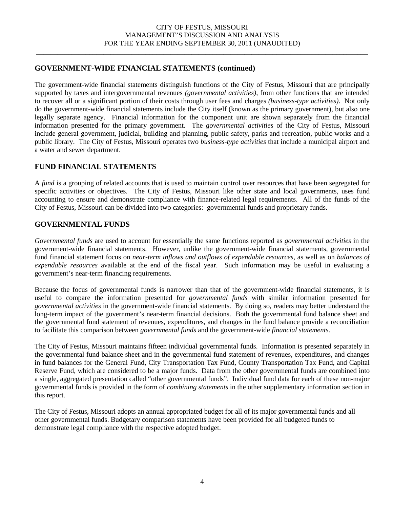### **GOVERNMENT-WIDE FINANCIAL STATEMENTS (continued)**

The government-wide financial statements distinguish functions of the City of Festus, Missouri that are principally supported by taxes and intergovernmental revenues *(governmental activities),* from other functions that are intended to recover all or a significant portion of their costs through user fees and charges *(business-type activities)*. Not only do the government-wide financial statements include the City itself (known as the primary government), but also one legally separate agency. Financial information for the component unit are shown separately from the financial information presented for the primary government. The *governmental activities* of the City of Festus, Missouri include general government, judicial, building and planning, public safety, parks and recreation, public works and a public library. The City of Festus, Missouri operates two *business-type activities* that include a municipal airport and a water and sewer department.

## **FUND FINANCIAL STATEMENTS**

A *fund* is a grouping of related accounts that is used to maintain control over resources that have been segregated for specific activities or objectives. The City of Festus, Missouri like other state and local governments, uses fund accounting to ensure and demonstrate compliance with finance-related legal requirements. All of the funds of the City of Festus, Missouri can be divided into two categories: governmental funds and proprietary funds.

### **GOVERNMENTAL FUNDS**

*Governmental funds* are used to account for essentially the same functions reported as *governmental activities* in the government-wide financial statements. However, unlike the government-wide financial statements, governmental fund financial statement focus on *near-term inflows and outflows of expendable resources,* as well as on *balances of expendable resources* available at the end of the fiscal year. Such information may be useful in evaluating a government's near-term financing requirements.

Because the focus of governmental funds is narrower than that of the government-wide financial statements, it is useful to compare the information presented for *governmental funds* with similar information presented for *governmental activities* in the government-wide financial statements. By doing so, readers may better understand the long-term impact of the government's near-term financial decisions. Both the governmental fund balance sheet and the governmental fund statement of revenues, expenditures, and changes in the fund balance provide a reconciliation to facilitate this comparison between *governmental funds* and the government-wide *financial statements.*

The City of Festus, Missouri maintains fifteen individual governmental funds. Information is presented separately in the governmental fund balance sheet and in the governmental fund statement of revenues, expenditures, and changes in fund balances for the General Fund, City Transportation Tax Fund, County Transportation Tax Fund, and Capital Reserve Fund, which are considered to be a major funds. Data from the other governmental funds are combined into a single, aggregated presentation called "other governmental funds". Individual fund data for each of these non-major governmental funds is provided in the form of *combining statements* in the other supplementary information section in this report.

The City of Festus, Missouri adopts an annual appropriated budget for all of its major governmental funds and all other governmental funds. Budgetary comparison statements have been provided for all budgeted funds to demonstrate legal compliance with the respective adopted budget.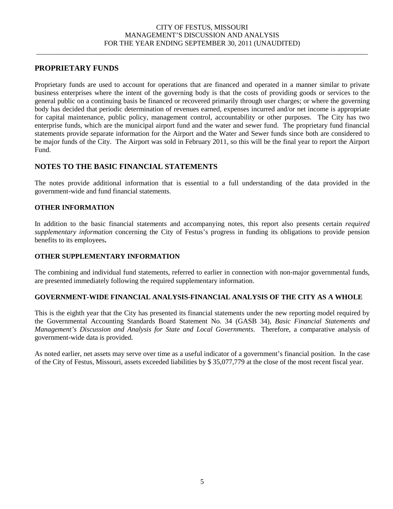### **PROPRIETARY FUNDS**

Proprietary funds are used to account for operations that are financed and operated in a manner similar to private business enterprises where the intent of the governing body is that the costs of providing goods or services to the general public on a continuing basis be financed or recovered primarily through user charges; or where the governing body has decided that periodic determination of revenues earned, expenses incurred and/or net income is appropriate for capital maintenance, public policy, management control, accountability or other purposes. The City has two enterprise funds, which are the municipal airport fund and the water and sewer fund. The proprietary fund financial statements provide separate information for the Airport and the Water and Sewer funds since both are considered to be major funds of the City. The Airport was sold in February 2011, so this will be the final year to report the Airport Fund.

## **NOTES TO THE BASIC FINANCIAL STATEMENTS**

The notes provide additional information that is essential to a full understanding of the data provided in the government-wide and fund financial statements.

### **OTHER INFORMATION**

In addition to the basic financial statements and accompanying notes, this report also presents certain *required supplementary information* concerning the City of Festus's progress in funding its obligations to provide pension benefits to its employees**.**

### **OTHER SUPPLEMENTARY INFORMATION**

The combining and individual fund statements, referred to earlier in connection with non-major governmental funds, are presented immediately following the required supplementary information.

### **GOVERNMENT-WIDE FINANCIAL ANALYSIS-FINANCIAL ANALYSIS OF THE CITY AS A WHOLE**

This is the eighth year that the City has presented its financial statements under the new reporting model required by the Governmental Accounting Standards Board Statement No. 34 (GASB 34), *Basic Financial Statements and Management's Discussion and Analysis for State and Local Governments.* Therefore, a comparative analysis of government-wide data is provided.

As noted earlier, net assets may serve over time as a useful indicator of a government's financial position. In the case of the City of Festus, Missouri, assets exceeded liabilities by \$ 35,077,779 at the close of the most recent fiscal year.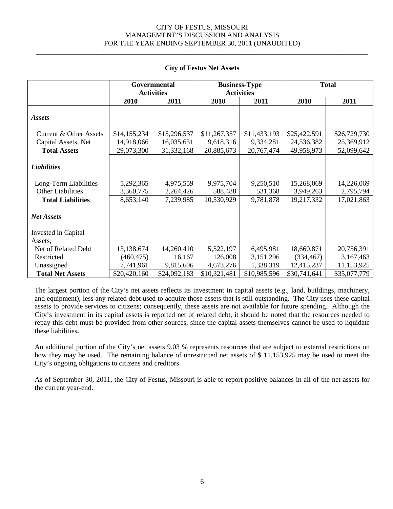### CITY OF FESTUS, MISSOURI MANAGEMENT'S DISCUSSION AND ANALYSIS FOR THE YEAR ENDING SEPTEMBER 30, 2011 (UNAUDITED)

\_\_\_\_\_\_\_\_\_\_\_\_\_\_\_\_\_\_\_\_\_\_\_\_\_\_\_\_\_\_\_\_\_\_\_\_\_\_\_\_\_\_\_\_\_\_\_\_\_\_\_\_\_\_\_\_\_\_\_\_\_\_\_\_\_\_\_\_\_\_\_\_\_\_\_\_\_\_\_\_\_\_\_\_\_\_\_\_\_\_\_\_\_\_

|                          |              | Governmental      | <b>Business-Type</b> |                   | <b>Total</b> |              |  |  |
|--------------------------|--------------|-------------------|----------------------|-------------------|--------------|--------------|--|--|
|                          |              | <b>Activities</b> |                      | <b>Activities</b> |              |              |  |  |
|                          | 2010         | 2011              | 2010                 | 2011              | 2010         | 2011         |  |  |
| <b>Assets</b>            |              |                   |                      |                   |              |              |  |  |
|                          |              |                   |                      |                   |              |              |  |  |
| Current & Other Assets   | \$14,155,234 | \$15,296,537      | \$11,267,357         | \$11,433,193      | \$25,422,591 | \$26,729,730 |  |  |
| Capital Assets, Net      | 14,918,066   | 16,035,631        | 9,618,316            | 9,334,281         | 24,536,382   | 25,369,912   |  |  |
| <b>Total Assets</b>      | 29,073,300   | 31,332,168        | 20,885,673           | 20,767,474        | 49,958,973   | 52,099,642   |  |  |
|                          |              |                   |                      |                   |              |              |  |  |
| <b>Liabilities</b>       |              |                   |                      |                   |              |              |  |  |
|                          |              |                   |                      |                   |              |              |  |  |
| Long-Term Liabilities    | 5,292,365    | 4,975,559         | 9,975,704            | 9,250,510         | 15,268,069   | 14,226,069   |  |  |
| <b>Other Liabilities</b> | 3,360,775    | 2,264,426         | 588,488              | 531,368           | 3,949,263    | 2,795,794    |  |  |
| <b>Total Liabilities</b> | 8,653,140    | 7,239,985         | 10,530,929           | 9,781,878         | 19,217,332   | 17,021,863   |  |  |
|                          |              |                   |                      |                   |              |              |  |  |
| <b>Net Assets</b>        |              |                   |                      |                   |              |              |  |  |
| Invested in Capital      |              |                   |                      |                   |              |              |  |  |
| Assets,                  |              |                   |                      |                   |              |              |  |  |
| Net of Related Debt      | 13,138,674   | 14,260,410        | 5,522,197            | 6,495,981         | 18,660,871   | 20,756,391   |  |  |
| Restricted               | (460, 475)   | 16,167            | 126,008              | 3,151,296         | (334, 467)   | 3,167,463    |  |  |
| Unassigned               | 7,741,961    | 9,815,606         | 4,673,276            | 1,338,319         | 12,415,237   | 11,153,925   |  |  |
| <b>Total Net Assets</b>  | \$20,420,160 | \$24,092,183      | \$10,321,481         | \$10,985,596      | \$30,741,641 | \$35,077,779 |  |  |

### **City of Festus Net Assets**

The largest portion of the City's net assets reflects its investment in capital assets (e.g., land, buildings, machinery, and equipment); less any related debt used to acquire those assets that is still outstanding. The City uses these capital assets to provide services to citizens; consequently, these assets are not available for future spending. Although the City's investment in its capital assets is reported net of related debt, it should be noted that the resources needed to repay this debt must be provided from other sources, since the capital assets themselves cannot be used to liquidate these liabilities**.**

An additional portion of the City's net assets 9.03 % represents resources that are subject to external restrictions on how they may be used. The remaining balance of unrestricted net assets of \$ 11,153,925 may be used to meet the City's ongoing obligations to citizens and creditors.

As of September 30, 2011, the City of Festus, Missouri is able to report positive balances in all of the net assets for the current year-end.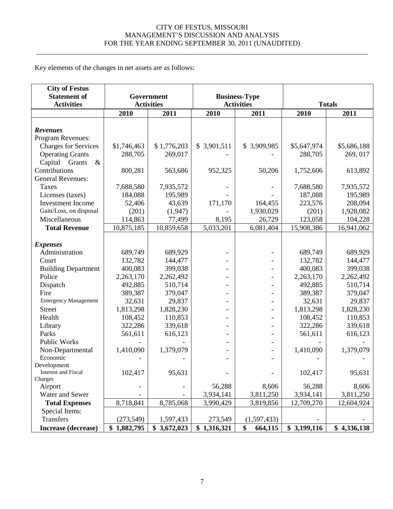Key elements of the changes in net assets are as follows:

| <b>City of Festus</b>                 |             |                   |             |                      |             |               |  |  |  |
|---------------------------------------|-------------|-------------------|-------------|----------------------|-------------|---------------|--|--|--|
| <b>Statement of</b>                   |             | Government        |             | <b>Business-Type</b> |             |               |  |  |  |
| <b>Activities</b>                     |             | <b>Activities</b> |             | <b>Activities</b>    |             | <b>Totals</b> |  |  |  |
|                                       | 2010        | 2011              | 2010        | 2011                 | 2010        | 2011          |  |  |  |
|                                       |             |                   |             |                      |             |               |  |  |  |
| <b>Revenues</b>                       |             |                   |             |                      |             |               |  |  |  |
| <b>Program Revenues:</b>              |             |                   |             |                      |             |               |  |  |  |
| <b>Charges for Services</b>           | \$1,746,463 | \$1,776,203       | \$3,901,511 | \$3,909,985          | \$5,647,974 | \$5,686,188   |  |  |  |
| <b>Operating Grants</b>               | 288,705     | 269,017           |             |                      | 288,705     | 269, 017      |  |  |  |
| Capital Grants<br>$\&$                |             |                   |             |                      |             |               |  |  |  |
| Contributions                         | 800,281     | 563,686           | 952,325     | 50,206               | 1,752,606   | 613,892       |  |  |  |
| <b>General Revenues:</b>              |             |                   |             |                      |             |               |  |  |  |
| <b>Taxes</b>                          | 7,688,580   | 7,935,572         |             |                      | 7,688,580   | 7,935,572     |  |  |  |
| Licenses (taxes)                      | 184,088     | 195,989           |             |                      | 187,088     | 195,989       |  |  |  |
| <b>Investment Income</b>              | 52,406      | 43,639            | 171,170     | 164,455              | 223,576     | 208,094       |  |  |  |
| Gain/Loss, on disposal                | (201)       | (1,947)           |             | 1,930,029            | (201)       | 1,928,082     |  |  |  |
| Miscellaneous                         | 114,863     | 77,499            | 8,195       | 26,729               | 123,058     | 104,228       |  |  |  |
| <b>Total Revenue</b>                  | 10,875,185  | 10,859,658        |             | 6,081,404            | 15,908,386  | 16,941,062    |  |  |  |
|                                       |             |                   |             |                      |             |               |  |  |  |
| <b>Expenses</b>                       |             |                   |             |                      |             |               |  |  |  |
| Administration                        | 689,749     | 689,929           |             |                      | 689,749     | 689,929       |  |  |  |
| Court                                 | 132,782     | 144,477           |             |                      | 132,782     | 144,477       |  |  |  |
| <b>Building Department</b>            | 400,083     | 399,038           |             |                      | 400,083     | 399,038       |  |  |  |
| Police                                | 2,263,170   | 2,262,492         |             |                      | 2,263,170   | 2,262,492     |  |  |  |
| Dispatch                              | 492,885     | 510,714           |             |                      | 492,885     | 510,714       |  |  |  |
| Fire                                  | 389,387     | 379,047           |             |                      | 389,387     | 379,047       |  |  |  |
| <b>Emergency Management</b>           | 32,631      | 29,837            |             |                      | 32,631      | 29,837        |  |  |  |
| <b>Street</b>                         | 1,813,298   | 1,828,230         |             |                      | 1,813,298   | 1,828,230     |  |  |  |
| Health                                | 108,452     | 110,853           |             |                      | 108,452     | 110,853       |  |  |  |
| Library                               | 322,286     | 339,618           |             |                      | 322,286     | 339,618       |  |  |  |
| Parks                                 | 561,611     | 616,123           |             |                      | 561,611     | 616,123       |  |  |  |
| <b>Public Works</b>                   |             |                   |             |                      |             |               |  |  |  |
| Non-Departmental                      | 1,410,090   | 1,379,079         |             |                      | 1,410,090   | 1,379,079     |  |  |  |
| Economic                              |             |                   |             |                      |             |               |  |  |  |
| Development                           |             |                   |             |                      |             |               |  |  |  |
| <b>Interest and Fiscal</b><br>Charges | 102,417     | 95,631            |             |                      | 102,417     | 95,631        |  |  |  |
| Airport                               |             |                   | 56,288      | 8,606                | 56,288      | 8,606         |  |  |  |
| Water and Sewer                       |             |                   | 3,934,141   | 3,811,250            | 3,934,141   | 3,811,250     |  |  |  |
| <b>Total Expenses</b>                 | 8,718,841   | 8,785,068         | 3,990,429   | 3,819,856            | 12,709,270  | 12,604,924    |  |  |  |
| Special Items:                        |             |                   |             |                      |             |               |  |  |  |
| Transfers                             | (273, 549)  | 1,597,433         | 273,549     | (1,597,433)          |             |               |  |  |  |
| Increase (decrease)                   | \$1,882,795 | \$3,672,023       | \$1,316,321 | \$<br>664,115        | \$3,199,116 | \$4,336,138   |  |  |  |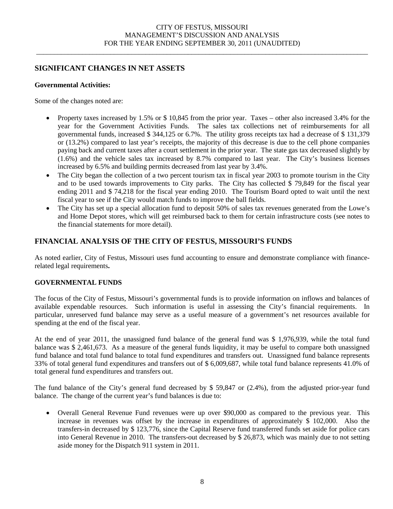# **SIGNIFICANT CHANGES IN NET ASSETS**

### **Governmental Activities:**

Some of the changes noted are:

- Property taxes increased by 1.5% or \$ 10,845 from the prior year. Taxes other also increased 3.4% for the year for the Government Activities Funds. The sales tax collections net of reimbursements for all governmental funds, increased \$ 344,125 or 6.7%. The utility gross receipts tax had a decrease of \$ 131,379 or (13.2%) compared to last year's receipts, the majority of this decrease is due to the cell phone companies paying back and current taxes after a court settlement in the prior year. The state gas tax decreased slightly by (1.6%) and the vehicle sales tax increased by 8.7% compared to last year. The City's business licenses increased by 6.5% and building permits decreased from last year by 3.4%.
- The City began the collection of a two percent tourism tax in fiscal year 2003 to promote tourism in the City and to be used towards improvements to City parks. The City has collected  $\hat{\$}$  79,849 for the fiscal year ending 2011 and \$ 74,218 for the fiscal year ending 2010. The Tourism Board opted to wait until the next fiscal year to see if the City would match funds to improve the ball fields.
- The City has set up a special allocation fund to deposit 50% of sales tax revenues generated from the Lowe's and Home Depot stores, which will get reimbursed back to them for certain infrastructure costs (see notes to the financial statements for more detail).

### **FINANCIAL ANALYSIS OF THE CITY OF FESTUS, MISSOURI'S FUNDS**

As noted earlier, City of Festus, Missouri uses fund accounting to ensure and demonstrate compliance with financerelated legal requirements**.**

### **GOVERNMENTAL FUNDS**

The focus of the City of Festus, Missouri's governmental funds is to provide information on inflows and balances of available expendable resources. Such information is useful in assessing the City's financial requirements. In particular, unreserved fund balance may serve as a useful measure of a government's net resources available for spending at the end of the fiscal year.

At the end of year 2011, the unassigned fund balance of the general fund was \$ 1,976,939, while the total fund balance was \$ 2,461,673. As a measure of the general funds liquidity, it may be useful to compare both unassigned fund balance and total fund balance to total fund expenditures and transfers out. Unassigned fund balance represents 33% of total general fund expenditures and transfers out of \$ 6,009,687, while total fund balance represents 41.0% of total general fund expenditures and transfers out.

The fund balance of the City's general fund decreased by \$ 59,847 or (2.4%), from the adjusted prior-year fund balance. The change of the current year's fund balances is due to:

• Overall General Revenue Fund revenues were up over \$90,000 as compared to the previous year. This increase in revenues was offset by the increase in expenditures of approximately \$ 102,000. Also the transfers-in decreased by \$ 123,776, since the Capital Reserve fund transferred funds set aside for police cars into General Revenue in 2010. The transfers-out decreased by \$ 26,873, which was mainly due to not setting aside money for the Dispatch 911 system in 2011.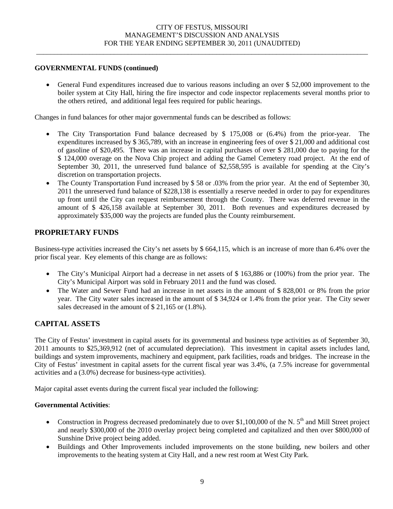### **GOVERNMENTAL FUNDS (continued)**

• General Fund expenditures increased due to various reasons including an over \$52,000 improvement to the boiler system at City Hall, hiring the fire inspector and code inspector replacements several months prior to the others retired, and additional legal fees required for public hearings.

Changes in fund balances for other major governmental funds can be described as follows:

- The City Transportation Fund balance decreased by \$ 175,008 or (6.4%) from the prior-year. The expenditures increased by \$ 365,789, with an increase in engineering fees of over \$ 21,000 and additional cost of gasoline of \$20,495. There was an increase in capital purchases of over \$ 281,000 due to paying for the \$ 124,000 overage on the Nova Chip project and adding the Gamel Cemetery road project. At the end of September 30, 2011, the unreserved fund balance of \$2,558,595 is available for spending at the City's discretion on transportation projects.
- The County Transportation Fund increased by \$ 58 or .03% from the prior year. At the end of September 30, 2011 the unreserved fund balance of \$228,138 is essentially a reserve needed in order to pay for expenditures up front until the City can request reimbursement through the County. There was deferred revenue in the amount of \$ 426,158 available at September 30, 2011. Both revenues and expenditures decreased by approximately \$35,000 way the projects are funded plus the County reimbursement.

### **PROPRIETARY FUNDS**

Business-type activities increased the City's net assets by \$ 664,115, which is an increase of more than 6.4% over the prior fiscal year. Key elements of this change are as follows:

- The City's Municipal Airport had a decrease in net assets of \$163,886 or (100%) from the prior year. The City's Municipal Airport was sold in February 2011 and the fund was closed.
- The Water and Sewer Fund had an increase in net assets in the amount of \$ 828,001 or 8% from the prior year. The City water sales increased in the amount of \$ 34,924 or 1.4% from the prior year. The City sewer sales decreased in the amount of \$ 21,165 or (1.8%).

## **CAPITAL ASSETS**

The City of Festus' investment in capital assets for its governmental and business type activities as of September 30, 2011 amounts to \$25,369,912 (net of accumulated depreciation). This investment in capital assets includes land, buildings and system improvements, machinery and equipment, park facilities, roads and bridges. The increase in the City of Festus' investment in capital assets for the current fiscal year was 3.4%, (a 7.5% increase for governmental activities and a (3.0%) decrease for business-type activities).

Major capital asset events during the current fiscal year included the following:

### **Governmental Activities**:

- Construction in Progress decreased predominately due to over \$1,100,000 of the N.  $5<sup>th</sup>$  and Mill Street project and nearly \$300,000 of the 2010 overlay project being completed and capitalized and then over \$800,000 of Sunshine Drive project being added.
- Buildings and Other Improvements included improvements on the stone building, new boilers and other improvements to the heating system at City Hall, and a new rest room at West City Park.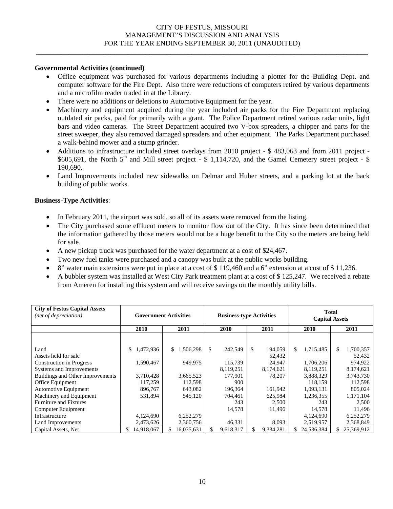### **Governmental Activities (continued)**

- Office equipment was purchased for various departments including a plotter for the Building Dept. and computer software for the Fire Dept. Also there were reductions of computers retired by various departments and a microfilm reader traded in at the Library.
- There were no additions or deletions to Automotive Equipment for the year.
- Machinery and equipment acquired during the year included air packs for the Fire Department replacing outdated air packs, paid for primarily with a grant. The Police Department retired various radar units, light bars and video cameras. The Street Department acquired two V-box spreaders, a chipper and parts for the street sweeper, they also removed damaged spreaders and other equipment. The Parks Department purchased a walk-behind mower and a stump grinder.
- Additions to infrastructure included street overlays from 2010 project \$ 483,063 and from 2011 project \$605,691, the North  $5<sup>th</sup>$  and Mill street project - \$ 1,114,720, and the Gamel Cemetery street project - \$ 190,690.
- Land Improvements included new sidewalks on Delmar and Huber streets, and a parking lot at the back building of public works.

### **Business-Type Activities**:

- In February 2011, the airport was sold, so all of its assets were removed from the listing.
- The City purchased some effluent meters to monitor flow out of the City. It has since been determined that the information gathered by those meters would not be a huge benefit to the City so the meters are being held for sale.
- A new pickup truck was purchased for the water department at a cost of \$24,467.
- Two new fuel tanks were purchased and a canopy was built at the public works building.
- 8" water main extensions were put in place at a cost of \$ 119,460 and a 6" extension at a cost of \$ 11,236.
- A bubbler system was installed at West City Park treatment plant at a cost of \$ 125,247. We received a rebate from Ameren for installing this system and will receive savings on the monthly utility bills.

| <b>City of Festus Capital Assets</b><br>(net of depreciation) |                   | <b>Government Activities</b> |                  | <b>Business-type Activities</b> | <b>Total</b><br><b>Capital Assets</b> |                  |  |  |  |
|---------------------------------------------------------------|-------------------|------------------------------|------------------|---------------------------------|---------------------------------------|------------------|--|--|--|
|                                                               | 2010              | 2011                         | 2010             | 2011                            | 2010                                  | 2011             |  |  |  |
|                                                               |                   |                              |                  |                                 |                                       |                  |  |  |  |
| Land                                                          | 1,472,936<br>\$   | \$1,506,298                  | \$<br>242,549    | \$<br>194,059                   | \$<br>1,715,485                       | 1,700,357<br>\$. |  |  |  |
| Assets held for sale                                          |                   |                              |                  | 52,432                          |                                       | 52,432           |  |  |  |
| <b>Construction in Progress</b>                               | 1,590,467         | 949,975                      | 115,739          | 24,947                          | 1,706,206                             | 974,922          |  |  |  |
| Systems and Improvements                                      |                   |                              | 8,119,251        | 8,174,621                       | 8,119,251                             | 8,174,621        |  |  |  |
| Buildings and Other Improvements                              | 3,710,428         | 3,665,523                    | 177,901          | 78,207                          | 3,888,329                             | 3,743,730        |  |  |  |
| Office Equipment                                              | 117,259           | 112,598                      | 900              |                                 | 118,159                               | 112,598          |  |  |  |
| <b>Automotive Equipment</b>                                   | 896,767           | 643,082                      | 196,364          | 161,942                         | 1,093,131                             | 805,024          |  |  |  |
| Machinery and Equipment                                       | 531,894           | 545,120                      | 704.461          | 625.984                         | 1.236.355                             | 1,171,104        |  |  |  |
| <b>Furniture and Fixtures</b>                                 |                   |                              | 243              | 2,500                           | 243                                   | 2,500            |  |  |  |
| Computer Equipment                                            |                   |                              | 14,578           | 11,496                          | 14,578                                | 11,496           |  |  |  |
| Infrastructure                                                | 4,124,690         | 6,252,279                    |                  |                                 | 4,124,690                             | 6,252,279        |  |  |  |
| Land Improvements                                             | 2,473,626         | 2,360,756                    | 46,331           | 8,093                           | 2,519,957                             | 2,368,849        |  |  |  |
| Capital Assets, Net                                           | 14,918,067<br>\$. | 16,035,631<br>\$.            | \$.<br>9,618,317 | \$<br>9,334,281                 | 24,536,384                            | 25,369,912       |  |  |  |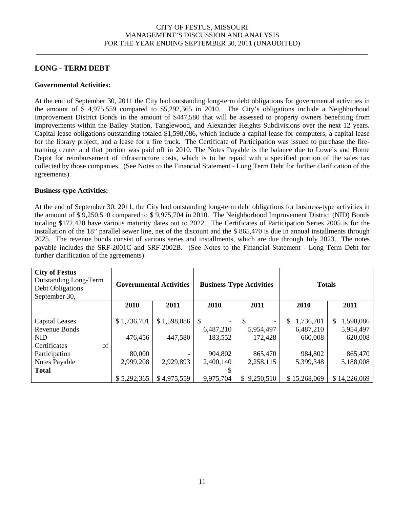## **LONG - TERM DEBT**

### **Governmental Activities:**

At the end of September 30, 2011 the City had outstanding long-term debt obligations for governmental activities in the amount of \$ 4,975,559 compared to \$5,292,365 in 2010. The City's obligations include a Neighborhood Improvement District Bonds in the amount of \$447,580 that will be assessed to property owners benefiting from improvements within the Bailey Station, Tanglewood, and Alexander Heights Subdivisions over the next 12 years. Capital lease obligations outstanding totaled \$1,598,086, which include a capital lease for computers, a capital lease for the library project, and a lease for a fire truck. The Certificate of Participation was issued to purchase the firetraining center and that portion was paid off in 2010. The Notes Payable is the balance due to Lowe's and Home Depot for reimbursement of infrastructure costs, which is to be repaid with a specified portion of the sales tax collected by those companies. (See Notes to the Financial Statement - Long Term Debt for further clarification of the agreements).

### **Business-type Activities:**

At the end of September 30, 2011, the City had outstanding long-term debt obligations for business-type activities in the amount of \$ 9,250,510 compared to \$ 9,975,704 in 2010. The Neighborhood Improvement District (NID) Bonds totaling \$172,428 have various maturity dates out to 2022. The Certificates of Participation Series 2005 is for the installation of the 18" parallel sewer line, net of the discount and the \$ 865,470 is due in annual installments through 2025. The revenue bonds consist of various series and installments, which are due through July 2023. The notes payable includes the SRF-2001C and SRF-2002B. (See Notes to the Financial Statement - Long Term Debt for further clarification of the agreements).

| <b>City of Festus</b><br><b>Outstanding Long-Term</b><br>Debt Obligations<br>September 30, |             | <b>Governmental Activities</b> |                            | <b>Business-Type Activities</b> | <b>Totals</b>                |                                        |  |  |  |
|--------------------------------------------------------------------------------------------|-------------|--------------------------------|----------------------------|---------------------------------|------------------------------|----------------------------------------|--|--|--|
|                                                                                            | 2010        | 2011                           | 2010                       | 2011                            | 2010                         | 2011                                   |  |  |  |
| Capital Leases<br><b>Revenue Bonds</b>                                                     | \$1,736,701 | \$1,598,086                    | <sup>\$</sup><br>6,487,210 | \$<br>5,954,497                 | 1,736,701<br>S.<br>6,487,210 | 1,598,086<br>$\mathbb{S}$<br>5,954,497 |  |  |  |
| <b>NID</b>                                                                                 | 476,456     | 447,580                        | 183,552                    | 172,428                         | 660,008                      | 620,008                                |  |  |  |
| of<br>Certificates                                                                         |             |                                |                            |                                 |                              |                                        |  |  |  |
| Participation                                                                              | 80,000      | Ξ.                             | 904,802                    | 865,470                         | 984,802                      | 865,470                                |  |  |  |
| Notes Payable                                                                              | 2,999,208   | 2,929,893                      | 2,400,140                  | 2,258,115                       | 5,399,348                    | 5,188,008                              |  |  |  |
| <b>Total</b>                                                                               |             |                                |                            |                                 |                              |                                        |  |  |  |
|                                                                                            | \$5,292,365 | \$4,975,559                    | 9,975,704                  | \$9,250,510                     | \$15,268,069                 | \$14,226,069                           |  |  |  |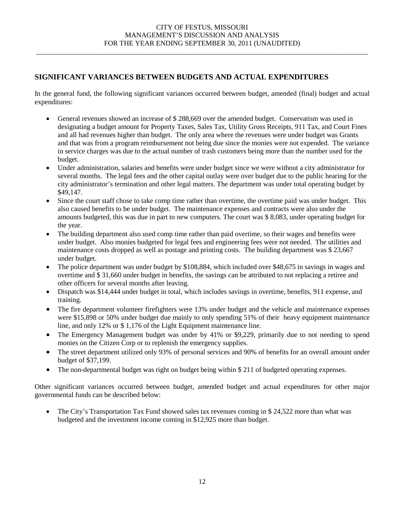# **SIGNIFICANT VARIANCES BETWEEN BUDGETS AND ACTUAL EXPENDITURES**

In the general fund, the following significant variances occurred between budget, amended (final) budget and actual expenditures:

- General revenues showed an increase of \$ 288,669 over the amended budget. Conservatism was used in designating a budget amount for Property Taxes, Sales Tax, Utility Gross Receipts, 911 Tax, and Court Fines and all had revenues higher than budget. The only area where the revenues were under budget was Grants and that was from a program reimbursement not being due since the monies were not expended. The variance in service charges was due to the actual number of trash customers being more than the number used for the budget.
- Under administration, salaries and benefits were under budget since we were without a city administrator for several months. The legal fees and the other capital outlay were over budget due to the public hearing for the city administrator's termination and other legal matters. The department was under total operating budget by \$49,147.
- Since the court staff chose to take comp time rather than overtime, the overtime paid was under budget. This also caused benefits to be under budget. The maintenance expenses and contracts were also under the amounts budgeted, this was due in part to new computers. The court was \$ 8,083, under operating budget for the year.
- The building department also used comp time rather than paid overtime, so their wages and benefits were under budget. Also monies budgeted for legal fees and engineering fees were not needed. The utilities and maintenance costs dropped as well as postage and printing costs. The building department was \$ 23,667 under budget.
- The police department was under budget by \$108,884, which included over \$48,675 in savings in wages and overtime and \$ 31,660 under budget in benefits, the savings can be attributed to not replacing a retiree and other officers for several months after leaving.
- Dispatch was \$14,444 under budget in total, which includes savings in overtime, benefits, 911 expense, and training.
- The fire department volunteer firefighters were 13% under budget and the vehicle and maintenance expenses were \$15,898 or 50% under budget due mainly to only spending 51% of their heavy equipment maintenance line, and only 12% or \$ 1,176 of the Light Equipment maintenance line.
- The Emergency Management budget was under by 41% or \$9,229, primarily due to not needing to spend monies on the Citizen Corp or to replenish the emergency supplies.
- The street department utilized only 93% of personal services and 90% of benefits for an overall amount under budget of \$37,199.
- The non-departmental budget was right on budget being within \$211 of budgeted operating expenses.

Other significant variances occurred between budget, amended budget and actual expenditures for other major governmental funds can be described below:

• The City's Transportation Tax Fund showed sales tax revenues coming in \$24,522 more than what was budgeted and the investment income coming in \$12,925 more than budget.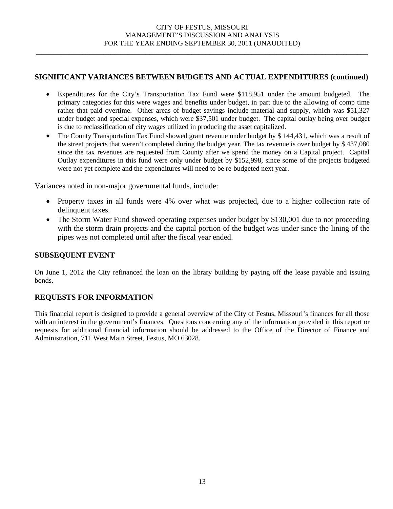### **SIGNIFICANT VARIANCES BETWEEN BUDGETS AND ACTUAL EXPENDITURES (continued)**

- Expenditures for the City's Transportation Tax Fund were \$118,951 under the amount budgeted. The primary categories for this were wages and benefits under budget, in part due to the allowing of comp time rather that paid overtime. Other areas of budget savings include material and supply, which was \$51,327 under budget and special expenses, which were \$37,501 under budget. The capital outlay being over budget is due to reclassification of city wages utilized in producing the asset capitalized.
- The County Transportation Tax Fund showed grant revenue under budget by \$ 144,431, which was a result of the street projects that weren't completed during the budget year. The tax revenue is over budget by \$ 437,080 since the tax revenues are requested from County after we spend the money on a Capital project. Capital Outlay expenditures in this fund were only under budget by \$152,998, since some of the projects budgeted were not yet complete and the expenditures will need to be re-budgeted next year.

Variances noted in non-major governmental funds, include:

- Property taxes in all funds were 4% over what was projected, due to a higher collection rate of delinquent taxes.
- The Storm Water Fund showed operating expenses under budget by \$130,001 due to not proceeding with the storm drain projects and the capital portion of the budget was under since the lining of the pipes was not completed until after the fiscal year ended.

### **SUBSEQUENT EVENT**

On June 1, 2012 the City refinanced the loan on the library building by paying off the lease payable and issuing bonds.

## **REQUESTS FOR INFORMATION**

This financial report is designed to provide a general overview of the City of Festus, Missouri's finances for all those with an interest in the government's finances. Questions concerning any of the information provided in this report or requests for additional financial information should be addressed to the Office of the Director of Finance and Administration, 711 West Main Street, Festus, MO 63028.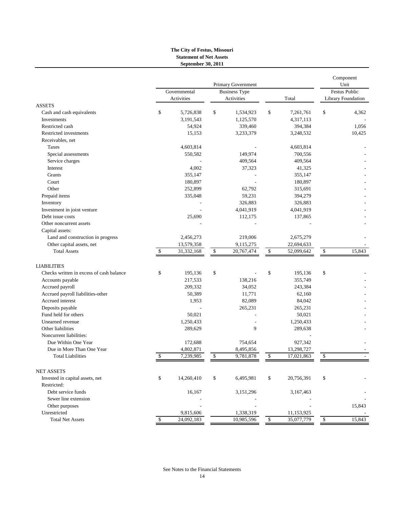#### **The City of Festus, Missouri Statement of Net Assets September 30, 2011**

|                                           |                    |                         | Primary Government   |                         |                          |                    | Component<br>Unit    |
|-------------------------------------------|--------------------|-------------------------|----------------------|-------------------------|--------------------------|--------------------|----------------------|
|                                           | Governmental       |                         | <b>Business Type</b> |                         |                          |                    | <b>Festus Public</b> |
|                                           | Activities         | Activities              |                      | Total                   |                          | Library Foundation |                      |
| <b>ASSETS</b>                             |                    |                         |                      |                         |                          |                    |                      |
| Cash and cash equivalents                 | \$<br>5,726,838    | \$                      | 1,534,923            | \$                      | 7,261,761                | \$                 | 4,362                |
| Investments                               | 3,191,543          |                         | 1,125,570            |                         | 4,317,113                |                    |                      |
| Restricted cash<br>Restricted investments | 54,924             |                         | 339,460              |                         | 394,384                  |                    | 1,056                |
|                                           | 15,153             |                         | 3,233,379            |                         | 3,248,532                |                    | 10,425               |
| Receivables, net                          |                    |                         |                      |                         |                          |                    |                      |
| Taxes                                     | 4,603,814          |                         |                      |                         | 4,603,814                |                    |                      |
| Special assessments                       | 550,582            |                         | 149,974              |                         | 700,556                  |                    |                      |
| Service charges                           |                    |                         | 409,564              |                         | 409,564                  |                    |                      |
| Interest                                  | 4,002              |                         | 37,323               |                         | 41,325                   |                    |                      |
| Grants                                    | 355,147            |                         |                      |                         | 355,147                  |                    |                      |
| Court                                     | 180,897            |                         |                      |                         | 180,897                  |                    |                      |
| Other                                     | 252,899            |                         | 62,792               |                         | 315,691                  |                    |                      |
| Prepaid items                             | 335,048            |                         | 59,231               |                         | 394,279                  |                    |                      |
| Inventory                                 |                    |                         | 326,883              |                         | 326,883                  |                    |                      |
| Investment in joint venture               |                    |                         | 4,041,919            |                         | 4,041,919                |                    |                      |
| Debt issue costs                          | 25,690             |                         | 112,175              |                         | 137,865                  |                    |                      |
| Other noncurrent assets                   |                    |                         |                      |                         |                          |                    |                      |
| Capital assets:                           |                    |                         |                      |                         |                          |                    |                      |
| Land and construction in progress         | 2,456,273          |                         | 219,006              |                         | 2,675,279                |                    |                      |
| Other capital assets, net                 | 13,579,358         |                         | 9,115,275            |                         | 22,694,633               |                    |                      |
| <b>Total Assets</b>                       | \$<br>31, 332, 168 | $\sqrt[6]{\frac{1}{2}}$ | 20,767,474           | \$                      | 52,099,642               | \$                 | 15,843               |
| <b>LIABILITIES</b>                        |                    |                         |                      |                         |                          |                    |                      |
| Checks written in excess of cash balance  | \$<br>195,136      | \$                      |                      | \$                      | 195,136                  | \$                 |                      |
| Accounts payable                          | 217,533            |                         | 138,216              |                         | 355,749                  |                    |                      |
| Accrued payroll                           | 209,332            |                         | 34,052               |                         | 243,384                  |                    |                      |
| Accrued payroll liabilities-other         | 50,389             |                         | 11,771               |                         | 62,160                   |                    |                      |
| Accrued interest                          | 1,953              |                         | 82,089               |                         | 84,042                   |                    |                      |
| Deposits payable                          |                    |                         | 265,231              |                         | 265,231                  |                    |                      |
| Fund held for others                      | 50,021             |                         |                      |                         | 50,021                   |                    |                      |
| Unearned revenue                          | 1,250,433          |                         |                      |                         | 1,250,433                |                    |                      |
| Other liabilities                         | 289,629            |                         | 9                    |                         | 289,638                  |                    |                      |
| Noncurrent liabilities:                   |                    |                         |                      |                         |                          |                    |                      |
| Due Within One Year                       | 172,688            |                         | 754,654              |                         | 927,342                  |                    |                      |
| Due in More Than One Year                 | 4,802,871          |                         | 8,495,856            |                         | 13,298,727               |                    |                      |
| <b>Total Liabilities</b>                  | \$<br>7,239,985    | \$                      | 9,781,878            | \$                      | 17,021,863               | \$                 |                      |
| <b>NET ASSETS</b>                         |                    |                         |                      |                         |                          |                    |                      |
| Invested in capital assets, net           | \$<br>14,260,410   | \$                      | 6,495,981            | \$                      | 20,756,391               | \$                 |                      |
| Restricted:                               |                    |                         |                      |                         |                          |                    |                      |
| Debt service funds                        |                    |                         | 3,151,296            |                         |                          |                    |                      |
| Sewer line extension                      | 16,167             |                         |                      |                         | 3,167,463                |                    |                      |
| Other purposes                            |                    |                         |                      |                         |                          |                    | 15,843               |
| Unrestricted                              | 9,815,606          |                         | 1,338,319            |                         |                          |                    |                      |
| <b>Total Net Assets</b>                   | \$<br>24,092,183   |                         | 10,985,596           | $\sqrt[6]{\frac{1}{2}}$ | 11,153,925<br>35,077,779 | $\mathbb{S}$       | 15,843               |
|                                           |                    |                         |                      |                         |                          |                    |                      |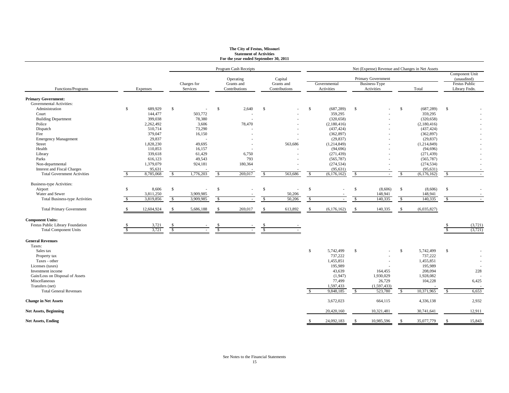|                                                                                                                                                                                                                                  |                                     |                                                                                                                                       |                          |                                                                                                   |                                          | Statement of Activities<br>For the year ended September 30, 2011 |                                                 |                                        |                          |                                                                                                                                                                   |                            |                                                          |                          |                                                                                                                                                                   |                               |                                                                        |
|----------------------------------------------------------------------------------------------------------------------------------------------------------------------------------------------------------------------------------|-------------------------------------|---------------------------------------------------------------------------------------------------------------------------------------|--------------------------|---------------------------------------------------------------------------------------------------|------------------------------------------|------------------------------------------------------------------|-------------------------------------------------|----------------------------------------|--------------------------|-------------------------------------------------------------------------------------------------------------------------------------------------------------------|----------------------------|----------------------------------------------------------|--------------------------|-------------------------------------------------------------------------------------------------------------------------------------------------------------------|-------------------------------|------------------------------------------------------------------------|
|                                                                                                                                                                                                                                  |                                     |                                                                                                                                       |                          |                                                                                                   | Program Cash Receipts                    |                                                                  | Net (Expense) Revenue and Changes in Net Assets |                                        |                          |                                                                                                                                                                   |                            |                                                          |                          |                                                                                                                                                                   |                               |                                                                        |
| Functions/Programs                                                                                                                                                                                                               | Expenses                            |                                                                                                                                       | Charges for<br>Services  |                                                                                                   | Operating<br>Grants and<br>Contributions |                                                                  |                                                 | Capital<br>Grants and<br>Contributions |                          | Governmental<br>Activities                                                                                                                                        |                            | Primary Government<br><b>Business-Type</b><br>Activities |                          | Total                                                                                                                                                             |                               | Component Unit<br>(unaudited)<br><b>Festus Public</b><br>Library Fndn. |
| <b>Primary Government:</b>                                                                                                                                                                                                       |                                     |                                                                                                                                       |                          |                                                                                                   |                                          |                                                                  |                                                 |                                        |                          |                                                                                                                                                                   |                            |                                                          |                          |                                                                                                                                                                   |                               |                                                                        |
| Governmental Activities:<br>Administration<br>Court<br><b>Building Department</b><br>Police<br>Dispatch<br>Fire<br><b>Emergency Management</b><br>Street<br>Health<br>Library<br>Parks<br>Non-departmental                       | $\mathbb{S}$                        | 689,929<br>144,477<br>399,038<br>2,262,492<br>510,714<br>379,047<br>29,837<br>1,828,230<br>110,853<br>339,618<br>616,123<br>1,379,079 | \$                       | 503,772<br>78,380<br>3,606<br>73,290<br>16,150<br>49,695<br>16,157<br>61,429<br>49,543<br>924,181 | \$                                       | 2,640<br>78,470<br>6,750<br>793<br>180,364                       | $\mathbb{S}$                                    | 563,686                                | $\mathbb{S}$             | (687, 289)<br>359,295<br>(320, 658)<br>(2,180,416)<br>(437, 424)<br>(362, 897)<br>(29, 837)<br>(1,214,849)<br>(94, 696)<br>(271, 439)<br>(565, 787)<br>(274, 534) | $\mathbb{S}$               |                                                          | $\mathbb{S}$             | (687, 289)<br>359,295<br>(320, 658)<br>(2,180,416)<br>(437, 424)<br>(362, 897)<br>(29, 837)<br>(1,214,849)<br>(94, 696)<br>(271, 439)<br>(565, 787)<br>(274, 534) | $\mathbb{S}$                  |                                                                        |
| <b>Interest and Fiscal Charges</b><br><b>Total Government Activities</b>                                                                                                                                                         |                                     | 95,631<br>8,785,068                                                                                                                   | \$                       | 1,776,203                                                                                         | <sup>\$</sup>                            | 269,017                                                          | $\mathcal{S}$                                   | 563,686                                | -S                       | (95, 631)<br>(6,176,162)                                                                                                                                          | \$                         |                                                          | $\mathbb{S}$             | (95, 631)<br>(6,176,162)                                                                                                                                          | -S                            |                                                                        |
| <b>Business-type Activities:</b><br>Airport<br>Water and Sewer<br><b>Total Business-type Activities</b><br><b>Total Primary Government</b>                                                                                       | $\mathbb{S}$<br>$\mathcal{S}$<br>-S | 8,606<br>3,811,250<br>3,819,856<br>12,604,924                                                                                         | \$<br>$\mathbb{S}$<br>\$ | 3,909,985<br>3,909,985<br>5,686,188                                                               | $\mathbb{S}$<br>\$<br>-S                 | 269,017                                                          | $\mathbb{S}$<br>- \$<br>- \$                    | 50,206<br>50,206<br>613,892            | $\mathbb{S}$<br>\$<br>\$ | (6,176,162)                                                                                                                                                       | \$<br><sup>\$</sup><br>-\$ | (8,606)<br>148,941<br>140,335<br>140,335                 | $\mathbb{S}$<br>\$<br>\$ | (8,606)<br>148,941<br>140,335<br>(6,035,827)                                                                                                                      | $\mathbb{S}$<br>$\mathcal{S}$ |                                                                        |
| <b>Component Units:</b><br>Festus Public Library Foundation<br><b>Total Component Units</b>                                                                                                                                      |                                     | 3,721<br>3,721                                                                                                                        | -S                       |                                                                                                   | S                                        |                                                                  | -S                                              |                                        |                          |                                                                                                                                                                   |                            |                                                          |                          |                                                                                                                                                                   |                               | (3,721)<br>(3,721)                                                     |
| <b>General Revenues</b><br>Taxes:<br>Sales tax<br>Property tax<br>Taxes - other<br>Licenses (taxes)<br>Investment income<br>Gain/Loss on Disposal of Assets<br>Miscellaneous<br>Transfers (net)<br><b>Total General Revenues</b> |                                     |                                                                                                                                       |                          |                                                                                                   |                                          |                                                                  |                                                 |                                        | \$<br>-S                 | 5,742,499<br>737,222<br>1,455,851<br>195,989<br>43,639<br>(1,947)<br>77,499<br>1,597,433<br>9,848,185                                                             | $\mathbb{S}$<br>S.         | 164,455<br>1,930,029<br>26,729<br>(1,597,433)<br>523,780 | $\mathbb{S}$<br>\$       | 5,742,499<br>737,222<br>1,455,851<br>195,989<br>208,094<br>1,928,082<br>104,228<br>10,371,965                                                                     | $\mathbb{S}$<br>-S            | $\overline{\phantom{a}}$<br>228<br>6,425<br>6,653                      |
| <b>Change in Net Assets</b>                                                                                                                                                                                                      |                                     |                                                                                                                                       |                          |                                                                                                   |                                          |                                                                  |                                                 |                                        |                          | 3,672,023                                                                                                                                                         |                            | 664,115                                                  |                          | 4,336,138                                                                                                                                                         |                               | 2,932                                                                  |
| <b>Net Assets, Beginning</b>                                                                                                                                                                                                     |                                     |                                                                                                                                       |                          |                                                                                                   |                                          |                                                                  |                                                 |                                        |                          | 20,420,160                                                                                                                                                        |                            | 10,321,481                                               |                          | 30,741,641                                                                                                                                                        |                               | 12,911                                                                 |
| <b>Net Assets, Ending</b>                                                                                                                                                                                                        |                                     |                                                                                                                                       |                          |                                                                                                   |                                          |                                                                  |                                                 |                                        |                          | 24,092,183                                                                                                                                                        |                            | 10,985,596                                               |                          | 35,077,779                                                                                                                                                        |                               | 15,843                                                                 |

### **The City of Festus, Missouri Statement of Activities**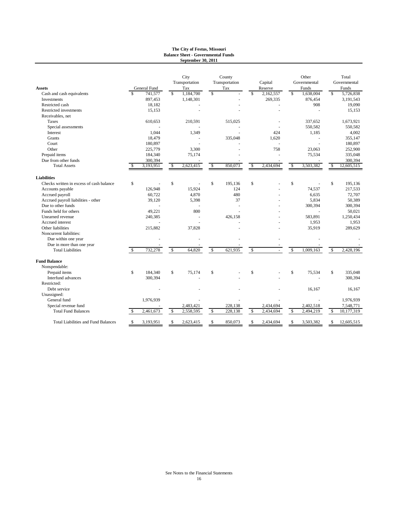#### **The City of Festus, Missouri Balance Sheet - Governmental Funds September 30, 2011**

| <b>Assets</b>                              | General Fund |           | City<br>Transportation<br>Tax |           |              | County<br>Transportation<br>Tax |                    | Capital<br>Reserve |               | Other<br>Governmental<br>Funds | Total<br>Governmental<br>Funds |            |
|--------------------------------------------|--------------|-----------|-------------------------------|-----------|--------------|---------------------------------|--------------------|--------------------|---------------|--------------------------------|--------------------------------|------------|
|                                            | \$.          | 741,577   | \$.                           | 1,184,700 | $\mathbb{S}$ |                                 | $\mathbb{S}$       | 2,162,557          | $\mathbb{S}$  | 1,638,004                      | $\mathbb{S}$                   | 5,726,838  |
| Cash and cash equivalents<br>Investments   |              | 897,453   |                               | 1,148,301 |              |                                 |                    | 269,335            |               | 876,454                        |                                | 3,191,543  |
| Restricted cash                            |              | 18,182    |                               |           |              |                                 |                    |                    |               | 908                            |                                | 19,090     |
| Restricted investments                     |              | 15,153    |                               |           |              |                                 |                    |                    |               |                                |                                | 15,153     |
| Receivables, net                           |              |           |                               |           |              |                                 |                    |                    |               |                                |                                |            |
| Taxes                                      |              |           |                               | 210,591   |              |                                 |                    |                    |               | 337,652                        |                                | 1,673,921  |
| Special assessments                        |              | 610,653   |                               |           |              | 515,025                         |                    |                    |               | 550,582                        |                                | 550,582    |
|                                            |              |           |                               |           |              |                                 |                    |                    |               |                                |                                |            |
| Interest                                   |              | 1.044     |                               | 1,349     |              |                                 |                    | 424                |               | 1.185                          |                                | 4,002      |
| Grants                                     |              | 18,479    |                               |           |              | 335,048                         |                    | 1,620              |               |                                |                                | 355,147    |
| Court                                      |              | 180,897   |                               |           |              |                                 |                    |                    |               |                                |                                | 180,897    |
| Other                                      |              | 225,779   |                               | 3,300     |              |                                 |                    | 758                |               | 23,063                         |                                | 252,900    |
| Prepaid items                              |              | 184,340   |                               | 75,174    |              |                                 |                    |                    |               | 75,534                         |                                | 335,048    |
| Due from other funds                       |              | 300,394   |                               |           |              |                                 |                    |                    |               |                                |                                | 300,394    |
| <b>Total Assets</b>                        |              | 3,193,951 | \$                            | 2,623,415 | $\mathsf{s}$ | 850,073                         | <sup>\$</sup>      | 2,434,694          | $\mathcal{S}$ | 3,503,382                      | \$                             | 12,605,515 |
| <b>Liabilities</b>                         |              |           |                               |           |              |                                 |                    |                    |               |                                |                                |            |
|                                            |              |           |                               |           |              |                                 |                    |                    |               |                                |                                |            |
| Checks written in excess of cash balance   | \$           |           | \$                            |           | \$           | 195.136                         | \$                 |                    | \$            |                                | \$                             | 195,136    |
| Accounts payable                           |              | 126,948   |                               | 15,924    |              | 124                             |                    |                    |               | 74,537                         |                                | 217,533    |
| Accrued payroll                            |              | 60,722    |                               | 4,870     |              | 480                             |                    |                    |               | 6,635                          |                                | 72,707     |
| Accrued payroll liabilities - other        |              | 39,120    |                               | 5,398     |              | 37                              |                    |                    |               | 5,834                          |                                | 50,389     |
| Due to other funds                         |              |           |                               |           |              |                                 |                    |                    |               | 300,394                        |                                | 300,394    |
| Funds held for others                      |              | 49,221    |                               | 800       |              |                                 |                    |                    |               |                                |                                | 50,021     |
| Unearned revenue                           |              | 240,385   |                               | ÷,        |              | 426,158                         |                    |                    |               | 583,891                        |                                | 1,250,434  |
| Accrued interest                           |              |           |                               |           |              |                                 |                    |                    |               | 1,953                          |                                | 1,953      |
| Other liabilities                          |              | 215,882   |                               | 37,828    |              |                                 |                    |                    |               | 35,919                         |                                | 289,629    |
| Noncurrent liabilities:                    |              |           |                               |           |              |                                 |                    |                    |               |                                |                                |            |
| Due within one year                        |              |           |                               |           |              |                                 |                    |                    |               |                                |                                |            |
| Due in more than one year                  |              |           |                               |           |              |                                 |                    |                    |               |                                |                                |            |
| <b>Total Liabilities</b>                   | -S           | 732,278   | $\overline{\mathbf{s}}$       | 64,820    | $\sqrt{s}$   | 621,935                         | $\mathcal{S}$      |                    | \$            | 1,009,163                      | $\overline{\mathbf{s}}$        | 2,428,196  |
| <b>Fund Balance</b>                        |              |           |                               |           |              |                                 |                    |                    |               |                                |                                |            |
| Nonspendable:                              |              |           |                               |           |              |                                 |                    |                    |               |                                |                                |            |
|                                            |              |           |                               |           |              |                                 |                    |                    |               |                                |                                |            |
| Prepaid items                              | \$           | 184,340   | \$                            | 75,174    | \$           |                                 | \$                 |                    | \$            | 75,534                         | \$                             | 335,048    |
| Interfund advances                         |              | 300,394   |                               |           |              |                                 |                    |                    |               |                                |                                | 300,394    |
| Restricted:                                |              |           |                               |           |              |                                 |                    |                    |               |                                |                                |            |
| Debt service                               |              |           |                               |           |              |                                 |                    |                    |               | 16,167                         |                                | 16.167     |
| Unassigned:                                |              |           |                               |           |              |                                 |                    |                    |               |                                |                                |            |
| General fund                               |              | 1,976,939 |                               |           |              |                                 |                    |                    |               |                                |                                | 1,976,939  |
| Special revenue fund                       |              |           |                               | 2,483,421 |              | 228,138                         |                    | 2,434,694          |               | 2,402,518                      |                                | 7,548,771  |
| <b>Total Fund Balances</b>                 |              | 2,461,673 | $\mathbf S$                   | 2,558,595 | $\sqrt{s}$   | 228.138                         | $\mathbf{\hat{S}}$ | 2.434.694          | $\mathbb{S}$  | 2,494,219                      | $\mathbb{S}$                   | 10,177,319 |
| <b>Total Liabilities and Fund Balances</b> | \$           | 3,193,951 | \$                            | 2,623,415 | \$           | 850,073                         | \$                 | 2,434,694          | \$            | 3,503,382                      | \$                             | 12,605,515 |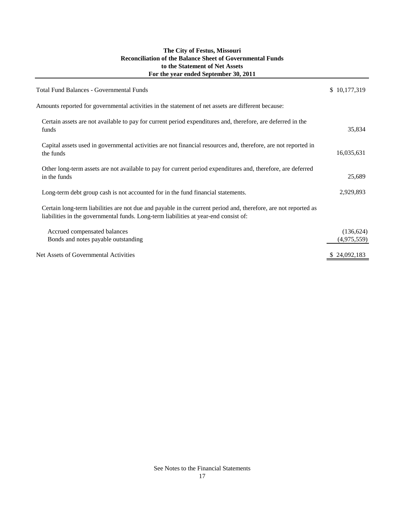### **The City of Festus, Missouri Reconciliation of the Balance Sheet of Governmental Funds to the Statement of Net Assets For the year ended September 30, 2011**

| <b>Total Fund Balances - Governmental Funds</b>                                                                                                                                                         | \$10,177,319              |
|---------------------------------------------------------------------------------------------------------------------------------------------------------------------------------------------------------|---------------------------|
| Amounts reported for governmental activities in the statement of net assets are different because:                                                                                                      |                           |
| Certain assets are not available to pay for current period expenditures and, therefore, are deferred in the<br>funds                                                                                    | 35,834                    |
| Capital assets used in governmental activities are not financial resources and, therefore, are not reported in<br>the funds                                                                             | 16,035,631                |
| Other long-term assets are not available to pay for current period expenditures and, therefore, are deferred<br>in the funds                                                                            | 25,689                    |
| Long-term debt group cash is not accounted for in the fund financial statements.                                                                                                                        | 2,929,893                 |
| Certain long-term liabilities are not due and payable in the current period and, therefore, are not reported as<br>liabilities in the governmental funds. Long-term liabilities at year-end consist of: |                           |
| Accrued compensated balances<br>Bonds and notes payable outstanding                                                                                                                                     | (136, 624)<br>(4,975,559) |
| Net Assets of Governmental Activities                                                                                                                                                                   | \$24,092,183              |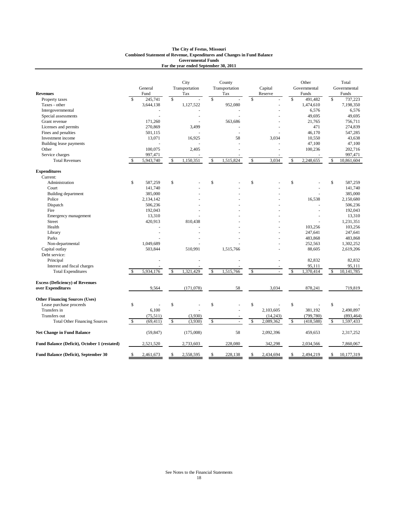| <b>Revenues</b>                              |                    | General<br>Fund |                          | City<br>Transportation<br>Tax |                          | County<br>Transportation<br>Tax |                          | Capital<br>Reserve |                         | Other<br>Governmental<br>Funds |                         | Total<br>Governmental<br>Funds |
|----------------------------------------------|--------------------|-----------------|--------------------------|-------------------------------|--------------------------|---------------------------------|--------------------------|--------------------|-------------------------|--------------------------------|-------------------------|--------------------------------|
| Property taxes                               | $\mathbf{s}$       | 245,741         | $\mathbf S$              |                               | $\overline{\mathbf{s}}$  |                                 | $\overline{\mathcal{S}}$ |                    | $\overline{\mathbb{S}}$ | 491.482                        | $\overline{\mathbb{S}}$ | 737,223                        |
| Taxes - other                                |                    | 3,644,138       |                          | 1,127,522                     |                          | 952,080                         |                          |                    |                         | 1,474,610                      |                         | 7,198,350                      |
| Intergovernmental                            |                    |                 |                          |                               |                          |                                 |                          |                    |                         | 6,576                          |                         | 6,576                          |
| Special assessments                          |                    |                 |                          |                               |                          |                                 |                          |                    |                         | 49,695                         |                         | 49.695                         |
| Grant revenue                                |                    | 171,260         |                          |                               |                          | 563,686                         |                          |                    |                         | 21,765                         |                         | 756,711                        |
| Licenses and permits                         |                    | 270,869         |                          | 3,499                         |                          |                                 |                          |                    |                         | 471                            |                         | 274,839                        |
| Fines and penalties                          |                    | 501,115         |                          |                               |                          |                                 |                          |                    |                         | 46,170                         |                         | 547,285                        |
| Investment income                            |                    | 13,071          |                          | 16,925                        |                          | 58                              |                          | 3,034              |                         | 10,550                         |                         | 43,638                         |
| Building lease payments                      |                    |                 |                          |                               |                          |                                 |                          |                    |                         | 47,100                         |                         | 47,100                         |
| Other                                        |                    | 100,075         |                          | 2,405                         |                          |                                 |                          |                    |                         | 100,236                        |                         | 202,716                        |
| Service charges                              |                    | 997,471         |                          |                               |                          |                                 |                          |                    |                         |                                |                         | 997,471                        |
| <b>Total Revenues</b>                        | -S                 | 5,943,740       | \$                       | 1,150,351                     | \$                       | 1,515,824                       | $\sqrt{3}$               | 3,034              | \$                      | 2,248,655                      | \$                      | 10,861,604                     |
| <b>Expenditures</b>                          |                    |                 |                          |                               |                          |                                 |                          |                    |                         |                                |                         |                                |
| Current:                                     |                    |                 |                          |                               |                          |                                 |                          |                    |                         |                                |                         |                                |
| Administration                               | \$                 | 587,259         | \$                       |                               | \$                       |                                 | \$                       |                    | \$                      |                                | \$                      | 587,259                        |
| Court                                        |                    | 141,740         |                          |                               |                          |                                 |                          |                    |                         |                                |                         | 141,740                        |
| Building department                          |                    | 385,000         |                          |                               |                          |                                 |                          |                    |                         |                                |                         | 385,000                        |
| Police                                       |                    | 2,134,142       |                          |                               |                          |                                 |                          |                    |                         | 16,538                         |                         | 2,150,680                      |
| Dispatch                                     |                    | 506,236         |                          |                               |                          |                                 |                          |                    |                         |                                |                         | 506,236                        |
| Fire                                         |                    | 192,043         |                          |                               |                          |                                 |                          |                    |                         |                                |                         | 192,043                        |
| Emergency management                         |                    | 13,310          |                          |                               |                          |                                 |                          |                    |                         |                                |                         | 13,310                         |
| Street                                       |                    | 420,913         |                          | 810,438                       |                          |                                 |                          |                    |                         |                                |                         | 1,231,351                      |
| Health                                       |                    |                 |                          |                               |                          |                                 |                          |                    |                         | 103.256                        |                         | 103,256                        |
| Library                                      |                    |                 |                          |                               |                          |                                 |                          |                    |                         | 247,641                        |                         | 247,641                        |
| Parks                                        |                    |                 |                          |                               |                          |                                 |                          |                    |                         | 483,868                        |                         | 483,868                        |
| Non-departmental                             |                    | 1,049,689       |                          |                               |                          |                                 |                          |                    |                         | 252,563                        |                         | 1,302,252                      |
| Capital outlay                               |                    | 503,844         |                          | 510,991                       |                          | 1,515,766                       |                          |                    |                         | 88,605                         |                         | 2,619,206                      |
| Debt service:                                |                    |                 |                          |                               |                          |                                 |                          |                    |                         |                                |                         |                                |
| Principal                                    |                    |                 |                          |                               |                          |                                 |                          |                    |                         | 82,832                         |                         | 82,832                         |
| Interest and fiscal charges                  |                    |                 |                          |                               |                          |                                 |                          |                    |                         | 95,111                         |                         | 95,111                         |
| <b>Total Expenditures</b>                    | $\mathbf{\hat{S}}$ | 5,934,176       | $\overline{\mathcal{S}}$ | 1,321,429                     | $\overline{\mathcal{S}}$ | 1,515,766                       | $\overline{\mathcal{S}}$ | $\mathbf{r}$       | \$                      | 1,370,414                      | $\mathbb{S}$            | 10,141,785                     |
| <b>Excess (Deficiency) of Revenues</b>       |                    |                 |                          |                               |                          |                                 |                          |                    |                         |                                |                         |                                |
| over Expenditures                            |                    | 9,564           |                          | (171, 078)                    |                          | 58                              |                          | 3,034              |                         | 878,241                        |                         | 719,819                        |
| <b>Other Financing Sources (Uses)</b>        |                    |                 |                          |                               |                          |                                 |                          |                    |                         |                                |                         |                                |
| Lease purchase proceeds                      | \$                 |                 | \$                       | ä,                            | \$                       | $\sim$                          | \$                       |                    | \$                      |                                | \$                      |                                |
| Transfers in                                 |                    | 6,100           |                          |                               |                          |                                 |                          | 2,103,605          |                         | 381,192                        |                         | 2,490,897                      |
| <b>Transfers</b> out                         |                    | (75,511)        |                          | (3,930)                       |                          |                                 |                          | (14, 243)          |                         | (799, 780)                     |                         | (893, 464)                     |
| <b>Total Other Financing Sources</b>         | $\sqrt{s}$         | (69, 411)       | $\sqrt{3}$               | (3,930)                       | $\sqrt{s}$               | $\omega$                        | \$                       | 2,089,362          | $\mathbb{S}$            | (418, 588)                     | \$                      | 1,597,433                      |
| <b>Net Change in Fund Balance</b>            |                    | (59, 847)       |                          | (175,008)                     |                          | 58                              |                          | 2,092,396          |                         | 459,653                        |                         | 2,317,252                      |
| Fund Balance (Deficit), October 1 (restated) |                    | 2,521,520       |                          | 2,733,603                     |                          | 228,080                         |                          | 342,298            |                         | 2,034,566                      |                         | 7,860,067                      |
| Fund Balance (Deficit), September 30         | \$                 | 2,461,673       |                          | 2,558,595                     | \$                       | 228,138                         | \$                       | 2,434,694          | \$                      | 2,494,219                      | \$                      | 10,177,319                     |

#### **The City of Festus, Missouri Combined Statement of Revenue, Expenditures and Changes in Fund Balance Governmental Funds For the year ended September 30, 2011**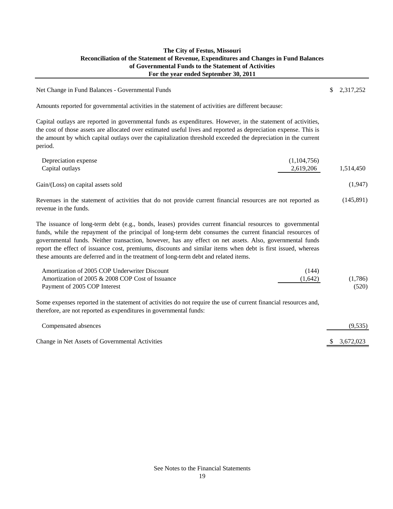### **The City of Festus, Missouri Reconciliation of the Statement of Revenue, Expenditures and Changes in Fund Balances of Governmental Funds to the Statement of Activities For the year ended September 30, 2011**

\$ 2,317,252

Net Change in Fund Balances - Governmental Funds

Amounts reported for governmental activities in the statement of activities are different because:

Capital outlays are reported in governmental funds as expenditures. However, in the statement of activities, the cost of those assets are allocated over estimated useful lives and reported as depreciation expense. This is the amount by which capital outlays over the capitalization threshold exceeded the depreciation in the current period.

| (1,104,756) |           |  |  |
|-------------|-----------|--|--|
| 2,619,206   | 1.514.450 |  |  |
|             | (1,947)   |  |  |
|             |           |  |  |

 (145,891) Revenues in the statement of activities that do not provide current financial resources are not reported as revenue in the funds.

The issuance of long-term debt (e.g., bonds, leases) provides current financial resources to governmental funds, while the repayment of the principal of long-term debt consumes the current financial resources of governmental funds. Neither transaction, however, has any effect on net assets. Also, governmental funds report the effect of issuance cost, premiums, discounts and similar items when debt is first issued, whereas these amounts are deferred and in the treatment of long-term debt and related items.

| Amortization of 2005 COP Underwriter Discount    | (144)   |         |
|--------------------------------------------------|---------|---------|
| Amortization of 2005 & 2008 COP Cost of Issuance | (1.642) | (1,786) |
| Payment of 2005 COP Interest                     |         | (520)   |

Some expenses reported in the statement of activities do not require the use of current financial resources and, therefore, are not reported as expenditures in governmental funds:

| Compensated absences                            | (9, 535)    |
|-------------------------------------------------|-------------|
| Change in Net Assets of Governmental Activities | \$3,672,023 |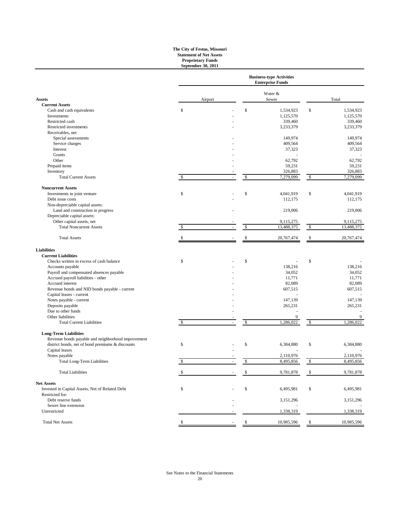#### **The City of Festus, Missouri Statement of Net Assets Proprietary Funds September 30, 2011**

|                                                    |                             | <b>Business-type Activities</b><br><b>Enterprise Funds</b> |            |                |  |  |
|----------------------------------------------------|-----------------------------|------------------------------------------------------------|------------|----------------|--|--|
| <b>Assets</b>                                      | Water &<br>Airport<br>Sewer |                                                            |            | Total          |  |  |
| <b>Current Assets</b>                              |                             |                                                            |            |                |  |  |
| Cash and cash equivalents                          | \$<br>\$                    | 1,534,923                                                  | \$         | 1,534,923      |  |  |
| Investments                                        |                             | 1,125,570                                                  |            | 1,125,570      |  |  |
| Restricted cash                                    |                             | 339,460                                                    |            | 339,460        |  |  |
| Restricted investments                             |                             | 3,233,379                                                  |            | 3,233,379      |  |  |
| Receivables, net                                   |                             |                                                            |            |                |  |  |
| Special assessments                                |                             | 149,974                                                    |            | 149,974        |  |  |
| Service charges                                    |                             | 409,564                                                    |            | 409,564        |  |  |
| Interest                                           |                             | 37,323                                                     |            | 37,323         |  |  |
| Grants                                             |                             |                                                            |            |                |  |  |
| Other                                              |                             | 62,792                                                     |            | 62,792         |  |  |
| Prepaid items                                      |                             | 59,231                                                     |            | 59,231         |  |  |
| Inventory                                          |                             | 326,883                                                    |            | 326,883        |  |  |
| <b>Total Current Assets</b>                        | \$<br>$\sqrt{s}$            | 7,279,099                                                  | $\sqrt{2}$ | 7,279,099      |  |  |
| <b>Noncurrent Assets</b>                           |                             |                                                            |            |                |  |  |
| Investments in joint venture                       | \$<br>\$                    | 4,041,919                                                  | \$         | 4,041,919      |  |  |
| Debt issue costs                                   |                             | 112,175                                                    |            | 112,175        |  |  |
| Non-depreciable capital assets:                    |                             |                                                            |            |                |  |  |
|                                                    |                             |                                                            |            |                |  |  |
| Land and construction in progress                  |                             | 219,006                                                    |            | 219,006        |  |  |
| Depreciable capital assets:                        |                             |                                                            |            |                |  |  |
| Other capital assets, net                          |                             | 9,115,275                                                  |            | 9,115,275      |  |  |
| <b>Total Noncurrent Assets</b>                     | \$<br>\$                    | 13,488,375                                                 | $\sqrt{3}$ | 13,488,375     |  |  |
| <b>Total Assets</b>                                |                             | 20,767,474                                                 |            | 20,767,474     |  |  |
| <b>Liabilities</b>                                 |                             |                                                            |            |                |  |  |
| <b>Current Liabilities</b>                         |                             |                                                            |            |                |  |  |
| Checks written in excess of cash balance           | \$<br>\$                    | ÷,                                                         | \$         |                |  |  |
| Accounts payable                                   |                             | 138,216                                                    |            | 138,216        |  |  |
| Payroll and compensated absences payable           |                             | 34,052                                                     |            | 34,052         |  |  |
| Accrued payroll liabilities - other                |                             | 11,771                                                     |            | 11,771         |  |  |
| Accrued interest                                   |                             | 82,089                                                     |            | 82,089         |  |  |
| Revenue bonds and NID bonds payable - current      |                             | 607,515                                                    |            | 607,515        |  |  |
| Capital leases - current                           |                             |                                                            |            |                |  |  |
| Notes payable - current                            |                             | 147,139                                                    |            | 147,139        |  |  |
| Deposits payable                                   |                             | 265,231                                                    |            | 265,231        |  |  |
| Due to other funds                                 |                             |                                                            |            |                |  |  |
| Other liabilities                                  |                             | 9                                                          |            | $\overline{9}$ |  |  |
| <b>Total Current Liabilities</b>                   | \$                          | 1,286,022                                                  | $\sqrt{3}$ | 1.286,022      |  |  |
|                                                    | \$                          |                                                            |            |                |  |  |
| <b>Long-Term Liabilities</b>                       |                             |                                                            |            |                |  |  |
| Revenue bonds payable and neighborhood improvement |                             |                                                            |            |                |  |  |
| district bonds, net of bond premiums & discounts   | \$<br>\$                    | 6,384,880                                                  | \$         | 6,384,880      |  |  |
| Capital leases                                     |                             |                                                            |            |                |  |  |
| Notes payable                                      |                             | 2,110,976                                                  |            | 2,110,976      |  |  |
| Total Long-Term Liabilities                        | P                           | 8,495,856                                                  | \$         | 8,495,856      |  |  |
| <b>Total Liabilities</b>                           | \$<br>\$                    | 9,781,878                                                  | \$         | 9,781,878      |  |  |
| <b>Net Assets</b>                                  |                             |                                                            |            |                |  |  |
| Invested in Capital Assets, Net of Related Debt    | \$<br>\$                    | 6,495,981                                                  | \$         | 6,495,981      |  |  |
| Restricted for:                                    |                             |                                                            |            |                |  |  |
| Debt reserve funds                                 |                             |                                                            |            |                |  |  |
| Sewer line extension                               |                             | 3,151,296                                                  |            | 3,151,296      |  |  |
| Unrestricted                                       |                             | 1,338,319                                                  |            | 1,338,319      |  |  |
|                                                    |                             |                                                            |            |                |  |  |
| <b>Total Net Assets</b>                            |                             | 10,985,596                                                 |            | 10,985,596     |  |  |
|                                                    |                             |                                                            |            |                |  |  |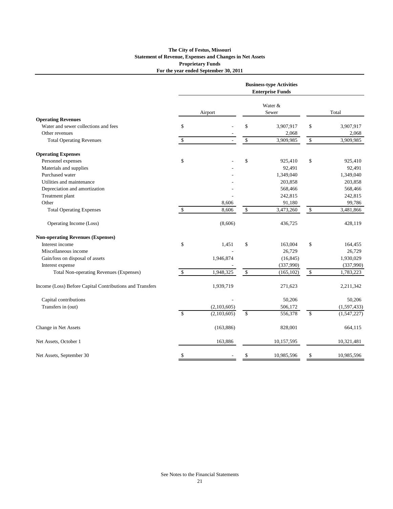#### **The City of Festus, Missouri Statement of Revenue, Expenses and Changes in Net Assets Proprietary Funds For the year ended September 30, 2011**

|                                                          |                    |             |                      | <b>Business-type Activities</b><br><b>Enterprise Funds</b> |                         |             |
|----------------------------------------------------------|--------------------|-------------|----------------------|------------------------------------------------------------|-------------------------|-------------|
|                                                          |                    | Airport     |                      | Water &<br>Sewer                                           |                         | Total       |
| <b>Operating Revenues</b>                                |                    |             |                      |                                                            |                         |             |
| Water and sewer collections and fees                     | \$                 |             | \$                   | 3,907,917                                                  | \$                      | 3,907,917   |
| Other revenues                                           |                    |             |                      | 2,068                                                      |                         | 2,068       |
| <b>Total Operating Revenues</b>                          | $\mathbb{S}$       |             | $\sqrt{\frac{2}{3}}$ | 3,909,985                                                  | $\sqrt{2}$              | 3,909,985   |
| <b>Operating Expenses</b>                                |                    |             |                      |                                                            |                         |             |
| Personnel expenses                                       | \$                 |             | \$                   | 925,410                                                    | \$                      | 925,410     |
| Materials and supplies                                   |                    |             |                      | 92,491                                                     |                         | 92,491      |
| Purchased water                                          |                    |             |                      | 1,349,040                                                  |                         | 1,349,040   |
| Utilities and maintenance                                |                    |             |                      | 203,858                                                    |                         | 203,858     |
| Depreciation and amortization                            |                    |             |                      | 568,466                                                    |                         | 568,466     |
| Treatment plant                                          |                    |             |                      | 242,815                                                    |                         | 242,815     |
| Other                                                    |                    | 8,606       |                      | 91,180                                                     |                         | 99,786      |
| <b>Total Operating Expenses</b>                          | $\mathbf{\$}$      | 8,606       | $\$$                 | 3,473,260                                                  | $\sqrt{3}$              | 3,481,866   |
| Operating Income (Loss)                                  |                    | (8,606)     |                      | 436,725                                                    |                         | 428,119     |
| <b>Non-operating Revenues (Expenses)</b>                 |                    |             |                      |                                                            |                         |             |
| Interest income                                          | \$                 | 1,451       | \$                   | 163,004                                                    | \$                      | 164,455     |
| Miscellaneous income                                     |                    |             |                      | 26,729                                                     |                         | 26,729      |
| Gain/loss on disposal of assets                          |                    | 1,946,874   |                      | (16, 845)                                                  |                         | 1,930,029   |
| Interest expense                                         |                    |             |                      | (337,990)                                                  |                         | (337,990)   |
| Total Non-operating Revenues (Expenses)                  | $\sqrt[6]{3}$      | 1,948,325   | $\sqrt[6]{3}$        | (165, 102)                                                 | $\overline{\mathbf{S}}$ | 1,783,223   |
| Income (Loss) Before Capital Contributions and Transfers |                    | 1,939,719   |                      | 271,623                                                    |                         | 2,211,342   |
| Capital contributions                                    |                    |             |                      | 50,206                                                     |                         | 50,206      |
| Transfers in (out)                                       |                    | (2,103,605) |                      | 506,172                                                    |                         | (1,597,433) |
|                                                          | $\mathbf{\hat{S}}$ | (2,103,605) | \$                   | 556,378                                                    | $\mathbf{\hat{S}}$      | (1,547,227) |
| Change in Net Assets                                     |                    | (163, 886)  |                      | 828,001                                                    |                         | 664,115     |
| Net Assets, October 1                                    |                    | 163,886     |                      | 10,157,595                                                 |                         | 10,321,481  |
| Net Assets, September 30                                 | -S                 |             | S                    | 10,985,596                                                 | S                       | 10,985,596  |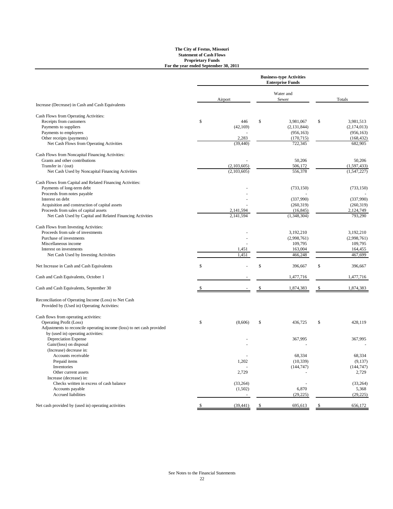#### **The City of Festus, Missouri Statement of Cash Flows Proprietary Funds For the year ended September 30, 2011**

|                                                                                                      |                    | <b>Business-type Activities</b><br><b>Enterprise Funds</b> |    |                       |
|------------------------------------------------------------------------------------------------------|--------------------|------------------------------------------------------------|----|-----------------------|
|                                                                                                      | Airport            | Water and<br>Sewer                                         |    | Totals                |
| Increase (Decrease) in Cash and Cash Equivalents                                                     |                    |                                                            |    |                       |
| Cash Flows from Operating Activities:                                                                |                    |                                                            |    |                       |
| Receipts from customers                                                                              | \$<br>446          | \$<br>3,981,067                                            | \$ | 3,981,513             |
| Payments to suppliers                                                                                | (42, 169)          | (2, 131, 844)                                              |    | (2,174,013)           |
| Payments to employees<br>Other receipts (payments)                                                   |                    | (956, 163)                                                 |    | (956, 163)            |
| Net Cash Flows from Operating Activities                                                             | 2,283<br>(39, 440) | (170, 715)<br>722.345                                      |    | (168, 432)<br>682,905 |
|                                                                                                      |                    |                                                            |    |                       |
| Cash Flows from Noncapital Financing Activities:                                                     |                    |                                                            |    |                       |
| Grants and other contributions                                                                       |                    | 50,206                                                     |    | 50,206                |
| Transfer in / (out)                                                                                  | (2,103,605)        | 506,172                                                    |    | (1, 597, 433)         |
| Net Cash Used by Noncapital Financing Activities                                                     | (2,103,605)        | 556,378                                                    |    | (1, 547, 227)         |
| Cash Flows from Capital and Related Financing Activities:                                            |                    |                                                            |    |                       |
| Payments of long-term debt                                                                           |                    | (733, 150)                                                 |    | (733, 150)            |
| Proceeds from notes payable                                                                          |                    |                                                            |    |                       |
| Interest on debt                                                                                     |                    | (337,990)                                                  |    | (337,990)             |
| Acquisition and construction of capital assets                                                       |                    | (260, 319)                                                 |    | (260, 319)            |
| Proceeds from sales of capital assets                                                                | 2,141,594          | (16, 845)                                                  |    | 2,124,749             |
| Net Cash Used by Capital and Related Financing Activities                                            | 2,141,594          | (1,348,304)                                                |    | 793,290               |
| Cash Flows from Investing Activities:                                                                |                    |                                                            |    |                       |
| Proceeds from sale of investments                                                                    |                    | 3,192,210                                                  |    | 3,192,210             |
| Purchase of investments                                                                              |                    | (2,998,761)                                                |    | (2,998,761)           |
| Miscellaneous income                                                                                 |                    | 109,795                                                    |    | 109,795               |
| Interest on investments                                                                              | 1,451              | 163,004                                                    |    | 164,455               |
| Net Cash Used by Investing Activities                                                                | 1,451              | 466,248                                                    |    | 467,699               |
| Net Increase in Cash and Cash Equivalents                                                            | \$                 | \$<br>396,667                                              | \$ | 396,667               |
| Cash and Cash Equivalents, October 1                                                                 |                    | 1,477,716                                                  |    | 1,477,716             |
| Cash and Cash Equivalents, September 30                                                              | \$                 | 1,874,383                                                  | S  | 1,874,383             |
| Reconciliation of Operating Income (Loss) to Net Cash<br>Provided by (Used in) Operating Activities: |                    |                                                            |    |                       |
| Cash flows from operating activities:                                                                |                    |                                                            |    |                       |
| Operating Profit (Loss)                                                                              | \$<br>(8,606)      | \$<br>436,725                                              | \$ | 428,119               |
| Adjustments to reconcile operating income (loss) to net cash provided                                |                    |                                                            |    |                       |
| by (used in) operating activities:                                                                   |                    |                                                            |    |                       |
| Depreciation Expense                                                                                 |                    | 367,995                                                    |    | 367,995               |
| Gain/(loss) on disposal<br>(Increase) decrease in:                                                   |                    |                                                            |    |                       |
| Accounts receivable                                                                                  |                    | 68,334                                                     |    | 68,334                |
| Prepaid items                                                                                        | 1,202              | (10, 339)                                                  |    | (9,137)               |
| Inventories                                                                                          |                    | (144, 747)                                                 |    | (144, 747)            |
| Other current assets                                                                                 | 2,729              |                                                            |    | 2,729                 |
| Increase (decrease) in:                                                                              |                    |                                                            |    |                       |
| Checks written in excess of cash balance                                                             | (33, 264)          |                                                            |    | (33,264)              |
| Accounts payable                                                                                     | (1,502)            | 6,870                                                      |    | 5,368                 |
| Accrued liabilities                                                                                  |                    | (29, 225)                                                  |    | (29, 225)             |
| Net cash provided by (used in) operating activities                                                  | (39, 441)          | 695,613                                                    | S  | 656,172               |
|                                                                                                      |                    |                                                            |    |                       |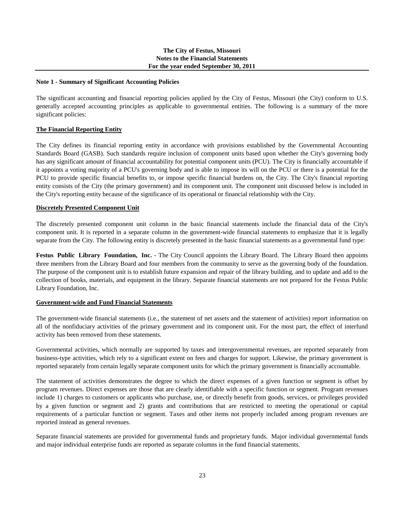#### **Note 1 - Summary of Significant Accounting Policies**

The significant accounting and financial reporting policies applied by the City of Festus, Missouri (the City) conform to U.S. generally accepted accounting principles as applicable to governmental entities. The following is a summary of the more significant policies:

#### **The Financial Reporting Entity**

The City defines its financial reporting entity in accordance with provisions established by the Governmental Accounting Standards Board (GASB). Such standards require inclusion of component units based upon whether the City's governing body has any significant amount of financial accountability for potential component units (PCU). The City is financially accountable if it appoints a voting majority of a PCU's governing body and is able to impose its will on the PCU or there is a potential for the PCU to provide specific financial benefits to, or impose specific financial burdens on, the City. The City's financial reporting entity consists of the City (the primary government) and its component unit. The component unit discussed below is included in the City's reporting entity because of the significance of its operational or financial relationship with the City.

#### **Discretely Presented Component Unit**

The discretely presented component unit column in the basic financial statements include the financial data of the City's component unit. It is reported in a separate column in the government-wide financial statements to emphasize that it is legally separate from the City. The following entity is discretely presented in the basic financial statements as a governmental fund type:

**Festus Public Library Foundation, Inc.** - The City Council appoints the Library Board. The Library Board then appoints three members from the Library Board and four members from the community to serve as the governing body of the foundation. The purpose of the component unit is to establish future expansion and repair of the library building, and to update and add to the collection of books, materials, and equipment in the library. Separate financial statements are not prepared for the Festus Public Library Foundation, Inc.

#### **Government-wide and Fund Financial Statements**

The government-wide financial statements (i.e., the statement of net assets and the statement of activities) report information on all of the nonfiduciary activities of the primary government and its component unit. For the most part, the effect of interfund activity has been removed from these statements.

Governmental activities, which normally are supported by taxes and intergovernmental revenues, are reported separately from business-type activities, which rely to a significant extent on fees and charges for support. Likewise, the primary government is reported separately from certain legally separate component units for which the primary government is financially accountable.

The statement of activities demonstrates the degree to which the direct expenses of a given function or segment is offset by program revenues. Direct expenses are those that are clearly identifiable with a specific function or segment. Program revenues include 1) charges to customers or applicants who purchase, use, or directly benefit from goods, services, or privileges provided by a given function or segment and 2) grants and contributions that are restricted to meeting the operational or capital requirements of a particular function or segment. Taxes and other items not properly included among program revenues are reported instead as general revenues.

Separate financial statements are provided for governmental funds and proprietary funds. Major individual governmental funds and major individual enterprise funds are reported as separate columns in the fund financial statements.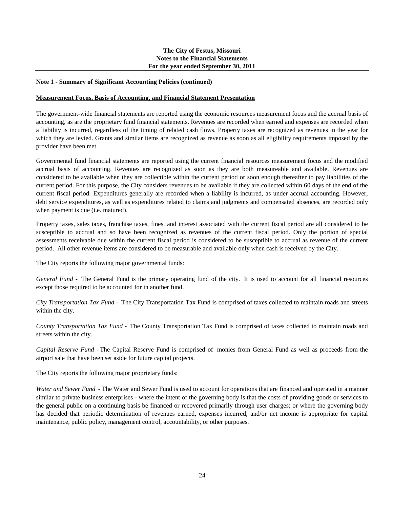### **The City of Festus, Missouri Notes to the Financial Statements For the year ended September 30, 2011**

#### **Note 1 - Summary of Significant Accounting Policies (continued)**

#### **Measurement Focus, Basis of Accounting, and Financial Statement Presentation**

The government-wide financial statements are reported using the economic resources measurement focus and the accrual basis of accounting, as are the proprietary fund financial statements. Revenues are recorded when earned and expenses are recorded when a liability is incurred, regardless of the timing of related cash flows. Property taxes are recognized as revenues in the year for which they are levied. Grants and similar items are recognized as revenue as soon as all eligibility requirements imposed by the provider have been met.

Governmental fund financial statements are reported using the current financial resources measurement focus and the modified accrual basis of accounting. Revenues are recognized as soon as they are both measureable and available. Revenues are considered to be available when they are collectible within the current period or soon enough thereafter to pay liabilities of the current period. For this purpose, the City considers revenues to be available if they are collected within 60 days of the end of the current fiscal period. Expenditures generally are recorded when a liability is incurred, as under accrual accounting. However, debt service expenditures, as well as expenditures related to claims and judgments and compensated absences, are recorded only when payment is due (i.e. matured).

Property taxes, sales taxes, franchise taxes, fines, and interest associated with the current fiscal period are all considered to be susceptible to accrual and so have been recognized as revenues of the current fiscal period. Only the portion of special assessments receivable due within the current fiscal period is considered to be susceptible to accrual as revenue of the current period. All other revenue items are considered to be measurable and available only when cash is received by the City.

The City reports the following major governmental funds:

*General Fund -* The General Fund is the primary operating fund of the city. It is used to account for all financial resources except those required to be accounted for in another fund.

*City Transportation Tax Fund -* The City Transportation Tax Fund is comprised of taxes collected to maintain roads and streets within the city.

*County Transportation Tax Fund -* The County Transportation Tax Fund is comprised of taxes collected to maintain roads and streets within the city.

*Capital Reserve Fund -* The Capital Reserve Fund is comprised of monies from General Fund as well as proceeds from the airport sale that have been set aside for future capital projects.

The City reports the following major proprietary funds:

*Water and Sewer Fund* - The Water and Sewer Fund is used to account for operations that are financed and operated in a manner similar to private business enterprises - where the intent of the governing body is that the costs of providing goods or services to the general public on a continuing basis be financed or recovered primarily through user charges; or where the governing body has decided that periodic determination of revenues earned, expenses incurred, and/or net income is appropriate for capital maintenance, public policy, management control, accountability, or other purposes.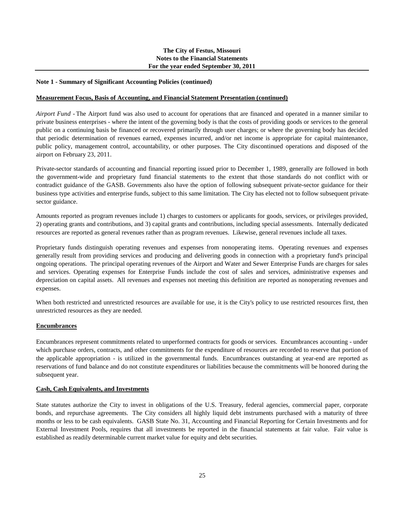### **The City of Festus, Missouri Notes to the Financial Statements For the year ended September 30, 2011**

#### **Note 1 - Summary of Significant Accounting Policies (continued)**

#### **Measurement Focus, Basis of Accounting, and Financial Statement Presentation (continued)**

*Airport Fund -* The Airport fund was also used to account for operations that are financed and operated in a manner similar to private business enterprises - where the intent of the governing body is that the costs of providing goods or services to the general public on a continuing basis be financed or recovered primarily through user charges; or where the governing body has decided that periodic determination of revenues earned, expenses incurred, and/or net income is appropriate for capital maintenance, public policy, management control, accountability, or other purposes. The City discontinued operations and disposed of the airport on February 23, 2011.

Private-sector standards of accounting and financial reporting issued prior to December 1, 1989, generally are followed in both the government-wide and proprietary fund financial statements to the extent that those standards do not conflict with or contradict guidance of the GASB. Governments also have the option of following subsequent private-sector guidance for their business type activities and enterprise funds, subject to this same limitation. The City has elected not to follow subsequent privatesector guidance.

Amounts reported as program revenues include 1) charges to customers or applicants for goods, services, or privileges provided, 2) operating grants and contributions, and 3) capital grants and contributions, including special assessments. Internally dedicated resources are reported as general revenues rather than as program revenues. Likewise, general revenues include all taxes.

Proprietary funds distinguish operating revenues and expenses from nonoperating items. Operating revenues and expenses generally result from providing services and producing and delivering goods in connection with a proprietary fund's principal ongoing operations. The principal operating revenues of the Airport and Water and Sewer Enterprise Funds are charges for sales and services. Operating expenses for Enterprise Funds include the cost of sales and services, administrative expenses and depreciation on capital assets. All revenues and expenses not meeting this definition are reported as nonoperating revenues and expenses.

When both restricted and unrestricted resources are available for use, it is the City's policy to use restricted resources first, then unrestricted resources as they are needed.

#### **Encumbrances**

Encumbrances represent commitments related to unperformed contracts for goods or services. Encumbrances accounting - under which purchase orders, contracts, and other commitments for the expenditure of resources are recorded to reserve that portion of the applicable appropriation - is utilized in the governmental funds. Encumbrances outstanding at year-end are reported as reservations of fund balance and do not constitute expenditures or liabilities because the commitments will be honored during the subsequent year.

#### **Cash, Cash Equivalents, and Investments**

State statutes authorize the City to invest in obligations of the U.S. Treasury, federal agencies, commercial paper, corporate bonds, and repurchase agreements. The City considers all highly liquid debt instruments purchased with a maturity of three months or less to be cash equivalents. GASB State No. 31, Accounting and Financial Reporting for Certain Investments and for External Investment Pools, requires that all investments be reported in the financial statements at fair value. Fair value is established as readily determinable current market value for equity and debt securities.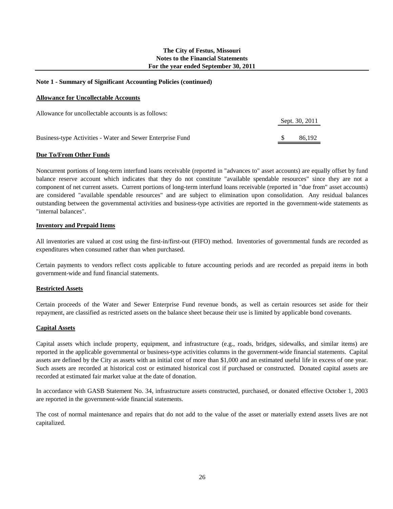#### **Note 1 - Summary of Significant Accounting Policies (continued)**

#### **Allowance for Uncollectable Accounts**

| Allowance for uncollectable accounts is as follows:        | Sept. 30, 2011 |
|------------------------------------------------------------|----------------|
| Business-type Activities - Water and Sewer Enterprise Fund | 86.192         |

#### **Due To/From Other Funds**

Noncurrent portions of long-term interfund loans receivable (reported in "advances to" asset accounts) are equally offset by fund balance reserve account which indicates that they do not constitute "available spendable resources" since they are not a component of net current assets. Current portions of long-term interfund loans receivable (reported in "due from" asset accounts) are considered "available spendable resources" and are subject to elimination upon consolidation. Any residual balances outstanding between the governmental activities and business-type activities are reported in the government-wide statements as "internal balances".

#### **Inventory and Prepaid Items**

All inventories are valued at cost using the first-in/first-out (FIFO) method. Inventories of governmental funds are recorded as expenditures when consumed rather than when purchased.

Certain payments to vendors reflect costs applicable to future accounting periods and are recorded as prepaid items in both government-wide and fund financial statements.

#### **Restricted Assets**

Certain proceeds of the Water and Sewer Enterprise Fund revenue bonds, as well as certain resources set aside for their repayment, are classified as restricted assets on the balance sheet because their use is limited by applicable bond covenants.

#### **Capital Assets**

Capital assets which include property, equipment, and infrastructure (e.g., roads, bridges, sidewalks, and similar items) are reported in the applicable governmental or business-type activities columns in the government-wide financial statements. Capital assets are defined by the City as assets with an initial cost of more than \$1,000 and an estimated useful life in excess of one year. Such assets are recorded at historical cost or estimated historical cost if purchased or constructed. Donated capital assets are recorded at estimated fair market value at the date of donation.

In accordance with GASB Statement No. 34, infrastructure assets constructed, purchased, or donated effective October 1, 2003 are reported in the government-wide financial statements.

The cost of normal maintenance and repairs that do not add to the value of the asset or materially extend assets lives are not capitalized.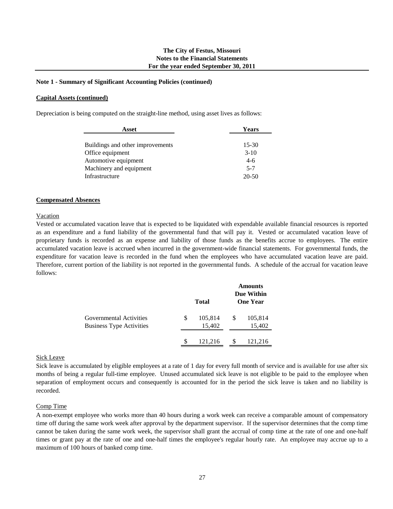#### **Note 1 - Summary of Significant Accounting Policies (continued)**

#### **Capital Assets (continued)**

Depreciation is being computed on the straight-line method, using asset lives as follows:

| Asset                            | Years   |
|----------------------------------|---------|
|                                  |         |
| Buildings and other improvements | $15-30$ |
| Office equipment                 | $3-10$  |
| Automotive equipment             | $4-6$   |
| Machinery and equipment          | $5 - 7$ |
| Infrastructure                   | 20-50   |

#### **Compensated Absences**

#### Vacation

Vested or accumulated vacation leave that is expected to be liquidated with expendable available financial resources is reported as an expenditure and a fund liability of the governmental fund that will pay it. Vested or accumulated vacation leave of proprietary funds is recorded as an expense and liability of those funds as the benefits accrue to employees. The entire accumulated vacation leave is accrued when incurred in the government-wide financial statements. For governmental funds, the expenditure for vacation leave is recorded in the fund when the employees who have accumulated vacation leave are paid. Therefore, current portion of the liability is not reported in the governmental funds. A schedule of the accrual for vacation leave follows:

|                                                            | <b>Total</b> |                   |    | <b>Amounts</b><br>Due Within<br><b>One Year</b> |  |  |
|------------------------------------------------------------|--------------|-------------------|----|-------------------------------------------------|--|--|
| Governmental Activities<br><b>Business Type Activities</b> | \$           | 105,814<br>15,402 | \$ | 105,814<br>15,402                               |  |  |
|                                                            |              | 121,216           | S  | 121,216                                         |  |  |

#### Sick Leave

Sick leave is accumulated by eligible employees at a rate of 1 day for every full month of service and is available for use after six months of being a regular full-time employee. Unused accumulated sick leave is not eligible to be paid to the employee when separation of employment occurs and consequently is accounted for in the period the sick leave is taken and no liability is recorded.

#### Comp Time

A non-exempt employee who works more than 40 hours during a work week can receive a comparable amount of compensatory time off during the same work week after approval by the department supervisor. If the supervisor determines that the comp time cannot be taken during the same work week, the supervisor shall grant the accrual of comp time at the rate of one and one-half times or grant pay at the rate of one and one-half times the employee's regular hourly rate. An employee may accrue up to a maximum of 100 hours of banked comp time.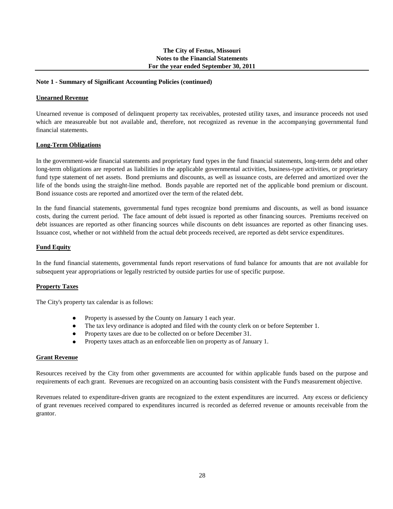#### **Note 1 - Summary of Significant Accounting Policies (continued)**

#### **Unearned Revenue**

Unearned revenue is composed of delinquent property tax receivables, protested utility taxes, and insurance proceeds not used which are measureable but not available and, therefore, not recognized as revenue in the accompanying governmental fund financial statements.

#### **Long-Term Obligations**

In the government-wide financial statements and proprietary fund types in the fund financial statements, long-term debt and other long-term obligations are reported as liabilities in the applicable governmental activities, business-type activities, or proprietary fund type statement of net assets. Bond premiums and discounts, as well as issuance costs, are deferred and amortized over the life of the bonds using the straight-line method. Bonds payable are reported net of the applicable bond premium or discount. Bond issuance costs are reported and amortized over the term of the related debt.

In the fund financial statements, governmental fund types recognize bond premiums and discounts, as well as bond issuance costs, during the current period. The face amount of debt issued is reported as other financing sources. Premiums received on debt issuances are reported as other financing sources while discounts on debt issuances are reported as other financing uses. Issuance cost, whether or not withheld from the actual debt proceeds received, are reported as debt service expenditures.

#### **Fund Equity**

In the fund financial statements, governmental funds report reservations of fund balance for amounts that are not available for subsequent year appropriations or legally restricted by outside parties for use of specific purpose.

#### **Property Taxes**

The City's property tax calendar is as follows:

- Property is assessed by the County on January 1 each year.
- The tax levy ordinance is adopted and filed with the county clerk on or before September 1.
- Property taxes are due to be collected on or before December 31.
- Property taxes attach as an enforceable lien on property as of January 1.

#### **Grant Revenue**

Resources received by the City from other governments are accounted for within applicable funds based on the purpose and requirements of each grant. Revenues are recognized on an accounting basis consistent with the Fund's measurement objective.

Revenues related to expenditure-driven grants are recognized to the extent expenditures are incurred. Any excess or deficiency of grant revenues received compared to expenditures incurred is recorded as deferred revenue or amounts receivable from the grantor.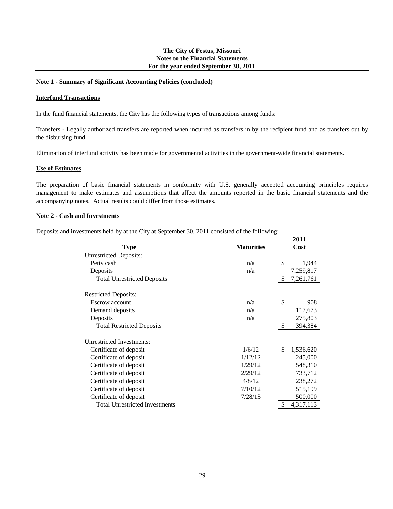#### **Note 1 - Summary of Significant Accounting Policies (concluded)**

#### **Interfund Transactions**

In the fund financial statements, the City has the following types of transactions among funds:

Transfers - Legally authorized transfers are reported when incurred as transfers in by the recipient fund and as transfers out by the disbursing fund.

Elimination of interfund activity has been made for governmental activities in the government-wide financial statements.

#### **Use of Estimates**

The preparation of basic financial statements in conformity with U.S. generally accepted accounting principles requires management to make estimates and assumptions that affect the amounts reported in the basic financial statements and the accompanying notes. Actual results could differ from those estimates.

#### **Note 2 - Cash and Investments**

Deposits and investments held by at the City at September 30, 2011 consisted of the following:

|                                       |                   | 2011            |
|---------------------------------------|-------------------|-----------------|
| Type                                  | <b>Maturities</b> | Cost            |
| <b>Unrestricted Deposits:</b>         |                   |                 |
| Petty cash                            | n/a               | \$<br>1,944     |
| Deposits                              | n/a               | 7,259,817       |
| <b>Total Unrestricted Deposits</b>    |                   | \$<br>7,261,761 |
| <b>Restricted Deposits:</b>           |                   |                 |
| <b>Escrow</b> account                 | n/a               | \$<br>908       |
| Demand deposits                       | n/a               | 117,673         |
| Deposits                              | n/a               | 275,803         |
| <b>Total Restricted Deposits</b>      |                   | \$<br>394,384   |
| Unrestricted Investments:             |                   |                 |
| Certificate of deposit                | 1/6/12            | \$<br>1,536,620 |
| Certificate of deposit                | 1/12/12           | 245,000         |
| Certificate of deposit                | 1/29/12           | 548,310         |
| Certificate of deposit                | 2/29/12           | 733,712         |
| Certificate of deposit                | 4/8/12            | 238,272         |
| Certificate of deposit                | 7/10/12           | 515,199         |
| Certificate of deposit                | 7/28/13           | 500,000         |
| <b>Total Unrestricted Investments</b> |                   | \$<br>4,317,113 |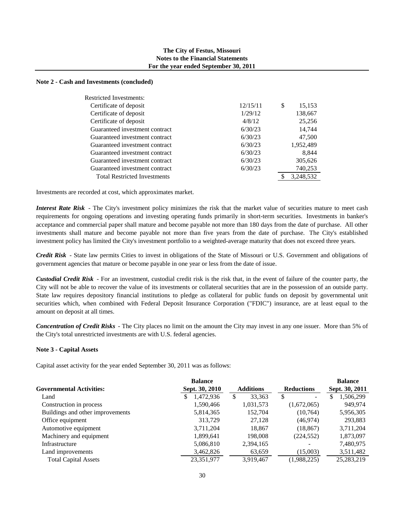### **The City of Festus, Missouri Notes to the Financial Statements For the year ended September 30, 2011**

#### **Note 2 - Cash and Investments (concluded)**

| <b>Restricted Investments:</b>      |          |              |
|-------------------------------------|----------|--------------|
| Certificate of deposit              | 12/15/11 | \$<br>15,153 |
| Certificate of deposit              | 1/29/12  | 138,667      |
| Certificate of deposit              | 4/8/12   | 25,256       |
| Guaranteed investment contract      | 6/30/23  | 14,744       |
| Guaranteed investment contract      | 6/30/23  | 47,500       |
| Guaranteed investment contract      | 6/30/23  | 1,952,489    |
| Guaranteed investment contract      | 6/30/23  | 8,844        |
| Guaranteed investment contract      | 6/30/23  | 305,626      |
| Guaranteed investment contract      | 6/30/23  | 740,253      |
| <b>Total Restricted Investments</b> |          | 3.248.532    |

Investments are recorded at cost, which approximates market.

*Interest Rate Risk* - The City's investment policy minimizes the risk that the market value of securities mature to meet cash requirements for ongoing operations and investing operating funds primarily in short-term securities. Investments in banker's acceptance and commercial paper shall mature and become payable not more than 180 days from the date of purchase. All other investments shall mature and become payable not more than five years from the date of purchase. The City's established investment policy has limited the City's investment portfolio to a weighted-average maturity that does not exceed three years.

*Credit Risk* - State law permits Cities to invest in obligations of the State of Missouri or U.S. Government and obligations of government agencies that mature or become payable in one year or less from the date of issue.

*Custodial Credit Risk* - For an investment, custodial credit risk is the risk that, in the event of failure of the counter party, the City will not be able to recover the value of its investments or collateral securities that are in the possession of an outside party. State law requires depository financial institutions to pledge as collateral for public funds on deposit by governmental unit securities which, when combined with Federal Deposit Insurance Corporation ("FDIC") insurance, are at least equal to the amount on deposit at all times.

*Concentration of Credit Risks* - The City places no limit on the amount the City may invest in any one issuer. More than 5% of the City's total unrestricted investments are with U.S. federal agencies.

#### **Note 3 - Capital Assets**

Capital asset activity for the year ended September 30, 2011 was as follows:

|                                  | <b>Balance</b> |                  |                   | <b>Balance</b> |
|----------------------------------|----------------|------------------|-------------------|----------------|
| <b>Governmental Activities:</b>  | Sept. 30, 2010 | <b>Additions</b> | <b>Reductions</b> | Sept. 30, 2011 |
| Land                             | 1,472,936<br>S | 33,363<br>\$     | S<br>-            | 1,506,299<br>S |
| Construction in process          | 1,590,466      | 1,031,573        | (1,672,065)       | 949,974        |
| Buildings and other improvements | 5,814,365      | 152,704          | (10, 764)         | 5,956,305      |
| Office equipment                 | 313,729        | 27,128           | (46, 974)         | 293,883        |
| Automotive equipment             | 3,711,204      | 18,867           | (18, 867)         | 3,711,204      |
| Machinery and equipment          | 1,899,641      | 198,008          | (224, 552)        | 1,873,097      |
| Infrastructure                   | 5,086,810      | 2,394,165        |                   | 7,480,975      |
| Land improvements                | 3,462,826      | 63,659           | (15,003)          | 3,511,482      |
| <b>Total Capital Assets</b>      | 23,351,977     | 3,919,467        | (1,988,225)       | 25,283,219     |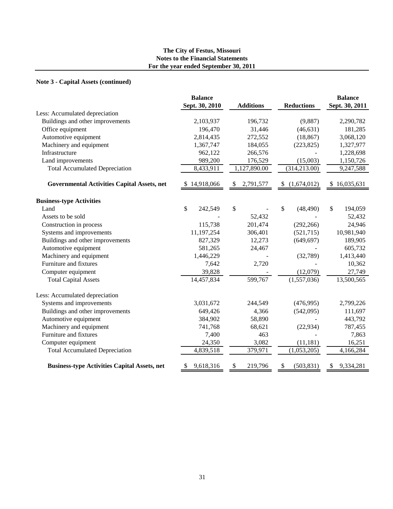### **Notes to the Financial Statements For the year ended September 30, 2011 The City of Festus, Missouri**

### **Note 3 - Capital Assets (continued)**

|                                                     | <b>Balance</b> |                  |                   | <b>Balance</b>  |  |  |
|-----------------------------------------------------|----------------|------------------|-------------------|-----------------|--|--|
|                                                     | Sept. 30, 2010 | <b>Additions</b> | <b>Reductions</b> | Sept. 30, 2011  |  |  |
| Less: Accumulated depreciation                      |                |                  |                   |                 |  |  |
| Buildings and other improvements                    | 2,103,937      | 196,732          | (9,887)           | 2,290,782       |  |  |
| Office equipment                                    | 196,470        | 31,446           | (46, 631)         | 181,285         |  |  |
| Automotive equipment                                | 2,814,435      | 272,552          | (18, 867)         | 3,068,120       |  |  |
| Machinery and equipment                             | 1,367,747      | 184,055          | (223, 825)        | 1,327,977       |  |  |
| Infrastructure                                      | 962,122        | 266,576          |                   | 1,228,698       |  |  |
| Land improvements                                   | 989,200        | 176,529          | (15,003)          | 1,150,726       |  |  |
| <b>Total Accumulated Depreciation</b>               | 8,433,911      | 1,127,890.00     | (314, 213.00)     | 9,247,588       |  |  |
| <b>Governmental Activities Capital Assets, net</b>  | \$14,918,066   | 2,791,577<br>\$  | (1,674,012)<br>\$ | \$16,035,631    |  |  |
| <b>Business-type Activities</b>                     |                |                  |                   |                 |  |  |
| Land                                                | \$<br>242,549  | \$               | \$<br>(48, 490)   | \$<br>194,059   |  |  |
| Assets to be sold                                   |                | 52,432           |                   | 52,432          |  |  |
| Construction in process                             | 115,738        | 201,474          | (292, 266)        | 24,946          |  |  |
| Systems and improvements                            | 11,197,254     | 306,401          | (521, 715)        | 10,981,940      |  |  |
| Buildings and other improvements                    | 827,329        | 12,273           | (649, 697)        | 189,905         |  |  |
| Automotive equipment                                | 581,265        | 24,467           |                   | 605,732         |  |  |
| Machinery and equipment                             | 1,446,229      |                  | (32,789)          | 1,413,440       |  |  |
| Furniture and fixtures                              | 7,642          | 2,720            |                   | 10,362          |  |  |
| Computer equipment                                  | 39,828         |                  | (12,079)          | 27,749          |  |  |
| <b>Total Capital Assets</b>                         | 14,457,834     | 599,767          | (1,557,036)       | 13,500,565      |  |  |
| Less: Accumulated depreciation                      |                |                  |                   |                 |  |  |
| Systems and improvements                            | 3,031,672      | 244,549          | (476,995)         | 2,799,226       |  |  |
| Buildings and other improvements                    | 649,426        | 4,366            | (542,095)         | 111,697         |  |  |
| Automotive equipment                                | 384,902        | 58,890           |                   | 443,792         |  |  |
| Machinery and equipment                             | 741,768        | 68,621           | (22, 934)         | 787,455         |  |  |
| Furniture and fixtures                              | 7,400          | 463              |                   | 7,863           |  |  |
| Computer equipment                                  | 24,350         | 3,082            | (11, 181)         | 16,251          |  |  |
| <b>Total Accumulated Depreciation</b>               | 4,839,518      | 379,971          | (1,053,205)       | 4,166,284       |  |  |
| <b>Business-type Activities Capital Assets, net</b> | 9,618,316      | 219,796          | (503, 831)<br>P.  | 9,334,281<br>P. |  |  |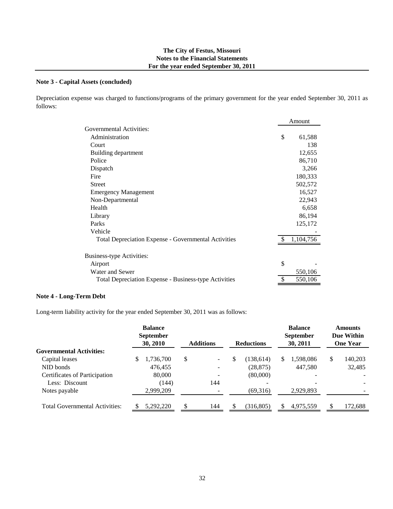### **Note 3 - Capital Assets (concluded)**

Depreciation expense was charged to functions/programs of the primary government for the year ended September 30, 2011 as follows:

|                                                             | Amount          |  |
|-------------------------------------------------------------|-----------------|--|
| Governmental Activities:                                    |                 |  |
| Administration                                              | \$<br>61,588    |  |
| Court                                                       | 138             |  |
| Building department                                         | 12,655          |  |
| Police                                                      | 86,710          |  |
| Dispatch                                                    | 3,266           |  |
| Fire                                                        | 180,333         |  |
| <b>Street</b>                                               | 502,572         |  |
| <b>Emergency Management</b>                                 | 16,527          |  |
| Non-Departmental                                            | 22,943          |  |
| Health                                                      | 6,658           |  |
| Library                                                     | 86,194          |  |
| Parks                                                       | 125,172         |  |
| Vehicle                                                     |                 |  |
| <b>Total Depreciation Expense - Governmental Activities</b> | \$<br>1,104,756 |  |
| <b>Business-type Activities:</b>                            |                 |  |
| Airport                                                     | \$              |  |
| Water and Sewer                                             | 550,106         |  |
| Total Depreciation Expense - Business-type Activities       | 550,106         |  |

#### **Note 4 - Long-Term Debt**

Long-term liability activity for the year ended September 30, 2011 was as follows:

|                                       |    | <b>Balance</b><br><b>September</b><br>30, 2010 |     | <b>Additions</b> |    | <b>Reductions</b> |    | <b>Balance</b><br><b>September</b><br>30, 2011 |    | <b>Amounts</b><br>Due Within<br><b>One Year</b> |  |
|---------------------------------------|----|------------------------------------------------|-----|------------------|----|-------------------|----|------------------------------------------------|----|-------------------------------------------------|--|
| <b>Governmental Activities:</b>       |    |                                                |     |                  |    |                   |    |                                                |    |                                                 |  |
| Capital leases                        | \$ | ,736,700                                       | \$  |                  | \$ | (138,614)         | S. | 1,598,086                                      | \$ | 140,203                                         |  |
| NID bonds                             |    | 476.455                                        |     |                  |    | (28, 875)         |    | 447,580                                        |    | 32,485                                          |  |
| Certificates of Participation         |    | 80,000                                         |     |                  |    | (80,000)          |    | $\overline{\phantom{0}}$                       |    |                                                 |  |
| Less: Discount                        |    | (144)                                          |     | 144              |    |                   |    |                                                |    |                                                 |  |
| Notes payable                         |    | 2,999,209                                      |     |                  |    | (69,316)          |    | 2,929,893                                      |    |                                                 |  |
| <b>Total Governmental Activities:</b> |    | 5,292,220                                      | \$. | 144              |    | (316, 805)        |    | 4,975,559                                      |    | 172,688                                         |  |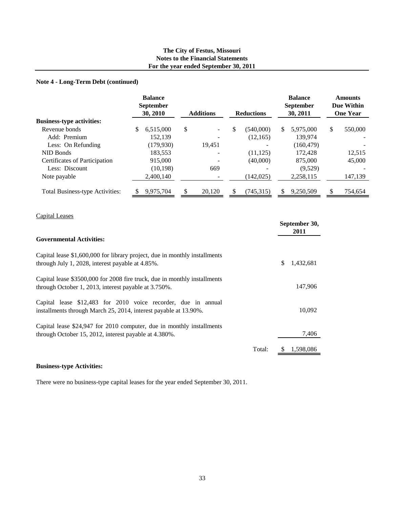## **Notes to the Financial Statements For the year ended September 30, 2011 The City of Festus, Missouri**

### **Note 4 - Long-Term Debt (continued)**

|                                  | <b>Balance</b><br><b>September</b><br>30, 2010<br><b>Additions</b> |    |        | <b>Reductions</b> |            |    | <b>Balance</b><br><b>September</b><br>30, 2011 | <b>Amounts</b><br>Due Within<br><b>One Year</b> |         |
|----------------------------------|--------------------------------------------------------------------|----|--------|-------------------|------------|----|------------------------------------------------|-------------------------------------------------|---------|
| <b>Business-type activities:</b> |                                                                    |    |        |                   |            |    |                                                |                                                 |         |
| Revenue bonds                    | \$<br>6,515,000                                                    | \$ |        | \$                | (540,000)  | S. | 5.975,000                                      | \$                                              | 550,000 |
| Add: Premium                     | 152.139                                                            |    |        |                   | (12, 165)  |    | 139,974                                        |                                                 |         |
| Less: On Refunding               | (179, 930)                                                         |    | 19.451 |                   |            |    | (160, 479)                                     |                                                 |         |
| NID Bonds                        | 183,553                                                            |    |        |                   | (11, 125)  |    | 172,428                                        |                                                 | 12,515  |
| Certificates of Participation    | 915,000                                                            |    |        |                   | (40,000)   |    | 875,000                                        |                                                 | 45,000  |
| Less: Discount                   | (10, 198)                                                          |    | 669    |                   |            |    | (9,529)                                        |                                                 |         |
| Note payable                     | 2,400,140                                                          |    |        |                   | (142, 025) |    | 2,258,115                                      |                                                 | 147,139 |
| Total Business-type Activities:  | 9,975,704                                                          |    | 20,120 | \$                | (745, 315) |    | 9,250,509                                      | \$                                              | 754,654 |

### Capital Leases

|                                                                                                                                   |        |   | September 30,<br>2011 |
|-----------------------------------------------------------------------------------------------------------------------------------|--------|---|-----------------------|
| <b>Governmental Activities:</b>                                                                                                   |        |   |                       |
| Capital lease \$1,600,000 for library project, due in monthly installments<br>through July 1, 2028, interest payable at 4.85%.    |        | S | 1,432,681             |
| Capital lease \$3500,000 for 2008 fire truck, due in monthly installments<br>through October 1, 2013, interest payable at 3.750%. |        |   | 147.906               |
| Capital lease \$12,483 for 2010 voice recorder, due in annual<br>installments through March 25, 2014, interest payable at 13.90%. |        |   | 10,092                |
| Capital lease \$24,947 for 2010 computer, due in monthly installments<br>through October 15, 2012, interest payable at 4.380%.    |        |   | 7,406                 |
|                                                                                                                                   | Total: | S | 1,598,086             |

### **Business-type Activities:**

There were no business-type capital leases for the year ended September 30, 2011.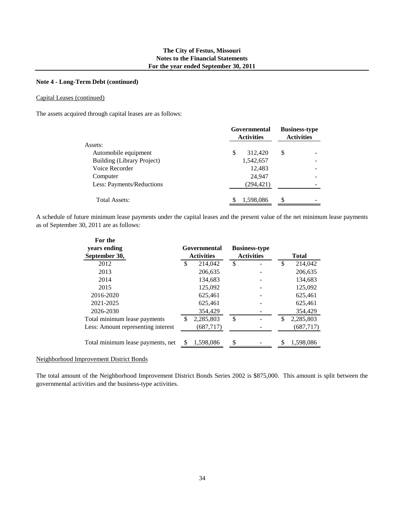### **Note 4 - Long-Term Debt (continued)**

#### Capital Leases (continued)

The assets acquired through capital leases are as follows:

|                                   | Governmental<br><b>Activities</b> | <b>Business-type</b><br><b>Activities</b> |
|-----------------------------------|-----------------------------------|-------------------------------------------|
| Assets:                           |                                   |                                           |
| Automobile equipment              | S<br>312,420                      | \$<br>-                                   |
| <b>Building (Library Project)</b> | 1,542,657                         |                                           |
| Voice Recorder                    | 12,483                            |                                           |
| Computer                          | 24.947                            |                                           |
| Less: Payments/Reductions         | (294, 421)                        |                                           |
| <b>Total Assets:</b>              | 1,598,086                         |                                           |

A schedule of future minimum lease payments under the capital leases and the present value of the net minimum lease payments as of September 30, 2011 are as follows:

| For the<br>years ending<br>September 30, |    | Governmental<br><b>Activities</b> |    | <b>Business-type</b><br><b>Activities</b> |   | Total      |
|------------------------------------------|----|-----------------------------------|----|-------------------------------------------|---|------------|
| 2012                                     | S  | 214,042                           | \$ |                                           | S | 214,042    |
| 2013                                     |    | 206,635                           |    |                                           |   | 206,635    |
| 2014                                     |    | 134,683                           |    |                                           |   | 134,683    |
| 2015                                     |    | 125,092                           |    |                                           |   | 125,092    |
| 2016-2020                                |    | 625,461                           |    |                                           |   | 625,461    |
| 2021-2025                                |    | 625,461                           |    |                                           |   | 625,461    |
| 2026-2030                                |    | 354,429                           |    |                                           |   | 354,429    |
| Total minimum lease payments             | \$ | 2,285,803                         | \$ |                                           | S | 2,285,803  |
| Less: Amount representing interest       |    | (687, 717)                        |    |                                           |   | (687, 717) |
| Total minimum lease payments, net        |    | 1,598,086                         | S  |                                           | S | 1,598,086  |

#### Neighborhood Improvement District Bonds

The total amount of the Neighborhood Improvement District Bonds Series 2002 is \$875,000. This amount is split between the governmental activities and the business-type activities.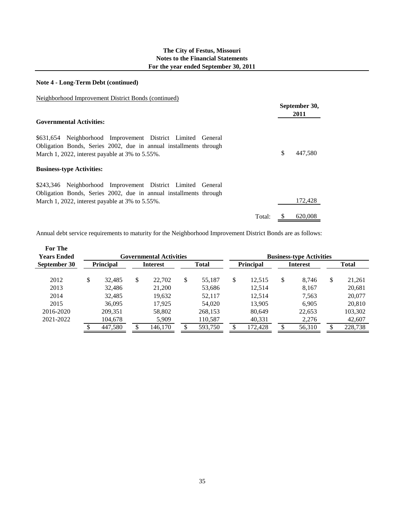## **The City of Festus, Missouri Notes to the Financial Statements For the year ended September 30, 2011**

### **Note 4 - Long-Term Debt (continued)**

| Neighborhood Improvement District Bonds (continued)                                                                                                                                        |        |    |                       |
|--------------------------------------------------------------------------------------------------------------------------------------------------------------------------------------------|--------|----|-----------------------|
| <b>Governmental Activities:</b>                                                                                                                                                            |        |    | September 30,<br>2011 |
| \$631,654 Neighborhood Improvement District Limited General<br>Obligation Bonds, Series 2002, due in annual installments through<br>March 1, 2022, interest payable at $3\%$ to $5.55\%$ . |        | \$ | 447,580               |
| <b>Business-type Activities:</b>                                                                                                                                                           |        |    |                       |
| \$243,346 Neighborhood Improvement District Limited General<br>Obligation Bonds, Series 2002, due in annual installments through<br>March 1, 2022, interest payable at 3% to 5.55%.        |        |    | 172,428               |
|                                                                                                                                                                                            | Total: | S  | 620,008               |

Annual debt service requirements to maturity for the Neighborhood Improvement District Bonds are as follows:

| <b>For The</b><br><b>Years Ended</b> |                  | <b>Governmental Activities</b> |              |                  | <b>Business-type Activities</b> |               |
|--------------------------------------|------------------|--------------------------------|--------------|------------------|---------------------------------|---------------|
| September 30                         | <b>Principal</b> | <b>Interest</b>                | <b>Total</b> | <b>Principal</b> | <b>Interest</b>                 | <b>Total</b>  |
| 2012                                 | \$<br>32,485     | \$<br>22,702                   | \$<br>55.187 | \$<br>12.515     | \$<br>8.746                     | \$<br>21,261  |
| 2013                                 | 32,486           | 21,200                         | 53,686       | 12,514           | 8,167                           | 20,681        |
| 2014                                 | 32,485           | 19,632                         | 52,117       | 12.514           | 7,563                           | 20,077        |
| 2015                                 | 36,095           | 17.925                         | 54,020       | 13,905           | 6.905                           | 20,810        |
| 2016-2020                            | 209,351          | 58,802                         | 268,153      | 80,649           | 22,653                          | 103,302       |
| 2021-2022                            | 104,678          | 5,909                          | 110,587      | 40,331           | 2,276                           | 42,607        |
|                                      | 447,580          | 146,170                        | 593,750      | 172,428          | 56,310                          | \$<br>228,738 |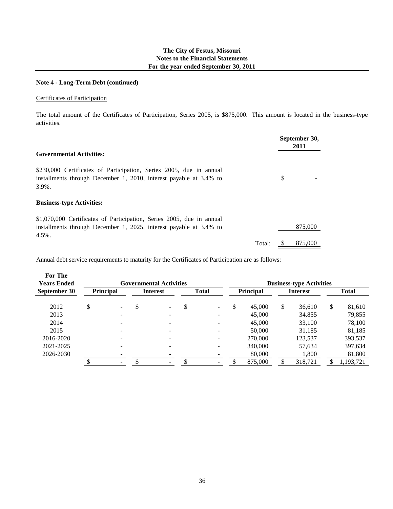# **Note 4 - Long-Term Debt (continued)**

#### Certificates of Participation

The total amount of the Certificates of Participation, Series 2005, is \$875,000. This amount is located in the business-type activities.

|                                                                                                                                                    |        | September 30,<br>2011 |         |  |  |
|----------------------------------------------------------------------------------------------------------------------------------------------------|--------|-----------------------|---------|--|--|
| <b>Governmental Activities:</b>                                                                                                                    |        |                       |         |  |  |
| \$230,000 Certificates of Participation, Series 2005, due in annual<br>installments through December 1, 2010, interest payable at 3.4% to<br>3.9%. |        | \$                    |         |  |  |
| <b>Business-type Activities:</b>                                                                                                                   |        |                       |         |  |  |
| \$1,070,000 Certificates of Participation, Series 2005, due in annual<br>installments through December 1, 2025, interest payable at 3.4% to        |        |                       | 875,000 |  |  |
| $4.5\%$ .                                                                                                                                          | Total: |                       | 875,000 |  |  |

Annual debt service requirements to maturity for the Certificates of Participation are as follows:

| <b>For The</b><br><b>Years Ended</b> |                  |    | <b>Governmental Activities</b> |                                |                  |         |                 | <b>Business-type Activities</b> |              |           |
|--------------------------------------|------------------|----|--------------------------------|--------------------------------|------------------|---------|-----------------|---------------------------------|--------------|-----------|
| September 30                         | <b>Principal</b> |    | <b>Interest</b>                | <b>Total</b>                   | <b>Principal</b> |         | <b>Interest</b> |                                 | <b>Total</b> |           |
| 2012                                 |                  | \$ |                                | \$<br>$\overline{\phantom{0}}$ | \$               | 45,000  | \$              | 36,610                          | \$           | 81,610    |
| 2013                                 |                  |    |                                |                                |                  | 45,000  |                 | 34,855                          |              | 79,855    |
| 2014                                 |                  |    |                                |                                |                  | 45,000  |                 | 33,100                          |              | 78,100    |
| 2015                                 |                  |    |                                |                                |                  | 50,000  |                 | 31,185                          |              | 81,185    |
| 2016-2020                            |                  |    |                                |                                |                  | 270,000 |                 | 123,537                         |              | 393,537   |
| 2021-2025                            |                  |    |                                |                                |                  | 340,000 |                 | 57,634                          |              | 397,634   |
| 2026-2030                            |                  |    |                                |                                |                  | 80,000  |                 | 1,800                           |              | 81,800    |
|                                      |                  |    |                                |                                |                  | 875,000 |                 | 318,721                         |              | 1,193,721 |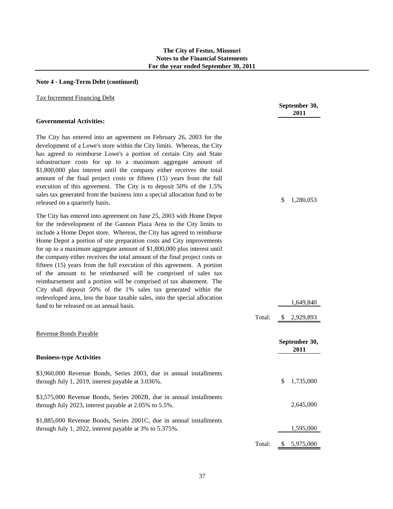### **Note 4 - Long-Term Debt (continued)**

### Tax Increment Financing Debt

|                                                                                                                                                                                                                                                                                                                                                                                                                                                                                                                                                                                                                                                                                                                                              |        | September 30,<br>2011 |
|----------------------------------------------------------------------------------------------------------------------------------------------------------------------------------------------------------------------------------------------------------------------------------------------------------------------------------------------------------------------------------------------------------------------------------------------------------------------------------------------------------------------------------------------------------------------------------------------------------------------------------------------------------------------------------------------------------------------------------------------|--------|-----------------------|
| <b>Governmental Activities:</b>                                                                                                                                                                                                                                                                                                                                                                                                                                                                                                                                                                                                                                                                                                              |        |                       |
| The City has entered into an agreement on February 26, 2003 for the<br>development of a Lowe's store within the City limits. Whereas, the City<br>has agreed to reimburse Lowe's a portion of certain City and State<br>infrastructure costs for up to a maximum aggregate amount of<br>\$1,800,000 plus interest until the company either receives the total<br>amount of the final project costs or fifteen (15) years from the full<br>execution of this agreement. The City is to deposit 50% of the 1.5%<br>sales tax generated from the business into a special allocation fund to be<br>released on a quarterly basis.                                                                                                                |        | \$<br>1,280,053       |
| The City has entered into agreement on June 25, 2003 with Home Depot<br>for the redevelopment of the Gannon Plaza Area in the City limits to<br>include a Home Depot store. Whereas, the City has agreed to reimburse<br>Home Depot a portion of site preparation costs and City improvements<br>for up to a maximum aggregate amount of \$1,800,000 plus interest until<br>the company either receives the total amount of the final project costs or<br>fifteen (15) years from the full execution of this agreement. A portion<br>of the amount to be reimbursed will be comprised of sales tax<br>reimbursement and a portion will be comprised of tax abatement. The<br>City shall deposit 50% of the 1% sales tax generated within the |        |                       |
| redeveloped area, less the base taxable sales, into the special allocation<br>fund to be released on an annual basis.                                                                                                                                                                                                                                                                                                                                                                                                                                                                                                                                                                                                                        |        | 1,649,840             |
|                                                                                                                                                                                                                                                                                                                                                                                                                                                                                                                                                                                                                                                                                                                                              | Total: | 2,929,893             |
| <b>Revenue Bonds Payable</b>                                                                                                                                                                                                                                                                                                                                                                                                                                                                                                                                                                                                                                                                                                                 |        | September 30,<br>2011 |
| <b>Business-type Activities</b>                                                                                                                                                                                                                                                                                                                                                                                                                                                                                                                                                                                                                                                                                                              |        |                       |
| \$3,960,000 Revenue Bonds, Series 2003, due in annual installments<br>through July 1, 2019, interest payable at 3.036%.                                                                                                                                                                                                                                                                                                                                                                                                                                                                                                                                                                                                                      |        | \$<br>1,735,000       |
| \$3,575,000 Revenue Bonds, Series 2002B, due in annual installments<br>through July 2023, interest payable at 2.05% to 5.5%.                                                                                                                                                                                                                                                                                                                                                                                                                                                                                                                                                                                                                 |        | 2,645,000             |
| \$1,885,000 Revenue Bonds, Series 2001C, due in annual installments<br>through July 1, 2022, interest payable at 3% to 5.375%.                                                                                                                                                                                                                                                                                                                                                                                                                                                                                                                                                                                                               |        | 1,595,000             |
|                                                                                                                                                                                                                                                                                                                                                                                                                                                                                                                                                                                                                                                                                                                                              | Total: | 5,975,000             |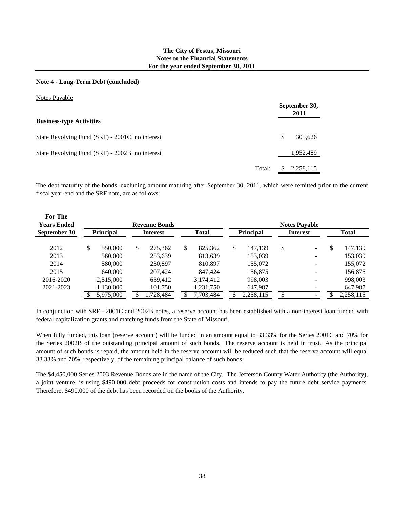### **Note 4 - Long-Term Debt (concluded)**

| Notes Payable                                   |        | September 30,<br>2011 |
|-------------------------------------------------|--------|-----------------------|
| <b>Business-type Activities</b>                 |        |                       |
| State Revolving Fund (SRF) - 2001C, no interest |        | \$<br>305,626         |
| State Revolving Fund (SRF) - 2002B, no interest |        | 1,952,489             |
|                                                 | Total: | 2,258,115             |

The debt maturity of the bonds, excluding amount maturing after September 30, 2011, which were remitted prior to the current fiscal year-end and the SRF note, are as follows:

| <b>For The</b><br><b>Years Ended</b> |                  | <b>Revenue Bonds</b> |               |                  | <b>Notes Pavable</b>           |               |
|--------------------------------------|------------------|----------------------|---------------|------------------|--------------------------------|---------------|
| September 30                         | <b>Principal</b> | <b>Interest</b>      | <b>Total</b>  | <b>Principal</b> | <b>Interest</b>                | <b>Total</b>  |
| 2012                                 | \$<br>550,000    | \$<br>275.362        | \$<br>825,362 | \$<br>147.139    | \$<br>$\overline{\phantom{0}}$ | \$<br>147.139 |
| 2013                                 | 560,000          | 253,639              | 813,639       | 153,039          | -                              | 153,039       |
| 2014                                 | 580,000          | 230,897              | 810,897       | 155,072          |                                | 155,072       |
| 2015                                 | 640,000          | 207,424              | 847,424       | 156,875          | $\overline{\phantom{a}}$       | 156,875       |
| 2016-2020                            | 2,515,000        | 659,412              | 3,174,412     | 998,003          |                                | 998,003       |
| 2021-2023                            | 1,130,000        | 101,750              | 1,231,750     | 647,987          |                                | 647,987       |
|                                      | 5,975,000        | ,728,484             | 7,703,484     | 2,258,115        | \$                             | 2,258,115     |

In conjunction with SRF - 2001C and 2002B notes, a reserve account has been established with a non-interest loan funded with federal capitalization grants and matching funds from the State of Missouri.

When fully funded, this loan (reserve account) will be funded in an amount equal to 33.33% for the Series 2001C and 70% for the Series 2002B of the outstanding principal amount of such bonds. The reserve account is held in trust. As the principal amount of such bonds is repaid, the amount held in the reserve account will be reduced such that the reserve account will equal 33.33% and 70%, respectively, of the remaining principal balance of such bonds.

The \$4,450,000 Series 2003 Revenue Bonds are in the name of the City. The Jefferson County Water Authority (the Authority), a joint venture, is using \$490,000 debt proceeds for construction costs and intends to pay the future debt service payments. Therefore, \$490,000 of the debt has been recorded on the books of the Authority.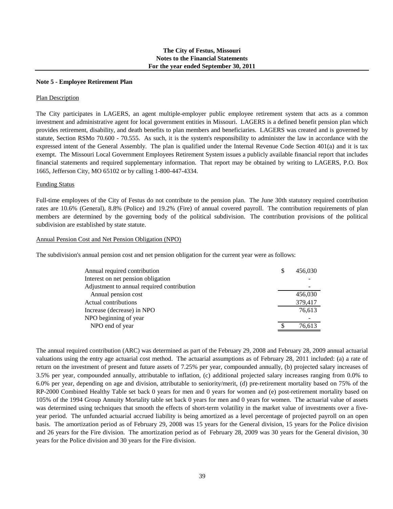#### **Note 5 - Employee Retirement Plan**

#### Plan Description

The City participates in LAGERS, an agent multiple-employer public employee retirement system that acts as a common investment and administrative agent for local government entities in Missouri. LAGERS is a defined benefit pension plan which provides retirement, disability, and death benefits to plan members and beneficiaries. LAGERS was created and is governed by statute, Section RSMo 70.600 - 70.555. As such, it is the system's responsibility to administer the law in accordance with the expressed intent of the General Assembly. The plan is qualified under the Internal Revenue Code Section 401(a) and it is tax exempt. The Missouri Local Government Employees Retirement System issues a publicly available financial report that includes financial statements and required supplementary information. That report may be obtained by writing to LAGERS, P.O. Box 1665, Jefferson City, MO 65102 or by calling 1-800-447-4334.

### Funding Status

Full-time employees of the City of Festus do not contribute to the pension plan. The June 30th statutory required contribution rates are 10.6% (General), 8.8% (Police) and 19.2% (Fire) of annual covered payroll. The contribution requirements of plan members are determined by the governing body of the political subdivision. The contribution provisions of the political subdivision are established by state statute.

#### Annual Pension Cost and Net Pension Obligation (NPO)

The subdivision's annual pension cost and net pension obligation for the current year were as follows:

| Annual required contribution<br>S          | 456,030 |
|--------------------------------------------|---------|
| Interest on net pension obligation         |         |
| Adjustment to annual required contribution |         |
| Annual pension cost                        | 456.030 |
| Actual contributions                       | 379,417 |
| Increase (decrease) in NPO                 | 76,613  |
| NPO beginning of year                      |         |
| NPO end of year                            | 76.613  |

The annual required contribution (ARC) was determined as part of the February 29, 2008 and February 28, 2009 annual actuarial valuations using the entry age actuarial cost method. The actuarial assumptions as of February 28, 2011 included: (a) a rate of return on the investment of present and future assets of 7.25% per year, compounded annually, (b) projected salary increases of 3.5% per year, compounded annually, attributable to inflation, (c) additional projected salary increases ranging from 0.0% to 6.0% per year, depending on age and division, attributable to seniority/merit, (d) pre-retirement mortality based on 75% of the RP-2000 Combined Healthy Table set back 0 years for men and 0 years for women and (e) post-retirement mortality based on 105% of the 1994 Group Annuity Mortality table set back 0 years for men and 0 years for women. The actuarial value of assets was determined using techniques that smooth the effects of short-term volatility in the market value of investments over a fiveyear period. The unfunded actuarial accrued liability is being amortized as a level percentage of projected payroll on an open basis. The amortization period as of February 29, 2008 was 15 years for the General division, 15 years for the Police division and 26 years for the Fire division. The amortization period as of February 28, 2009 was 30 years for the General division, 30 years for the Police division and 30 years for the Fire division.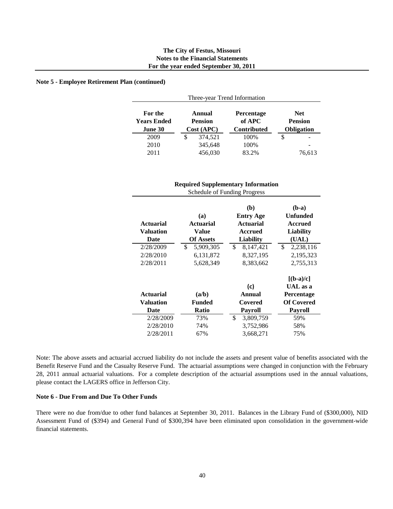### **For the year ended September 30, 2011 The City of Festus, Missouri Notes to the Financial Statements**

### **Note 5 - Employee Retirement Plan (continued)**

|                                          |                                        | Three-year Trend Information                      |                                                         |
|------------------------------------------|----------------------------------------|---------------------------------------------------|---------------------------------------------------------|
| For the<br><b>Years Ended</b><br>June 30 | Annual<br><b>Pension</b><br>Cost (APC) | <b>Percentage</b><br>of APC<br><b>Contributed</b> | \$<br><b>Net</b><br><b>Pension</b><br><b>Obligation</b> |
| 2009                                     | \$<br>374,521                          | 100\%                                             |                                                         |
| 2010                                     | 345,648                                | 100%                                              |                                                         |
| 2011                                     | 456,030                                | 83.2%                                             | 76.613                                                  |

|                                       | <b>Required Supplementary Information</b><br>Schedule of Funding Progress |                                                                     |                                                                           |  |  |  |  |  |  |  |  |  |  |  |
|---------------------------------------|---------------------------------------------------------------------------|---------------------------------------------------------------------|---------------------------------------------------------------------------|--|--|--|--|--|--|--|--|--|--|--|
| <b>Actuarial</b><br>Valuation<br>Date | (a)<br><b>Actuarial</b><br>Value<br><b>Of Assets</b>                      | (b)<br><b>Entry Age</b><br><b>Actuarial</b><br>Accrued<br>Liability | $(b-a)$<br><b>Unfunded</b><br><b>Accrued</b><br><b>Liability</b><br>(UAL) |  |  |  |  |  |  |  |  |  |  |  |
| 2/28/2009                             | \$<br>5,909,305                                                           | \$<br>8,147,421                                                     | \$<br>2,238,116                                                           |  |  |  |  |  |  |  |  |  |  |  |
| 2/28/2010                             | 6,131,872                                                                 | 8,327,195                                                           | 2,195,323                                                                 |  |  |  |  |  |  |  |  |  |  |  |
| 2/28/2011                             | 5,628,349                                                                 | 8,383,662                                                           | 2,755,313                                                                 |  |  |  |  |  |  |  |  |  |  |  |
| <b>Actuarial</b>                      | (a/b)                                                                     | (c)<br><b>Annual</b>                                                | $[(b-a)/c]$<br>UAL as a<br>Percentage                                     |  |  |  |  |  |  |  |  |  |  |  |
| Valuation                             | <b>Funded</b>                                                             | Covered                                                             | <b>Of Covered</b>                                                         |  |  |  |  |  |  |  |  |  |  |  |
| Date                                  | Ratio                                                                     | <b>Payroll</b>                                                      | Payroll                                                                   |  |  |  |  |  |  |  |  |  |  |  |
| 2/28/2009                             | 73%                                                                       | \$<br>3,809,759                                                     | 59%                                                                       |  |  |  |  |  |  |  |  |  |  |  |
| 2/28/2010                             | 74%                                                                       | 3,752,986                                                           | 58%                                                                       |  |  |  |  |  |  |  |  |  |  |  |
| 2/28/2011                             | 67%                                                                       | 3,668,271                                                           | 75%                                                                       |  |  |  |  |  |  |  |  |  |  |  |

Note: The above assets and actuarial accrued liability do not include the assets and present value of benefits associated with the Benefit Reserve Fund and the Casualty Reserve Fund. The actuarial assumptions were changed in conjunction with the February 28, 2011 annual actuarial valuations. For a complete description of the actuarial assumptions used in the annual valuations, please contact the LAGERS office in Jefferson City.

### **Note 6 - Due From and Due To Other Funds**

There were no due from/due to other fund balances at September 30, 2011. Balances in the Library Fund of (\$300,000), NID Assessment Fund of (\$394) and General Fund of \$300,394 have been eliminated upon consolidation in the government-wide financial statements.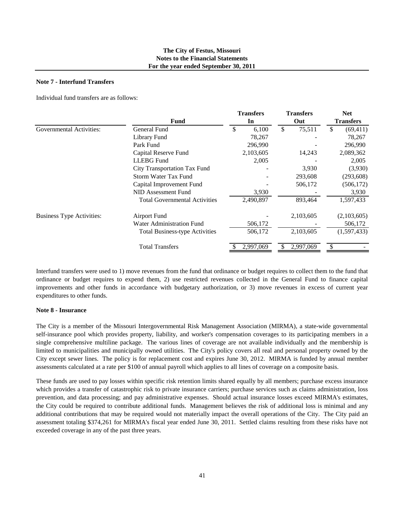### **Note 7 - Interfund Transfers**

Individual fund transfers are as follows:

|                                  |                                       | <b>Transfers</b> | <b>Transfers</b> | <b>Net</b>       |  |  |
|----------------------------------|---------------------------------------|------------------|------------------|------------------|--|--|
|                                  | Fund                                  | In               | Out              | <b>Transfers</b> |  |  |
| Governmental Activities:         | General Fund                          | 6,100<br>S       | \$<br>75,511     | (69, 411)<br>\$. |  |  |
|                                  | Library Fund                          | 78,267           |                  | 78,267           |  |  |
|                                  | Park Fund                             | 296,990          |                  | 296,990          |  |  |
|                                  | Capital Reserve Fund                  | 2,103,605        | 14,243           | 2,089,362        |  |  |
|                                  | <b>LLEBG</b> Fund                     | 2,005            |                  | 2,005            |  |  |
|                                  | <b>City Transportation Tax Fund</b>   |                  | 3,930            | (3,930)          |  |  |
|                                  | <b>Storm Water Tax Fund</b>           |                  | 293,608          | (293, 608)       |  |  |
|                                  | Capital Improvement Fund              |                  | 506,172          | (506, 172)       |  |  |
|                                  | NID Assessment Fund                   | 3,930            |                  | 3,930            |  |  |
|                                  | <b>Total Governmental Activities</b>  | 2,490,897        | 893,464          | 1,597,433        |  |  |
| <b>Business Type Activities:</b> | Airport Fund                          |                  | 2,103,605        | (2,103,605)      |  |  |
|                                  | <b>Water Administration Fund</b>      | 506,172          |                  | 506,172          |  |  |
|                                  | <b>Total Business-type Activities</b> | 506,172          | 2,103,605        | (1,597,433)      |  |  |
|                                  | <b>Total Transfers</b>                | 2,997,069        | 2,997,069<br>S   | S                |  |  |

Interfund transfers were used to 1) move revenues from the fund that ordinance or budget requires to collect them to the fund that ordinance or budget requires to expend them, 2) use restricted revenues collected in the General Fund to finance capital improvements and other funds in accordance with budgetary authorization, or 3) move revenues in excess of current year expenditures to other funds.

### **Note 8 - Insurance**

The City is a member of the Missouri Intergovernmental Risk Management Association (MIRMA), a state-wide governmental self-insurance pool which provides property, liability, and worker's compensation coverages to its participating members in a single comprehensive multiline package. The various lines of coverage are not available individually and the membership is limited to municipalities and municipally owned utilities. The City's policy covers all real and personal property owned by the City except sewer lines. The policy is for replacement cost and expires June 30, 2012. MIRMA is funded by annual member assessments calculated at a rate per \$100 of annual payroll which applies to all lines of coverage on a composite basis.

These funds are used to pay losses within specific risk retention limits shared equally by all members; purchase excess insurance which provides a transfer of catastrophic risk to private insurance carriers; purchase services such as claims administration, loss prevention, and data processing; and pay administrative expenses. Should actual insurance losses exceed MIRMA's estimates, the City could be required to contribute additional funds. Management believes the risk of additional loss is minimal and any additional contributions that may be required would not materially impact the overall operations of the City. The City paid an assessment totaling \$374,261 for MIRMA's fiscal year ended June 30, 2011. Settled claims resulting from these risks have not exceeded coverage in any of the past three years.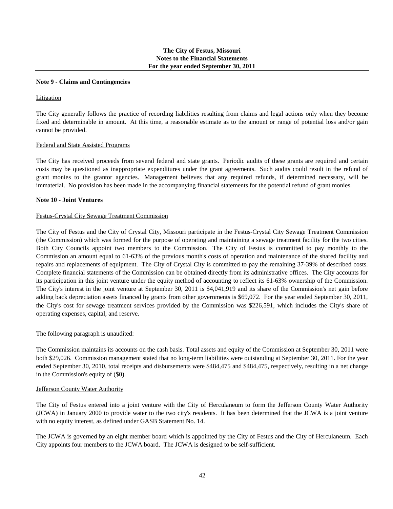#### **Note 9 - Claims and Contingencies**

Litigation

The City generally follows the practice of recording liabilities resulting from claims and legal actions only when they become fixed and determinable in amount. At this time, a reasonable estimate as to the amount or range of potential loss and/or gain cannot be provided.

### Federal and State Assisted Programs

The City has received proceeds from several federal and state grants. Periodic audits of these grants are required and certain costs may be questioned as inappropriate expenditures under the grant agreements. Such audits could result in the refund of grant monies to the grantor agencies. Management believes that any required refunds, if determined necessary, will be immaterial. No provision has been made in the accompanying financial statements for the potential refund of grant monies.

### **Note 10 - Joint Ventures**

### Festus-Crystal City Sewage Treatment Commission

The City of Festus and the City of Crystal City, Missouri participate in the Festus-Crystal City Sewage Treatment Commission (the Commission) which was formed for the purpose of operating and maintaining a sewage treatment facility for the two cities. Both City Councils appoint two members to the Commission. The City of Festus is committed to pay monthly to the Commission an amount equal to 61-63% of the previous month's costs of operation and maintenance of the shared facility and repairs and replacements of equipment. The City of Crystal City is committed to pay the remaining 37-39% of described costs. Complete financial statements of the Commission can be obtained directly from its administrative offices. The City accounts for its participation in this joint venture under the equity method of accounting to reflect its 61-63% ownership of the Commission. The City's interest in the joint venture at September 30, 2011 is \$4,041,919 and its share of the Commission's net gain before adding back depreciation assets financed by grants from other governments is \$69,072. For the year ended September 30, 2011, the City's cost for sewage treatment services provided by the Commission was \$226,591, which includes the City's share of operating expenses, capital, and reserve.

The following paragraph is unaudited:

The Commission maintains its accounts on the cash basis. Total assets and equity of the Commission at September 30, 2011 were both \$29,026. Commission management stated that no long-term liabilities were outstanding at September 30, 2011. For the year ended September 30, 2010, total receipts and disbursements were \$484,475 and \$484,475, respectively, resulting in a net change in the Commission's equity of (\$0).

### Jefferson County Water Authority

The City of Festus entered into a joint venture with the City of Herculaneum to form the Jefferson County Water Authority (JCWA) in January 2000 to provide water to the two city's residents. It has been determined that the JCWA is a joint venture with no equity interest, as defined under GASB Statement No. 14.

The JCWA is governed by an eight member board which is appointed by the City of Festus and the City of Herculaneum. Each City appoints four members to the JCWA board. The JCWA is designed to be self-sufficient.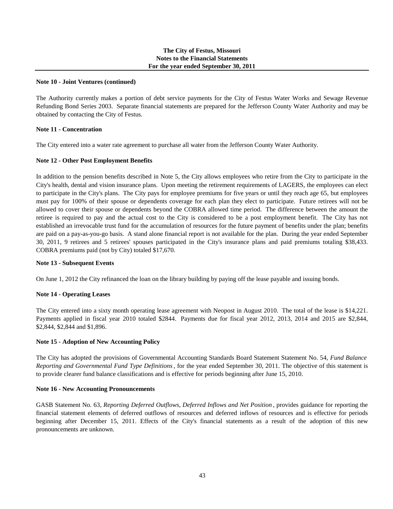#### **Note 10 - Joint Ventures (continued)**

The Authority currently makes a portion of debt service payments for the City of Festus Water Works and Sewage Revenue Refunding Bond Series 2003. Separate financial statements are prepared for the Jefferson County Water Authority and may be obtained by contacting the City of Festus.

### **Note 11 - Concentration**

The City entered into a water rate agreement to purchase all water from the Jefferson County Water Authority.

### **Note 12 - Other Post Employment Benefits**

In addition to the pension benefits described in Note 5, the City allows employees who retire from the City to participate in the City's health, dental and vision insurance plans. Upon meeting the retirement requirements of LAGERS, the employees can elect to participate in the City's plans. The City pays for employee premiums for five years or until they reach age 65, but employees must pay for 100% of their spouse or dependents coverage for each plan they elect to participate. Future retirees will not be allowed to cover their spouse or dependents beyond the COBRA allowed time period. The difference between the amount the retiree is required to pay and the actual cost to the City is considered to be a post employment benefit. The City has not established an irrevocable trust fund for the accumulation of resources for the future payment of benefits under the plan; benefits are paid on a pay-as-you-go basis. A stand alone financial report is not available for the plan. During the year ended September 30, 2011, 9 retirees and 5 retirees' spouses participated in the City's insurance plans and paid premiums totaling \$38,433. COBRA premiums paid (not by City) totaled \$17,670.

### **Note 13 - Subsequent Events**

On June 1, 2012 the City refinanced the loan on the library building by paying off the lease payable and issuing bonds.

### **Note 14 - Operating Leases**

The City entered into a sixty month operating lease agreement with Neopost in August 2010. The total of the lease is \$14,221. Payments applied in fiscal year 2010 totaled \$2844. Payments due for fiscal year 2012, 2013, 2014 and 2015 are \$2,844, \$2,844, \$2,844 and \$1,896.

### **Note 15 - Adoption of New Accounting Policy**

The City has adopted the provisions of Governmental Accounting Standards Board Statement Statement No. 54, *Fund Balance Reporting and Governmental Fund Type Definitions*, for the year ended September 30, 2011. The objective of this statement is to provide clearer fund balance classifications and is effective for periods beginning after June 15, 2010.

### **Note 16 - New Accounting Pronouncements**

GASB Statement No. 63, *Reporting Deferred Outflows, Deferred Inflows and Net Position* , provides guidance for reporting the financial statement elements of deferred outflows of resources and deferred inflows of resources and is effective for periods beginning after December 15, 2011. Effects of the City's financial statements as a result of the adoption of this new pronouncements are unknown.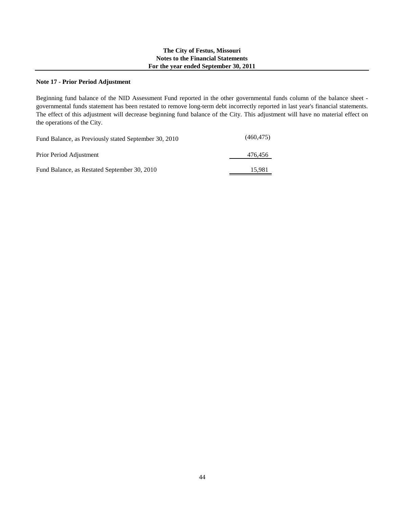### **Note 17 - Prior Period Adjustment**

Beginning fund balance of the NID Assessment Fund reported in the other governmental funds column of the balance sheet governmental funds statement has been restated to remove long-term debt incorrectly reported in last year's financial statements. The effect of this adjustment will decrease beginning fund balance of the City. This adjustment will have no material effect on the operations of the City.

| Fund Balance, as Previously stated September 30, 2010 | (460, 475) |
|-------------------------------------------------------|------------|
| Prior Period Adjustment                               | 476.456    |
| Fund Balance, as Restated September 30, 2010          | 15.981     |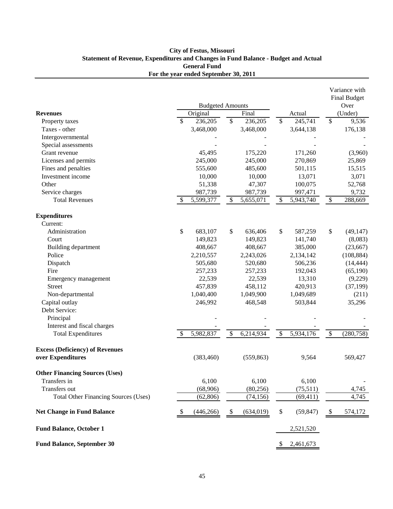## **City of Festus, Missouri Statement of Revenue, Expenditures and Changes in Fund Balance - Budget and Actual General Fund For the year ended September 30, 2011**

|                                                       |               |                         |                           |                      |                           |                   |                           | Variance with       |  |
|-------------------------------------------------------|---------------|-------------------------|---------------------------|----------------------|---------------------------|-------------------|---------------------------|---------------------|--|
|                                                       |               |                         |                           |                      |                           |                   |                           | <b>Final Budget</b> |  |
|                                                       |               | <b>Budgeted Amounts</b> |                           |                      |                           |                   | Over<br>(Under)           |                     |  |
| <b>Revenues</b>                                       | \$            | Original                | \$                        | Final                | $\overline{\mathcal{S}}$  | Actual<br>245,741 | $\overline{\mathcal{S}}$  |                     |  |
| Property taxes<br>Taxes - other                       |               | 236,205                 |                           | 236,205<br>3,468,000 |                           |                   |                           | 9,536               |  |
|                                                       |               | 3,468,000               |                           |                      |                           | 3,644,138         |                           | 176,138             |  |
| Intergovernmental                                     |               |                         |                           |                      |                           |                   |                           |                     |  |
| Special assessments<br>Grant revenue                  |               | 45,495                  |                           | 175,220              |                           | 171,260           |                           | (3,960)             |  |
|                                                       |               | 245,000                 |                           | 245,000              |                           | 270,869           |                           |                     |  |
| Licenses and permits                                  |               | 555,600                 |                           | 485,600              |                           |                   |                           | 25,869              |  |
| Fines and penalties<br>Investment income              |               |                         |                           |                      |                           | 501,115           |                           | 15,515              |  |
|                                                       |               | 10,000                  |                           | 10,000               |                           | 13,071            |                           | 3,071               |  |
| Other                                                 |               | 51,338                  |                           | 47,307               |                           | 100,075           |                           | 52,768              |  |
| Service charges                                       |               | 987,739                 |                           | 987,739              |                           | 997,471           |                           | 9,732               |  |
| <b>Total Revenues</b>                                 | <sup>\$</sup> | 5,599,377               | \$                        | 5,655,071            | \$                        | 5,943,740         | $\boldsymbol{\mathsf{S}}$ | 288,669             |  |
| <b>Expenditures</b>                                   |               |                         |                           |                      |                           |                   |                           |                     |  |
| Current:                                              |               |                         |                           |                      |                           |                   |                           |                     |  |
| Administration                                        | \$            | 683,107                 | \$                        | 636,406              | \$                        | 587,259           | \$                        | (49, 147)           |  |
| Court                                                 |               | 149,823                 |                           | 149,823              |                           | 141,740           |                           | (8,083)             |  |
| <b>Building department</b>                            |               | 408,667                 |                           | 408,667              |                           | 385,000           |                           | (23, 667)           |  |
| Police                                                |               | 2,210,557               |                           | 2,243,026            |                           | 2,134,142         |                           | (108, 884)          |  |
| Dispatch                                              |               | 505,680                 |                           | 520,680              |                           | 506,236           |                           | (14, 444)           |  |
| Fire                                                  |               | 257,233                 |                           | 257,233              |                           | 192,043           |                           | (65,190)            |  |
| Emergency management                                  |               | 22,539                  |                           | 22,539               |                           | 13,310            |                           | (9,229)             |  |
| <b>Street</b>                                         |               | 457,839                 |                           | 458,112              |                           | 420,913           |                           | (37, 199)           |  |
| Non-departmental                                      |               | 1,040,400               |                           | 1,049,900            |                           | 1,049,689         |                           | (211)               |  |
| Capital outlay                                        |               | 246,992                 |                           | 468,548              |                           | 503,844           |                           | 35,296              |  |
| Debt Service:                                         |               |                         |                           |                      |                           |                   |                           |                     |  |
| Principal                                             |               |                         |                           |                      |                           |                   |                           |                     |  |
| Interest and fiscal charges                           |               |                         |                           |                      |                           |                   |                           |                     |  |
| <b>Total Expenditures</b>                             | $\mathcal{S}$ | 5,982,837               | $\boldsymbol{\mathsf{S}}$ | 6,214,934            | $\boldsymbol{\mathsf{S}}$ | 5,934,176         | $\boldsymbol{\mathsf{S}}$ | (280, 758)          |  |
| <b>Excess (Deficiency) of Revenues</b>                |               |                         |                           |                      |                           |                   |                           |                     |  |
| over Expenditures                                     |               | (383, 460)              |                           | (559, 863)           |                           | 9,564             |                           | 569,427             |  |
|                                                       |               |                         |                           |                      |                           |                   |                           |                     |  |
| <b>Other Financing Sources (Uses)</b><br>Transfers in |               |                         |                           |                      |                           |                   |                           |                     |  |
| Transfers out                                         |               | 6,100                   |                           | 6,100                |                           | 6,100             |                           |                     |  |
|                                                       |               | (68,906)                |                           | (80, 256)            |                           | (75,511)          |                           | 4,745               |  |
| <b>Total Other Financing Sources (Uses)</b>           |               | (62, 806)               |                           | (74, 156)            |                           | (69, 411)         |                           | 4,745               |  |
| <b>Net Change in Fund Balance</b>                     | -S            | (446, 266)              | \$                        | (634, 019)           | \$                        | (59, 847)         | \$                        | 574,172             |  |
| <b>Fund Balance, October 1</b>                        |               |                         |                           |                      |                           | 2,521,520         |                           |                     |  |
| <b>Fund Balance, September 30</b>                     |               |                         |                           |                      |                           | 2,461,673         |                           |                     |  |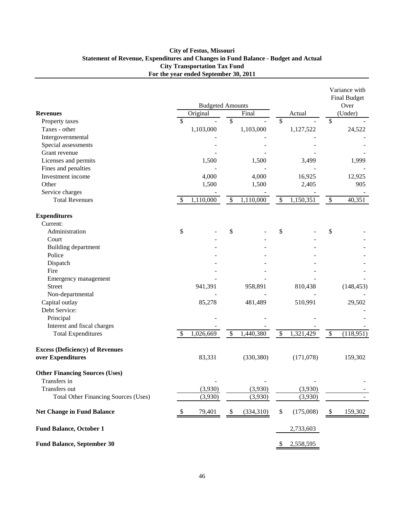## **City of Festus, Missouri Statement of Revenue, Expenditures and Changes in Fund Balance - Budget and Actual City Transportation Tax Fund For the year ended September 30, 2011**

|                                        |               |                         |                 |            |                          |            |                           | Variance with               |  |
|----------------------------------------|---------------|-------------------------|-----------------|------------|--------------------------|------------|---------------------------|-----------------------------|--|
|                                        |               | <b>Budgeted Amounts</b> |                 |            |                          |            |                           | <b>Final Budget</b><br>Over |  |
| <b>Revenues</b>                        |               | Original                |                 | Final      |                          | Actual     | (Under)                   |                             |  |
| Property taxes                         | \$            |                         | $\overline{\$}$ |            | $\overline{\mathcal{S}}$ |            | \$                        |                             |  |
| Taxes - other                          |               | 1,103,000               |                 | 1,103,000  |                          | 1,127,522  |                           | 24,522                      |  |
| Intergovernmental                      |               |                         |                 |            |                          |            |                           |                             |  |
| Special assessments                    |               |                         |                 |            |                          |            |                           |                             |  |
| Grant revenue                          |               |                         |                 |            |                          |            |                           |                             |  |
| Licenses and permits                   |               | 1,500                   |                 | 1,500      |                          | 3,499      |                           | 1,999                       |  |
| Fines and penalties                    |               |                         |                 |            |                          |            |                           |                             |  |
| Investment income                      |               | 4,000                   |                 | 4,000      |                          | 16,925     |                           | 12,925                      |  |
| Other                                  |               | 1,500                   |                 | 1,500      |                          | 2,405      |                           | 905                         |  |
| Service charges                        |               |                         |                 |            |                          |            |                           |                             |  |
| <b>Total Revenues</b>                  | $\mathcal{S}$ | 1,110,000               | $\$$            | 1,110,000  | $\$\,$                   | 1,150,351  | $\$\,$                    | 40,351                      |  |
| <b>Expenditures</b>                    |               |                         |                 |            |                          |            |                           |                             |  |
| Current:                               |               |                         |                 |            |                          |            |                           |                             |  |
| Administration                         | \$            |                         | \$              |            | \$                       |            | \$                        |                             |  |
| Court                                  |               |                         |                 |            |                          |            |                           |                             |  |
| Building department                    |               |                         |                 |            |                          |            |                           |                             |  |
| Police                                 |               |                         |                 |            |                          |            |                           |                             |  |
| Dispatch                               |               |                         |                 |            |                          |            |                           |                             |  |
| Fire                                   |               |                         |                 |            |                          |            |                           |                             |  |
| Emergency management                   |               |                         |                 |            |                          |            |                           |                             |  |
| <b>Street</b>                          |               | 941,391                 |                 | 958,891    |                          | 810,438    |                           | (148, 453)                  |  |
| Non-departmental                       |               |                         |                 |            |                          |            |                           |                             |  |
| Capital outlay                         |               | 85,278                  |                 | 481,489    |                          | 510,991    |                           | 29,502                      |  |
| Debt Service:                          |               |                         |                 |            |                          |            |                           |                             |  |
| Principal                              |               |                         |                 |            |                          |            |                           |                             |  |
| Interest and fiscal charges            |               |                         |                 |            |                          |            |                           |                             |  |
| <b>Total Expenditures</b>              | \$            | 1,026,669               | $\mathbb{S}$    | 1,440,380  | $\mathbb{S}$             | 1,321,429  | $\boldsymbol{\mathsf{S}}$ | (118,951)                   |  |
| <b>Excess (Deficiency) of Revenues</b> |               |                         |                 |            |                          |            |                           |                             |  |
| over Expenditures                      |               | 83,331                  |                 | (330, 380) |                          | (171, 078) |                           | 159,302                     |  |
| <b>Other Financing Sources (Uses)</b>  |               |                         |                 |            |                          |            |                           |                             |  |
| Transfers in                           |               |                         |                 |            |                          |            |                           |                             |  |
| Transfers out                          |               | (3,930)                 |                 | (3,930)    |                          | (3,930)    |                           |                             |  |
| Total Other Financing Sources (Uses)   |               | (3,930)                 |                 | (3,930)    |                          | (3,930)    |                           | $\blacksquare$              |  |
| <b>Net Change in Fund Balance</b>      | \$            | 79,401                  | \$              | (334,310)  | \$                       | (175,008)  | -S                        | 159,302                     |  |
| <b>Fund Balance, October 1</b>         |               |                         |                 |            |                          | 2,733,603  |                           |                             |  |
| <b>Fund Balance, September 30</b>      |               |                         |                 |            | \$                       | 2,558,595  |                           |                             |  |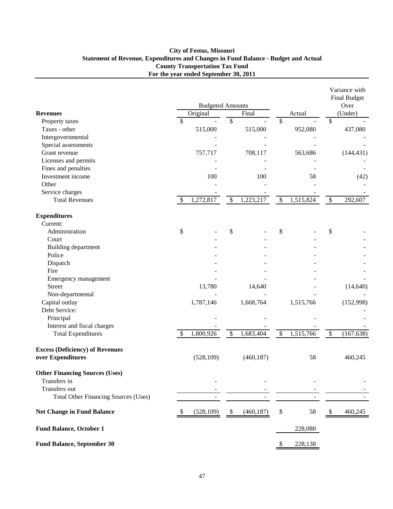## **City of Festus, Missouri Statement of Revenue, Expenditures and Changes in Fund Balance - Budget and Actual County Transportation Tax Fund For the year ended September 30, 2011**

|                                        |               |                         |                           |            |                           |           | Variance with<br><b>Final Budget</b> |                          |  |  |
|----------------------------------------|---------------|-------------------------|---------------------------|------------|---------------------------|-----------|--------------------------------------|--------------------------|--|--|
|                                        |               | <b>Budgeted Amounts</b> |                           |            |                           |           | Over                                 |                          |  |  |
| <b>Revenues</b>                        |               | $\overline{O}$ riginal  |                           | Final      |                           | Actual    |                                      | (Under)                  |  |  |
| Property taxes                         | \$            |                         | $\overline{\$}$           |            | $\overline{\mathbb{S}}$   |           | \$                                   |                          |  |  |
| Taxes - other                          |               | 515,000                 |                           | 515,000    |                           | 952,080   |                                      | 437,080                  |  |  |
| Intergovernmental                      |               |                         |                           |            |                           |           |                                      |                          |  |  |
| Special assessments                    |               |                         |                           |            |                           |           |                                      |                          |  |  |
| Grant revenue                          |               | 757,717                 |                           | 708,117    |                           | 563,686   |                                      | (144, 431)               |  |  |
| Licenses and permits                   |               |                         |                           |            |                           |           |                                      |                          |  |  |
| Fines and penalties                    |               |                         |                           |            |                           |           |                                      |                          |  |  |
| Investment income                      |               | 100                     |                           | 100        |                           | 58        |                                      | (42)                     |  |  |
| Other                                  |               |                         |                           |            |                           |           |                                      |                          |  |  |
| Service charges                        |               |                         |                           |            |                           |           |                                      |                          |  |  |
| <b>Total Revenues</b>                  | $\mathcal{S}$ | 1,272,817               | $\boldsymbol{\mathsf{S}}$ | 1,223,217  | $\mathbb{S}$              | 1,515,824 | $\boldsymbol{\$}$                    | 292,607                  |  |  |
| <b>Expenditures</b>                    |               |                         |                           |            |                           |           |                                      |                          |  |  |
| Current:                               |               |                         |                           |            |                           |           |                                      |                          |  |  |
| Administration                         | \$            |                         | \$                        |            | \$                        |           | \$                                   |                          |  |  |
| Court                                  |               |                         |                           |            |                           |           |                                      |                          |  |  |
| Building department                    |               |                         |                           |            |                           |           |                                      |                          |  |  |
| Police                                 |               |                         |                           |            |                           |           |                                      |                          |  |  |
| Dispatch                               |               |                         |                           |            |                           |           |                                      |                          |  |  |
| Fire                                   |               |                         |                           |            |                           |           |                                      |                          |  |  |
| Emergency management                   |               |                         |                           |            |                           |           |                                      |                          |  |  |
| <b>Street</b>                          |               | 13,780                  |                           | 14,640     |                           |           |                                      | (14, 640)                |  |  |
| Non-departmental                       |               |                         |                           |            |                           |           |                                      |                          |  |  |
| Capital outlay                         |               | 1,787,146               |                           | 1,668,764  |                           | 1,515,766 |                                      | (152,998)                |  |  |
| Debt Service:                          |               |                         |                           |            |                           |           |                                      |                          |  |  |
| Principal                              |               |                         |                           |            |                           |           |                                      |                          |  |  |
| Interest and fiscal charges            |               |                         |                           |            |                           |           |                                      |                          |  |  |
| <b>Total Expenditures</b>              | \$            | 1,800,926               | $\boldsymbol{\$}$         | 1,683,404  | $\boldsymbol{\mathsf{S}}$ | 1,515,766 | $\boldsymbol{\mathsf{S}}$            | (167, 638)               |  |  |
| <b>Excess (Deficiency) of Revenues</b> |               |                         |                           |            |                           |           |                                      |                          |  |  |
| over Expenditures                      |               | (528, 109)              |                           | (460, 187) |                           | 58        |                                      | 460,245                  |  |  |
| <b>Other Financing Sources (Uses)</b>  |               |                         |                           |            |                           |           |                                      |                          |  |  |
| Transfers in                           |               |                         |                           |            |                           |           |                                      |                          |  |  |
| Transfers out                          |               |                         |                           |            |                           |           |                                      |                          |  |  |
| Total Other Financing Sources (Uses)   |               |                         |                           |            |                           |           |                                      | $\overline{\phantom{a}}$ |  |  |
| <b>Net Change in Fund Balance</b>      | \$            | (528, 109)              | \$                        | (460, 187) | \$                        | 58        | \$                                   | 460,245                  |  |  |
| <b>Fund Balance, October 1</b>         |               |                         |                           |            |                           | 228,080   |                                      |                          |  |  |
| <b>Fund Balance, September 30</b>      |               |                         |                           |            |                           | 228,138   |                                      |                          |  |  |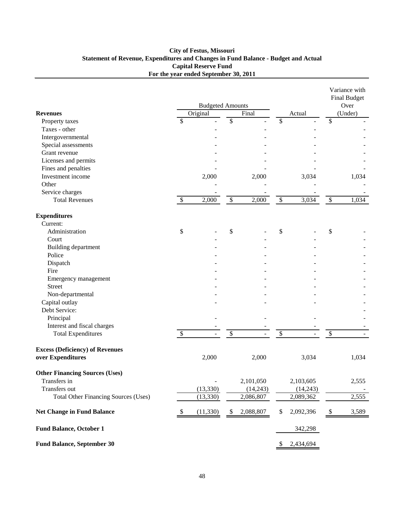## **City of Festus, Missouri Statement of Revenue, Expenditures and Changes in Fund Balance - Budget and Actual Capital Reserve Fund For the year ended September 30, 2011**

|                                        |               |                         |        |           |        |           |              | Variance with<br><b>Final Budget</b> |  |
|----------------------------------------|---------------|-------------------------|--------|-----------|--------|-----------|--------------|--------------------------------------|--|
|                                        |               | <b>Budgeted Amounts</b> |        |           |        |           | Over         |                                      |  |
| <b>Revenues</b>                        |               | Original                |        | Final     |        | Actual    |              | (Under)                              |  |
| Property taxes                         | \$            |                         | \$     |           | \$     |           | \$           |                                      |  |
| Taxes - other                          |               |                         |        |           |        |           |              |                                      |  |
| Intergovernmental                      |               |                         |        |           |        |           |              |                                      |  |
| Special assessments                    |               |                         |        |           |        |           |              |                                      |  |
| Grant revenue                          |               |                         |        |           |        |           |              |                                      |  |
| Licenses and permits                   |               |                         |        |           |        |           |              |                                      |  |
| Fines and penalties                    |               |                         |        |           |        |           |              |                                      |  |
| Investment income                      |               | 2,000                   |        | 2,000     |        | 3,034     |              | 1,034                                |  |
| Other                                  |               |                         |        |           |        |           |              |                                      |  |
| Service charges                        |               |                         |        |           |        |           |              |                                      |  |
| <b>Total Revenues</b>                  | $\mathcal{S}$ | 2,000                   | $\$\,$ | 2,000     | $\$\,$ | 3,034     | $\$\,$       | 1,034                                |  |
| <b>Expenditures</b>                    |               |                         |        |           |        |           |              |                                      |  |
| Current:                               |               |                         |        |           |        |           |              |                                      |  |
| Administration                         | \$            |                         | \$     |           | \$     |           | \$           |                                      |  |
| Court                                  |               |                         |        |           |        |           |              |                                      |  |
| Building department                    |               |                         |        |           |        |           |              |                                      |  |
| Police                                 |               |                         |        |           |        |           |              |                                      |  |
| Dispatch                               |               |                         |        |           |        |           |              |                                      |  |
| Fire                                   |               |                         |        |           |        |           |              |                                      |  |
| Emergency management                   |               |                         |        |           |        |           |              |                                      |  |
| <b>Street</b>                          |               |                         |        |           |        |           |              |                                      |  |
| Non-departmental                       |               |                         |        |           |        |           |              |                                      |  |
| Capital outlay                         |               |                         |        |           |        |           |              |                                      |  |
| Debt Service:                          |               |                         |        |           |        |           |              |                                      |  |
| Principal                              |               |                         |        |           |        |           |              |                                      |  |
| Interest and fiscal charges            |               |                         |        |           |        |           |              |                                      |  |
| <b>Total Expenditures</b>              | $\mathcal{S}$ |                         | $\$\,$ |           | $\$\,$ |           | $\mathbb{S}$ |                                      |  |
| <b>Excess (Deficiency) of Revenues</b> |               |                         |        |           |        |           |              |                                      |  |
| over Expenditures                      |               | 2,000                   |        | 2,000     |        | 3,034     |              | 1,034                                |  |
| <b>Other Financing Sources (Uses)</b>  |               |                         |        |           |        |           |              |                                      |  |
| Transfers in                           |               |                         |        | 2,101,050 |        | 2,103,605 |              | 2,555                                |  |
| Transfers out                          |               | (13, 330)               |        | (14, 243) |        | (14,243)  |              |                                      |  |
| Total Other Financing Sources (Uses)   |               | (13, 330)               |        | 2,086,807 |        | 2,089,362 |              | 2,555                                |  |
| <b>Net Change in Fund Balance</b>      | S,            | (11,330)                | \$     | 2,088,807 | $\$$   | 2,092,396 | $\mathbb{S}$ | 3,589                                |  |
| <b>Fund Balance, October 1</b>         |               |                         |        |           |        | 342,298   |              |                                      |  |
| <b>Fund Balance, September 30</b>      |               |                         |        |           | S      | 2,434,694 |              |                                      |  |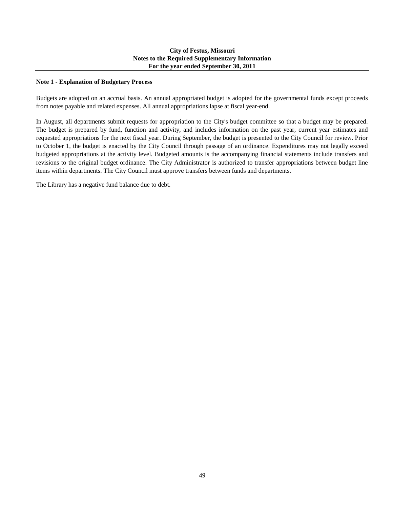### **Note 1 - Explanation of Budgetary Process**

Budgets are adopted on an accrual basis. An annual appropriated budget is adopted for the governmental funds except proceeds from notes payable and related expenses. All annual appropriations lapse at fiscal year-end.

In August, all departments submit requests for appropriation to the City's budget committee so that a budget may be prepared. The budget is prepared by fund, function and activity, and includes information on the past year, current year estimates and requested appropriations for the next fiscal year. During September, the budget is presented to the City Council for review. Prior to October 1, the budget is enacted by the City Council through passage of an ordinance. Expenditures may not legally exceed budgeted appropriations at the activity level. Budgeted amounts is the accompanying financial statements include transfers and revisions to the original budget ordinance. The City Administrator is authorized to transfer appropriations between budget line items within departments. The City Council must approve transfers between funds and departments.

The Library has a negative fund balance due to debt.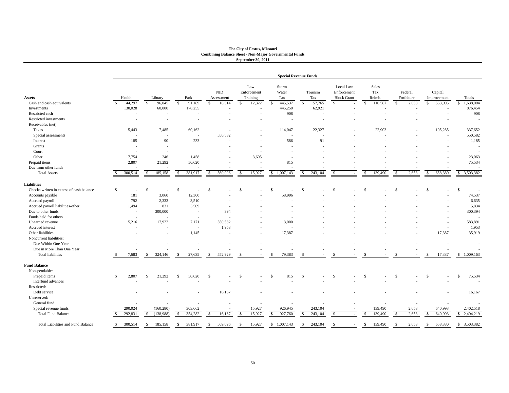#### **The City of Festus, Missouri Combining Balance Sheet - Non-Major Governmental Funds September 30, 2011**

|                                           | <b>Special Revenue Funds</b> |                          |               |                |               |                          |               |                          |                    |                    |               |                |               |         |                          |                        |              |              |            |               |             |                           |
|-------------------------------------------|------------------------------|--------------------------|---------------|----------------|---------------|--------------------------|---------------|--------------------------|--------------------|--------------------|---------------|----------------|---------------|---------|--------------------------|------------------------|--------------|--------------|------------|---------------|-------------|---------------------------|
|                                           |                              |                          |               |                |               |                          |               | NID                      |                    | Law<br>Enforcement |               | Storm<br>Water |               | Tourism | Local Law<br>Enforcement |                        | Sales<br>Tax |              | Federal    |               | Capital     |                           |
| Assets                                    |                              | Health                   |               | Library        |               | Park                     |               | Assessment               |                    | Training           |               | Tax            |               | Tax     | <b>Block Grant</b>       |                        | Reimb.       |              | Forfeiture |               | Improvement | Totals                    |
| Cash and cash equivalents                 | -8                           | 144,297                  | $\mathbb{S}$  | 96,045         | $\mathcal{S}$ | 91,189                   | $\mathcal{S}$ | 18,514                   | $\mathbf{\hat{s}}$ | 12,322             | \$            | 445,537        | $\mathbb{S}$  | 157,765 | $\mathbb{S}$             | $\mathbb{S}$           | 116,587      | $\mathbb{S}$ | 2,653      | $\mathbb{S}$  | 553,095     | $\mathbb{S}$<br>1,638,004 |
| Investments                               |                              | 130,028                  |               | 60,000         |               | 178,255                  |               |                          |                    |                    |               | 445,250        |               | 62,921  |                          |                        |              |              |            |               |             | 876,454                   |
| Restricted cash                           |                              |                          |               |                |               |                          |               |                          |                    |                    |               | 908            |               |         |                          |                        |              |              |            |               |             | 908                       |
| Restricted investments                    |                              |                          |               |                |               |                          |               |                          |                    |                    |               |                |               |         |                          |                        |              |              |            |               |             | $\sim$                    |
| Receivables (net)                         |                              |                          |               |                |               |                          |               |                          |                    |                    |               |                |               |         |                          |                        |              |              |            |               |             |                           |
| Taxes                                     |                              | 5,443                    |               | 7,485          |               | 60,162                   |               |                          |                    |                    |               | 114,047        |               | 22,327  |                          |                        | 22,903       |              |            |               | 105,285     | 337,652                   |
| Special assessments                       |                              | $\overline{\phantom{a}}$ |               |                |               | $\overline{\phantom{a}}$ |               | 550,582                  |                    |                    |               |                |               |         |                          |                        |              |              |            |               |             | 550,582                   |
| Interest                                  |                              | 185                      |               | 90             |               | 233                      |               |                          |                    |                    |               | 586            |               | 91      |                          |                        |              |              |            |               |             | 1,185                     |
| Grants                                    |                              | ٠.                       |               |                |               |                          |               |                          |                    |                    |               |                |               |         |                          |                        |              |              |            |               |             | $\overline{a}$            |
| Court                                     |                              |                          |               |                |               |                          |               |                          |                    |                    |               |                |               |         |                          |                        |              |              |            |               |             |                           |
| Other                                     |                              | 17,754                   |               | 246            |               | 1,458                    |               |                          |                    | 3,605              |               |                |               |         |                          |                        |              |              |            |               |             | 23,063                    |
| Prepaid items                             |                              | 2,807                    |               | 21,292         |               | 50,620                   |               |                          |                    |                    |               | 815            |               |         |                          |                        |              |              |            |               |             | 75,534                    |
| Due from other funds                      |                              |                          |               |                |               |                          |               |                          |                    |                    |               |                |               |         |                          |                        |              |              |            |               |             |                           |
| <b>Total Assets</b>                       |                              | 300,514                  | \$            | 185,158        | $\mathbb{S}$  | 381,917                  | - \$          | 569,096                  | $\mathbf{s}$       | 15,927             | $\mathbb{S}$  | 1,007,143      | <sup>\$</sup> | 243,104 | $\mathbb{S}$             | $\mathcal{S}$          | 139,490      | - \$         | 2,653      | $\mathcal{S}$ | 658,380     | \$3,503,382               |
| <b>Liabilities</b>                        |                              |                          |               |                |               |                          |               |                          |                    |                    |               |                |               |         |                          |                        |              |              |            |               |             |                           |
| Checks written in excess of cash balance  | <sup>\$</sup>                |                          | \$            | $\blacksquare$ | <sup>\$</sup> | $\overline{\phantom{a}}$ | - \$          |                          | -\$                |                    | -\$           |                | \$            |         | $\mathbb{S}$             | $\mathcal{S}$          |              | -\$          |            | \$            |             | \$                        |
| Accounts payable                          |                              | 181                      |               | 3,060          |               | 12,300                   |               |                          |                    |                    |               | 58,996         |               |         |                          |                        |              |              |            |               |             | 74,537                    |
| Accrued payroll                           |                              | 792                      |               | 2,333          |               | 3,510                    |               |                          |                    |                    |               |                |               |         |                          |                        |              |              |            |               |             | 6,635                     |
| Accrued payroll liabilities-other         |                              | 1,494                    |               | 831            |               | 3,509                    |               |                          |                    |                    |               |                |               |         |                          |                        |              |              |            |               |             | 5,834                     |
| Due to other funds                        |                              | $\overline{\phantom{a}}$ |               | 300,000        |               | ÷,                       |               | 394                      |                    |                    |               |                |               |         |                          |                        |              |              |            |               |             | 300,394                   |
| Funds held for others                     |                              | $\overline{\phantom{a}}$ |               |                |               | $\overline{\phantom{a}}$ |               |                          |                    |                    |               |                |               |         |                          |                        |              |              |            |               |             |                           |
| Unearned revenue                          |                              | 5,216                    |               | 17,922         |               | 7,171                    |               | 550,582                  |                    |                    |               | 3,000          |               |         |                          |                        |              |              |            |               |             | 583,891                   |
| Accrued interest                          |                              |                          |               |                |               | $\sim$                   |               | 1,953                    |                    |                    |               |                |               |         |                          |                        |              |              |            |               |             | 1,953                     |
| Other liabilities                         |                              |                          |               |                |               | 1,145                    |               | $\overline{\phantom{a}}$ |                    |                    |               | 17,387         |               |         |                          |                        |              |              |            |               | 17,387      | 35,919                    |
| Noncurrent liabilities:                   |                              |                          |               |                |               |                          |               |                          |                    |                    |               |                |               |         |                          |                        |              |              |            |               |             |                           |
| Due Within One Year                       |                              |                          |               |                |               |                          |               |                          |                    |                    |               |                |               |         |                          |                        |              |              |            |               |             |                           |
| Due in More Than One Year                 |                              |                          |               |                |               |                          |               |                          |                    |                    |               |                |               |         |                          |                        |              |              |            |               |             |                           |
| Total liabilities                         | \$                           | 7,683                    | $\mathbb{S}$  | 324,146        | <sup>\$</sup> | 27,635                   | \$            | 552,929                  | \$                 |                    | $\mathbb{S}$  | 79,383         | \$            |         | $\mathbb{S}$             | \$                     |              | \$           |            | \$            | 17,387      | \$1,009,163               |
| <b>Fund Balance</b><br>Nonspendable:      |                              |                          |               |                |               |                          |               |                          |                    |                    |               |                |               |         |                          |                        |              |              |            |               |             |                           |
| Prepaid items                             | \$                           | 2,807                    | $\mathcal{S}$ | 21,292         | -\$           | 50,620                   | - \$          |                          | <sup>\$</sup>      |                    | <sup>\$</sup> | 815            | $\mathcal{S}$ |         | $\mathbb{S}$             | \$                     |              | \$           |            | \$            |             | 75,534<br>$\mathbb{S}$    |
| Interfund advances                        |                              |                          |               |                |               |                          |               |                          |                    |                    |               |                |               |         |                          |                        |              |              |            |               |             |                           |
| Restricted:                               |                              |                          |               |                |               |                          |               |                          |                    |                    |               |                |               |         |                          |                        |              |              |            |               |             |                           |
| Debt service                              |                              |                          |               |                |               |                          |               | 16,167                   |                    |                    |               |                |               |         |                          |                        |              |              |            |               |             | 16,167                    |
| Unreserved:                               |                              |                          |               |                |               |                          |               |                          |                    |                    |               |                |               |         |                          |                        |              |              |            |               |             |                           |
| General fund                              |                              |                          |               |                |               |                          |               |                          |                    |                    |               |                |               |         |                          |                        |              |              |            |               |             |                           |
| Special revenue funds                     |                              | 290,024                  |               | (160, 280)     |               | 303,662                  |               |                          |                    | 15,927             |               | 926,945        |               | 243,104 |                          |                        | 139,490      |              | 2,653      |               | 640,993     | 2,402,518                 |
| <b>Total Fund Balance</b>                 | -\$                          | 292,831                  | \$            | (138,988)      | \$            | 354,282                  | -\$           | 16,167                   | $\mathbb{S}$       | 15,927             | \$            | 927,760        | $\mathbb{S}$  | 243,104 | $\mathbb{S}$             | $\mathbb{S}$<br>$\sim$ | 139,490      | $\mathbb{S}$ | 2,653      | \$            | 640,993     | 2,494,219<br>$\mathbb{S}$ |
|                                           |                              |                          |               |                |               |                          |               |                          |                    |                    |               |                |               |         |                          |                        |              |              |            |               |             |                           |
| <b>Total Liabilities and Fund Balance</b> | <sup>\$</sup>                | 300,514                  | \$            | 185,158        | -S            | 381,917                  | - \$          | 569,096                  | -8                 | 15,927             | \$            | 1,007,143      | -\$           | 243,104 | <sup>S</sup>             | -S                     | 139,490      | -8           | 2,653      | -S            | 658,380     | \$3,503,382               |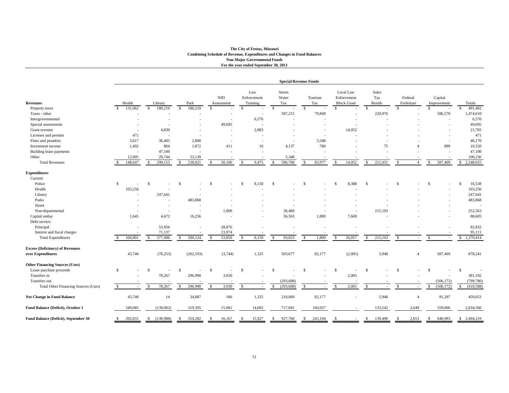#### **The City of Festus, Missouri Combining Schedule of Revenue, Expenditures and Changes in Fund Balances For the year ended September 30, 2011 Non-Major Governmental Funds**

|                                             | <b>Special Revenue Funds</b> |         |               |                          |               |                          |                    |                   |               |                                |               |                       |      |                |               |                                                |                    |                        |      |                       |      |                        |                          |
|---------------------------------------------|------------------------------|---------|---------------|--------------------------|---------------|--------------------------|--------------------|-------------------|---------------|--------------------------------|---------------|-----------------------|------|----------------|---------------|------------------------------------------------|--------------------|------------------------|------|-----------------------|------|------------------------|--------------------------|
| <b>Revenues</b>                             |                              | Health  |               | Library                  |               | Park                     |                    | NID<br>Assessment |               | Law<br>Enforcement<br>Training |               | Storm<br>Water<br>Tax |      | Tourism<br>Tax |               | Local Law<br>Enforcement<br><b>Block Grant</b> |                    | Sales<br>Tax<br>Reimb. |      | Federal<br>Forfeiture |      | Capital<br>Improvement | Totals                   |
| Property taxes                              | -S                           | 131,062 | \$            | 180,210                  | -S            | 180,210                  | \$                 |                   | <sup>\$</sup> |                                | <sup>S</sup>  |                       | - \$ |                | \$            |                                                | \$                 | $\sim$                 | -S   |                       | \$   |                        | 491,482<br><sup>\$</sup> |
| Taxes - other                               |                              |         |               |                          |               |                          |                    |                   |               |                                |               | 587,215               |      | 79,849         |               |                                                |                    | 220,976                |      |                       |      | 586,570                | 1,474,610                |
| Intergovernmental                           |                              |         |               |                          |               |                          |                    |                   |               | 6,576                          |               |                       |      |                |               |                                                |                    |                        |      |                       |      |                        | 6,576                    |
| Special assessments                         |                              |         |               |                          |               |                          |                    | 49,695            |               |                                |               |                       |      |                |               |                                                |                    |                        |      |                       |      |                        | 49,695                   |
| Grant revenue                               |                              |         |               | 4,830                    |               |                          |                    |                   |               | 2,883                          |               |                       |      |                |               | 14,052                                         |                    |                        |      |                       |      |                        | 21,765                   |
| Licenses and permits                        |                              | 471     |               |                          |               |                          |                    |                   |               |                                |               |                       |      |                |               |                                                |                    |                        |      |                       |      |                        | 471                      |
| Fines and penalties                         |                              | 3,617   |               | 36,405                   |               | 2,800                    |                    |                   |               |                                |               |                       |      | 3,348          |               |                                                |                    |                        |      |                       |      |                        | 46,170                   |
| Investment income                           |                              | 1,492   |               | 864                      |               | 1,872                    |                    | 411               |               | 16                             |               | 4,137                 |      | 780            |               |                                                |                    | 75                     |      |                       |      | 899                    | 10,550                   |
| Building lease payments                     |                              | $\sim$  |               | 47,100                   |               |                          |                    |                   |               |                                |               |                       |      |                |               |                                                |                    |                        |      |                       |      |                        | 47,100                   |
| Other                                       |                              | 12,005  |               | 29,744                   |               | 53,139                   |                    |                   |               |                                |               | 5,348                 |      |                |               |                                                |                    |                        |      |                       |      |                        | 100,236                  |
| <b>Total Revenues</b>                       | -8                           | 148,647 | -S            | 299,153                  | <sup>\$</sup> | 238,021                  | -\$                | 50,106            | - \$          | 9,475                          | -S            | 596,700               | -S   | 83,977         | - \$          | 14,052                                         | $\mathcal{S}$      | 221,051                | - \$ | $\overline{4}$        | - \$ | 587,469                | 2,248,655<br>\$          |
| <b>Expenditures</b>                         |                              |         |               |                          |               |                          |                    |                   |               |                                |               |                       |      |                |               |                                                |                    |                        |      |                       |      |                        |                          |
| Current:                                    |                              |         |               |                          |               |                          |                    |                   |               |                                |               |                       |      |                |               |                                                |                    |                        |      |                       |      |                        |                          |
| Police                                      | \$                           |         | $\mathcal{S}$ |                          |               |                          | $\mathbf{\hat{S}}$ |                   | \$            | 8,150                          | \$            |                       | \$   |                | $\mathcal{S}$ | 8,388                                          | - \$               |                        | -\$  |                       | -\$  |                        | 16,538<br>\$             |
| Health                                      |                              | 103,256 |               |                          |               |                          |                    |                   |               |                                |               |                       |      |                |               |                                                |                    |                        |      |                       |      |                        | 103,256                  |
| Library                                     |                              |         |               | 247,641                  |               |                          |                    |                   |               |                                |               |                       |      |                |               |                                                |                    |                        |      |                       |      |                        | 247,641                  |
| Parks                                       |                              |         |               |                          |               | 483,868                  |                    |                   |               |                                |               |                       |      |                |               |                                                |                    |                        |      |                       |      |                        | 483,868                  |
| Street                                      |                              |         |               |                          |               | $\overline{\phantom{a}}$ |                    |                   |               |                                |               |                       |      |                |               |                                                |                    |                        |      |                       |      |                        |                          |
| Non-departmental                            |                              |         |               | $\overline{\phantom{a}}$ |               | $\overline{\phantom{a}}$ |                    | 1,000             |               |                                |               | 36,460                |      |                |               |                                                |                    | 215,103                |      |                       |      |                        | 252,563                  |
| Capital outlay                              |                              | 1,645   |               | 4,672                    |               | 16,256                   |                    |                   |               |                                |               | 56,563                |      | 1,800          |               | 7,669                                          |                    |                        |      |                       |      |                        | 88,605                   |
| Debt service:                               |                              |         |               |                          |               |                          |                    |                   |               |                                |               |                       |      |                |               |                                                |                    |                        |      |                       |      |                        |                          |
| Principal                                   |                              | $\sim$  |               | 53,956                   |               | $\overline{\phantom{a}}$ |                    | 28,876            |               |                                |               |                       |      |                |               |                                                |                    |                        |      |                       |      |                        | 82,832                   |
| Interest and fiscal charges                 |                              |         |               | 71,137                   |               |                          |                    | 23,974            |               |                                |               |                       |      |                |               |                                                |                    |                        |      |                       |      |                        | 95,111                   |
| <b>Total Expenditures</b>                   |                              | 104,901 | -\$           | 377,406                  | -S            | 500,124                  | - \$               | 53,850            | - \$          | 8,150                          | - S           | 93,023                | -S   | 1,800          | -S            | 16,057                                         | -S                 | 215,103                | -8   | $\sim$                | -S   |                        | \$1,370,414              |
| <b>Excess (Deficiency) of Revenues</b>      |                              |         |               |                          |               |                          |                    |                   |               |                                |               |                       |      |                |               |                                                |                    |                        |      |                       |      |                        |                          |
| over Expenditures                           |                              | 43,746  |               | (78, 253)                |               | (262, 103)               |                    | (3,744)           |               | 1,325                          |               | 503,677               |      | 82,177         |               | (2,005)                                        |                    | 5,948                  |      | $\overline{4}$        |      | 587,469                | 878,241                  |
| <b>Other Financing Sources (Uses)</b>       |                              |         |               |                          |               |                          |                    |                   |               |                                |               |                       |      |                |               |                                                |                    |                        |      |                       |      |                        |                          |
| Lease purchase proceeds                     | \$                           |         | -S            |                          | -S            |                          | -\$                |                   | \$            |                                | -S            |                       | -\$  |                | $\mathcal{S}$ |                                                | $\mathbf{\hat{S}}$ |                        | -\$  |                       | -\$  |                        | \$                       |
| Transfers in                                |                              |         |               | 78,267                   |               | 296,990                  |                    | 3,930             |               |                                |               |                       |      |                |               | 2,005                                          |                    |                        |      |                       |      |                        | 381,192                  |
| Transfers out                               |                              |         |               |                          |               |                          |                    |                   |               |                                |               | (293, 608)            |      |                |               |                                                |                    |                        |      |                       |      | (506, 172)             | (799, 780)               |
| <b>Total Other Financing Sources (Uses)</b> | - \$                         | $\sim$  | $\mathcal{S}$ | 78,267                   | $\mathbb{S}$  | 296,990                  | - \$               | 3,930             | $\mathcal{S}$ | $\sim$                         | <sup>\$</sup> | (293, 608)            | \$   | $\sim$         | \$            | 2,005                                          | $\mathcal{S}$      | $\overline{a}$         | -\$  | $\sim$                | -\$  | (506, 172)             | (418,588)<br>\$          |
| <b>Net Change in Fund Balance</b>           |                              | 43,746  |               | 14                       |               | 34,887                   |                    | 186               |               | 1,325                          |               | 210,069               |      | 82,177         |               |                                                |                    | 5,948                  |      | $\overline{4}$        |      | 81,297                 | 459,653                  |
| Fund Balance (Deficit), October 1           |                              | 249,085 |               | (139,002)                |               | 319,395                  |                    | 15,981            |               | 14,602                         |               | 717,691               |      | 160,927        |               |                                                |                    | 133,542                |      | 2,649                 |      | 559,696                | 2,034,566                |
| <b>Fund Balance (Deficit), September 30</b> | -S                           | 292,831 | -S            | (138,988)                | -S            | 354,282                  |                    | 16,167            | S             | 15,927                         |               | 927,760               | -S   | 243,104        |               |                                                | -S                 | 139,490                |      | 2,653                 | -S   | 640,993                | 2,494,219<br>S.          |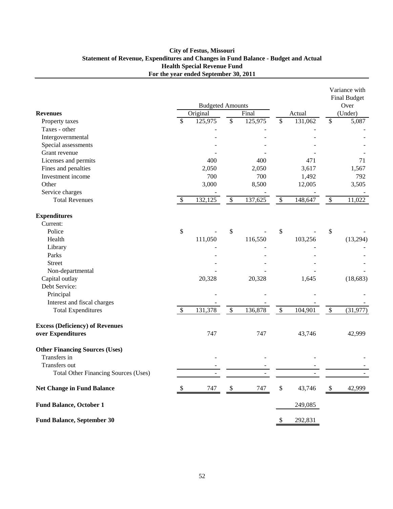## **City of Festus, Missouri Statement of Revenue, Expenditures and Changes in Fund Balance - Budget and Actual Health Special Revenue Fund For the year ended September 30, 2011**

|                                             |                           |                         |                          |         |                           |         | Variance with<br><b>Final Budget</b> |           |  |
|---------------------------------------------|---------------------------|-------------------------|--------------------------|---------|---------------------------|---------|--------------------------------------|-----------|--|
|                                             |                           | <b>Budgeted Amounts</b> |                          |         |                           |         | Over                                 |           |  |
| <b>Revenues</b>                             |                           | Original                |                          | Final   |                           | Actual  |                                      | (Under)   |  |
| Property taxes                              | $\overline{\mathcal{S}}$  | 125,975                 | $\overline{\$}$          | 125,975 | $\overline{\mathcal{S}}$  | 131,062 | $\overline{\mathcal{S}}$             | 5,087     |  |
| Taxes - other                               |                           |                         |                          |         |                           |         |                                      |           |  |
| Intergovernmental                           |                           |                         |                          |         |                           |         |                                      |           |  |
| Special assessments                         |                           |                         |                          |         |                           |         |                                      |           |  |
| Grant revenue                               |                           |                         |                          |         |                           |         |                                      |           |  |
| Licenses and permits                        |                           | 400                     |                          | 400     |                           | 471     |                                      | 71        |  |
| Fines and penalties                         |                           | 2,050                   |                          | 2,050   |                           | 3,617   |                                      | 1,567     |  |
| Investment income                           |                           | 700                     |                          | 700     |                           | 1,492   |                                      | 792       |  |
| Other                                       |                           | 3,000                   |                          | 8,500   |                           | 12,005  |                                      | 3,505     |  |
| Service charges                             |                           |                         |                          |         |                           |         |                                      |           |  |
| <b>Total Revenues</b>                       | $\mathcal{S}$             | 132,125                 | $\mathbb{S}$             | 137,625 | $\boldsymbol{\mathsf{S}}$ | 148,647 | $\mathcal{S}$                        | 11,022    |  |
| <b>Expenditures</b>                         |                           |                         |                          |         |                           |         |                                      |           |  |
| Current:                                    |                           |                         |                          |         |                           |         |                                      |           |  |
| Police                                      | \$                        |                         | \$                       |         | \$                        |         | \$                                   |           |  |
| Health                                      |                           | 111,050                 |                          | 116,550 |                           | 103,256 |                                      | (13,294)  |  |
| Library                                     |                           |                         |                          |         |                           |         |                                      |           |  |
| Parks                                       |                           |                         |                          |         |                           |         |                                      |           |  |
| <b>Street</b>                               |                           |                         |                          |         |                           |         |                                      |           |  |
| Non-departmental                            |                           |                         |                          |         |                           |         |                                      |           |  |
| Capital outlay                              |                           | 20,328                  |                          | 20,328  |                           | 1,645   |                                      | (18, 683) |  |
| Debt Service:                               |                           |                         |                          |         |                           |         |                                      |           |  |
| Principal                                   |                           |                         |                          |         |                           |         |                                      |           |  |
| Interest and fiscal charges                 |                           |                         |                          |         |                           |         |                                      |           |  |
| <b>Total Expenditures</b>                   | $\mathcal{S}$             | 131,378                 | $\overline{\mathcal{S}}$ | 136,878 | $\boldsymbol{\$}$         | 104,901 | $\mathbb{S}$                         | (31, 977) |  |
| <b>Excess (Deficiency) of Revenues</b>      |                           |                         |                          |         |                           |         |                                      |           |  |
| over Expenditures                           |                           | 747                     |                          | 747     |                           | 43,746  |                                      | 42,999    |  |
| <b>Other Financing Sources (Uses)</b>       |                           |                         |                          |         |                           |         |                                      |           |  |
| Transfers in                                |                           |                         |                          |         |                           |         |                                      |           |  |
| Transfers out                               |                           |                         |                          |         |                           |         |                                      |           |  |
| <b>Total Other Financing Sources (Uses)</b> |                           |                         |                          |         |                           |         |                                      |           |  |
| <b>Net Change in Fund Balance</b>           | $\boldsymbol{\mathsf{S}}$ | 747                     | \$                       | 747     | \$                        | 43,746  | \$                                   | 42,999    |  |
| <b>Fund Balance, October 1</b>              |                           |                         |                          |         |                           | 249,085 |                                      |           |  |
| <b>Fund Balance, September 30</b>           |                           |                         |                          |         |                           | 292,831 |                                      |           |  |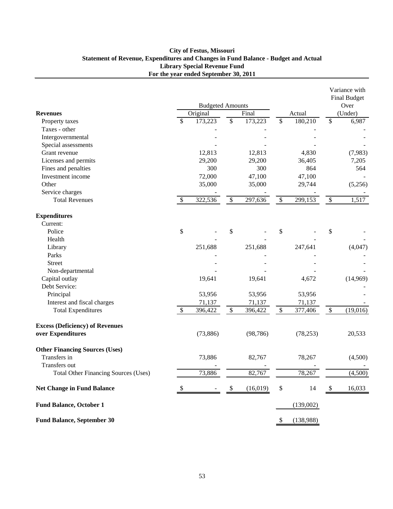## **City of Festus, Missouri Statement of Revenue, Expenditures and Changes in Fund Balance - Budget and Actual Library Special Revenue Fund For the year ended September 30, 2011**

|                                             |               |                         |                 |           |              |           |                          | Variance with<br><b>Final Budget</b> |  |
|---------------------------------------------|---------------|-------------------------|-----------------|-----------|--------------|-----------|--------------------------|--------------------------------------|--|
|                                             |               | <b>Budgeted Amounts</b> |                 |           |              |           | Over                     |                                      |  |
| <b>Revenues</b>                             |               | Original                |                 | Final     |              | Actual    | (Under)                  |                                      |  |
| Property taxes                              | $\mathcal{S}$ | 173,223                 | $\overline{\$}$ | 173,223   | \$           | 180,210   | $\overline{\mathcal{S}}$ | 6,987                                |  |
| Taxes - other                               |               |                         |                 |           |              |           |                          |                                      |  |
| Intergovernmental                           |               |                         |                 |           |              |           |                          |                                      |  |
| Special assessments                         |               |                         |                 |           |              |           |                          |                                      |  |
| Grant revenue                               |               | 12,813                  |                 | 12,813    |              | 4,830     |                          | (7,983)                              |  |
| Licenses and permits                        |               | 29,200                  |                 | 29,200    |              | 36,405    |                          | 7,205                                |  |
| Fines and penalties                         |               | 300                     |                 | 300       |              | 864       |                          | 564                                  |  |
| Investment income                           |               | 72,000                  |                 | 47,100    |              | 47,100    |                          |                                      |  |
| Other                                       |               | 35,000                  |                 | 35,000    |              | 29,744    |                          | (5,256)                              |  |
| Service charges                             |               |                         |                 |           |              |           |                          |                                      |  |
| <b>Total Revenues</b>                       | $\mathcal{S}$ | 322,536                 | $\mathbb{S}$    | 297,636   | $\mathbb{S}$ | 299,153   | $\mathbb{S}$             | 1,517                                |  |
| <b>Expenditures</b>                         |               |                         |                 |           |              |           |                          |                                      |  |
| Current:                                    |               |                         |                 |           |              |           |                          |                                      |  |
| Police                                      | \$            |                         | \$              |           | \$           |           | \$                       |                                      |  |
| Health                                      |               |                         |                 |           |              |           |                          |                                      |  |
| Library                                     |               | 251,688                 |                 | 251,688   |              | 247,641   |                          | (4,047)                              |  |
| Parks                                       |               |                         |                 |           |              |           |                          |                                      |  |
| <b>Street</b>                               |               |                         |                 |           |              |           |                          |                                      |  |
| Non-departmental                            |               |                         |                 |           |              |           |                          |                                      |  |
| Capital outlay                              |               | 19,641                  |                 | 19,641    |              | 4,672     |                          | (14,969)                             |  |
| Debt Service:                               |               |                         |                 |           |              |           |                          |                                      |  |
| Principal                                   |               | 53,956                  |                 | 53,956    |              | 53,956    |                          |                                      |  |
| Interest and fiscal charges                 |               | 71,137                  |                 | 71,137    |              | 71,137    |                          |                                      |  |
| <b>Total Expenditures</b>                   | $\mathcal{S}$ | 396,422                 | $\mathbb S$     | 396,422   | $\mathbb{S}$ | 377,406   | $\$\,$                   | (19,016)                             |  |
| <b>Excess (Deficiency) of Revenues</b>      |               |                         |                 |           |              |           |                          |                                      |  |
| over Expenditures                           |               | (73, 886)               |                 | (98, 786) |              | (78, 253) |                          | 20,533                               |  |
| <b>Other Financing Sources (Uses)</b>       |               |                         |                 |           |              |           |                          |                                      |  |
| Transfers in                                |               | 73,886                  |                 | 82,767    |              | 78,267    |                          | (4,500)                              |  |
| Transfers out                               |               |                         |                 |           |              |           |                          |                                      |  |
| <b>Total Other Financing Sources (Uses)</b> |               | 73,886                  |                 | 82,767    |              | 78,267    |                          | (4,500)                              |  |
| <b>Net Change in Fund Balance</b>           | \$            |                         | \$              | (16,019)  | \$           | 14        | \$                       | 16,033                               |  |
| <b>Fund Balance, October 1</b>              |               |                         |                 |           |              | (139,002) |                          |                                      |  |
| <b>Fund Balance, September 30</b>           |               |                         |                 |           | -\$          | (138,988) |                          |                                      |  |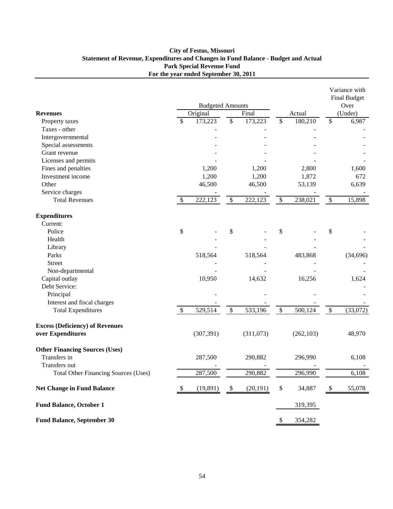## **City of Festus, Missouri Statement of Revenue, Expenditures and Changes in Fund Balance - Budget and Actual Park Special Revenue Fund For the year ended September 30, 2011**

|                                             |                          |            |                          |           |                 |            |                           | Variance with<br><b>Final Budget</b> |
|---------------------------------------------|--------------------------|------------|--------------------------|-----------|-----------------|------------|---------------------------|--------------------------------------|
|                                             | <b>Budgeted Amounts</b>  |            |                          |           |                 |            | Over                      |                                      |
| <b>Revenues</b>                             |                          | Original   |                          | Final     |                 | Actual     |                           | (Under)                              |
| Property taxes                              | $\overline{\mathcal{S}}$ | 173,223    | $\overline{\$}$          | 173,223   | $\overline{\$}$ | 180,210    | $\overline{\mathcal{S}}$  | 6,987                                |
| Taxes - other                               |                          |            |                          |           |                 |            |                           |                                      |
| Intergovernmental                           |                          |            |                          |           |                 |            |                           |                                      |
| Special assessments                         |                          |            |                          |           |                 |            |                           |                                      |
| Grant revenue                               |                          |            |                          |           |                 |            |                           |                                      |
| Licenses and permits                        |                          |            |                          |           |                 |            |                           |                                      |
| Fines and penalties                         |                          | 1,200      |                          | 1,200     |                 | 2,800      |                           | 1,600                                |
| Investment income                           |                          | 1,200      |                          | 1,200     |                 | 1,872      |                           | 672                                  |
| Other                                       |                          | 46,500     |                          | 46,500    |                 | 53,139     |                           | 6,639                                |
| Service charges                             |                          |            |                          |           |                 |            |                           |                                      |
| <b>Total Revenues</b>                       | $\mathcal{S}$            | 222,123    | $\mathbb{S}$             | 222,123   | $\$\,$          | 238,021    | $\mathcal{L}$             | 15,898                               |
| <b>Expenditures</b>                         |                          |            |                          |           |                 |            |                           |                                      |
| Current:                                    |                          |            |                          |           |                 |            |                           |                                      |
| Police                                      | \$                       |            | \$                       |           | \$              |            | \$                        |                                      |
| Health                                      |                          |            |                          |           |                 |            |                           |                                      |
| Library                                     |                          |            |                          |           |                 |            |                           |                                      |
| Parks                                       |                          | 518,564    |                          | 518,564   |                 | 483,868    |                           | (34, 696)                            |
| <b>Street</b>                               |                          |            |                          |           |                 |            |                           |                                      |
| Non-departmental                            |                          |            |                          |           |                 |            |                           |                                      |
| Capital outlay                              |                          | 10,950     |                          | 14,632    |                 | 16,256     |                           | 1,624                                |
| Debt Service:                               |                          |            |                          |           |                 |            |                           |                                      |
| Principal                                   |                          |            |                          |           |                 |            |                           |                                      |
| Interest and fiscal charges                 |                          |            |                          |           |                 |            |                           |                                      |
| <b>Total Expenditures</b>                   | $\mathcal{S}$            | 529,514    | $\overline{\mathcal{S}}$ | 533,196   | $\mathbb{S}$    | 500,124    | $\boldsymbol{\mathsf{S}}$ | (33,072)                             |
| <b>Excess (Deficiency) of Revenues</b>      |                          |            |                          |           |                 |            |                           |                                      |
| over Expenditures                           |                          | (307, 391) |                          | (311,073) |                 | (262, 103) |                           | 48,970                               |
| <b>Other Financing Sources (Uses)</b>       |                          |            |                          |           |                 |            |                           |                                      |
| Transfers in                                |                          | 287,500    |                          | 290,882   |                 | 296,990    |                           | 6,108                                |
| <b>Transfers</b> out                        |                          |            |                          |           |                 |            |                           |                                      |
| <b>Total Other Financing Sources (Uses)</b> |                          | 287,500    |                          | 290,882   |                 | 296,990    |                           | 6,108                                |
| <b>Net Change in Fund Balance</b>           | $\sqrt{2}$               | (19,891)   | \$                       | (20, 191) | \$              | 34,887     | \$                        | 55,078                               |
| <b>Fund Balance, October 1</b>              |                          |            |                          |           |                 | 319,395    |                           |                                      |
| <b>Fund Balance, September 30</b>           |                          |            |                          |           | $\mathcal{P}$   | 354,282    |                           |                                      |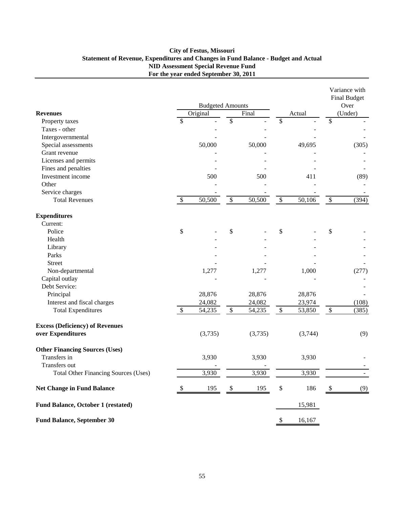## **City of Festus, Missouri Statement of Revenue, Expenditures and Changes in Fund Balance - Budget and Actual NID Assessment Special Revenue Fund For the year ended September 30, 2011**

|                                             |                           |                         |                           |         |      |         |                   | Variance with<br><b>Final Budget</b> |
|---------------------------------------------|---------------------------|-------------------------|---------------------------|---------|------|---------|-------------------|--------------------------------------|
|                                             |                           | <b>Budgeted Amounts</b> |                           | Final   |      |         | Over<br>(Under)   |                                      |
| <b>Revenues</b>                             | $\mathcal{S}$             | Original                | \$                        |         | \$   | Actual  | \$                |                                      |
| Property taxes                              |                           |                         |                           |         |      |         |                   |                                      |
| Taxes - other                               |                           |                         |                           |         |      |         |                   |                                      |
| Intergovernmental                           |                           |                         |                           |         |      |         |                   |                                      |
| Special assessments                         |                           | 50,000                  |                           | 50,000  |      | 49,695  |                   | (305)                                |
| Grant revenue                               |                           |                         |                           |         |      |         |                   |                                      |
| Licenses and permits                        |                           |                         |                           |         |      |         |                   |                                      |
| Fines and penalties<br>Investment income    |                           |                         |                           |         |      |         |                   |                                      |
|                                             |                           | 500                     |                           | 500     |      | 411     |                   | (89)                                 |
| Other                                       |                           |                         |                           |         |      |         |                   |                                      |
| Service charges                             |                           |                         |                           |         |      |         |                   |                                      |
| <b>Total Revenues</b>                       | $\boldsymbol{\mathsf{S}}$ | 50,500                  | $\mathbb{S}$              | 50,500  | $\$$ | 50,106  | $\boldsymbol{\$}$ | (394)                                |
| <b>Expenditures</b>                         |                           |                         |                           |         |      |         |                   |                                      |
| Current:                                    |                           |                         |                           |         |      |         |                   |                                      |
| Police                                      | \$                        |                         | \$                        |         | \$   |         | \$                |                                      |
| Health                                      |                           |                         |                           |         |      |         |                   |                                      |
| Library                                     |                           |                         |                           |         |      |         |                   |                                      |
| Parks                                       |                           |                         |                           |         |      |         |                   |                                      |
| <b>Street</b>                               |                           |                         |                           |         |      |         |                   |                                      |
| Non-departmental                            |                           | 1,277                   |                           | 1,277   |      | 1,000   |                   | (277)                                |
| Capital outlay                              |                           |                         |                           |         |      |         |                   |                                      |
| Debt Service:                               |                           |                         |                           |         |      |         |                   |                                      |
| Principal                                   |                           | 28,876                  |                           | 28,876  |      | 28,876  |                   |                                      |
| Interest and fiscal charges                 |                           | 24,082                  |                           | 24,082  |      | 23,974  |                   | (108)                                |
| <b>Total Expenditures</b>                   | $\mathcal{S}$             | 54,235                  | $\mathbb{S}$              | 54,235  | $\$$ | 53,850  | $\mathbb{S}$      | (385)                                |
|                                             |                           |                         |                           |         |      |         |                   |                                      |
| <b>Excess (Deficiency) of Revenues</b>      |                           |                         |                           |         |      |         |                   |                                      |
| over Expenditures                           |                           | (3,735)                 |                           | (3,735) |      | (3,744) |                   | (9)                                  |
| <b>Other Financing Sources (Uses)</b>       |                           |                         |                           |         |      |         |                   |                                      |
| Transfers in                                |                           | 3,930                   |                           | 3,930   |      | 3,930   |                   |                                      |
| <b>Transfers</b> out                        |                           |                         |                           |         |      |         |                   |                                      |
| <b>Total Other Financing Sources (Uses)</b> |                           | 3,930                   |                           | 3,930   |      | 3,930   |                   |                                      |
|                                             |                           |                         |                           |         |      |         |                   |                                      |
| <b>Net Change in Fund Balance</b>           | \$                        | 195                     | $\boldsymbol{\mathsf{S}}$ | 195     | \$   | 186     | \$                | (9)                                  |
| Fund Balance, October 1 (restated)          |                           |                         |                           |         |      | 15,981  |                   |                                      |
| <b>Fund Balance, September 30</b>           |                           |                         |                           |         | \$   | 16,167  |                   |                                      |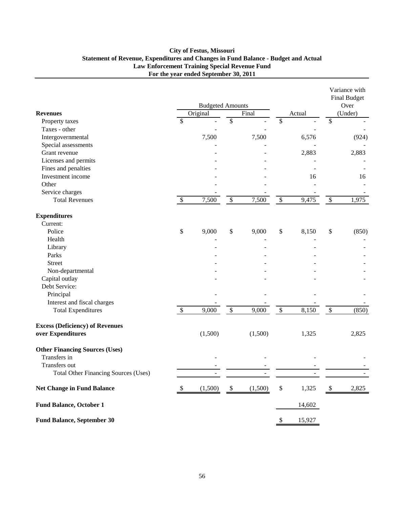## **City of Festus, Missouri Statement of Revenue, Expenditures and Changes in Fund Balance - Budget and Actual Law Enforcement Training Special Revenue Fund For the year ended September 30, 2011**

|                                             |                           |                         |               |         |              |        |                         | Variance with<br><b>Final Budget</b> |
|---------------------------------------------|---------------------------|-------------------------|---------------|---------|--------------|--------|-------------------------|--------------------------------------|
|                                             |                           | <b>Budgeted Amounts</b> |               |         |              |        | Over                    |                                      |
| <b>Revenues</b>                             | Original                  |                         |               | Final   | Actual       |        | (Under)                 |                                      |
| Property taxes                              | $\mathcal{S}$             |                         | \$            |         | \$           |        | \$                      |                                      |
| Taxes - other                               |                           |                         |               |         |              |        |                         |                                      |
| Intergovernmental                           |                           | 7,500                   |               | 7,500   |              | 6,576  |                         | (924)                                |
| Special assessments                         |                           |                         |               |         |              |        |                         |                                      |
| Grant revenue                               |                           |                         |               |         |              | 2,883  |                         | 2,883                                |
| Licenses and permits                        |                           |                         |               |         |              |        |                         |                                      |
| Fines and penalties                         |                           |                         |               |         |              |        |                         |                                      |
| Investment income                           |                           |                         |               |         |              | 16     |                         | 16                                   |
| Other                                       |                           |                         |               |         |              |        |                         |                                      |
| Service charges                             |                           |                         |               |         |              |        |                         |                                      |
| <b>Total Revenues</b>                       | $\boldsymbol{\mathsf{S}}$ | 7,500                   | $\mathbb{S}$  | 7,500   | $\$$         | 9,475  | $\mathbb{S}$            | 1,975                                |
| <b>Expenditures</b>                         |                           |                         |               |         |              |        |                         |                                      |
| Current:                                    |                           |                         |               |         |              |        |                         |                                      |
| Police                                      | \$                        | 9,000                   | \$            | 9,000   | \$           | 8,150  | \$                      | (850)                                |
| Health                                      |                           |                         |               |         |              |        |                         |                                      |
| Library                                     |                           |                         |               |         |              |        |                         |                                      |
| Parks                                       |                           |                         |               |         |              |        |                         |                                      |
| <b>Street</b>                               |                           |                         |               |         |              |        |                         |                                      |
| Non-departmental                            |                           |                         |               |         |              |        |                         |                                      |
| Capital outlay                              |                           |                         |               |         |              |        |                         |                                      |
| Debt Service:                               |                           |                         |               |         |              |        |                         |                                      |
| Principal                                   |                           |                         |               |         |              |        |                         |                                      |
| Interest and fiscal charges                 |                           |                         |               |         |              |        |                         |                                      |
| <b>Total Expenditures</b>                   | $\sqrt{3}$                | 9,000                   | $\mathbb{S}$  | 9,000   | $\mathbb{S}$ | 8,150  | $\sqrt[6]{\frac{1}{2}}$ | (850)                                |
| <b>Excess (Deficiency) of Revenues</b>      |                           |                         |               |         |              |        |                         |                                      |
| over Expenditures                           |                           | (1,500)                 |               | (1,500) |              | 1,325  |                         | 2,825                                |
| <b>Other Financing Sources (Uses)</b>       |                           |                         |               |         |              |        |                         |                                      |
| Transfers in                                |                           |                         |               |         |              |        |                         |                                      |
| Transfers out                               |                           |                         |               |         |              |        |                         |                                      |
| <b>Total Other Financing Sources (Uses)</b> |                           |                         |               |         |              |        |                         |                                      |
| <b>Net Change in Fund Balance</b>           | -\$                       | (1,500)                 | $\mathcal{S}$ | (1,500) | \$           | 1,325  | \$                      | 2,825                                |
| <b>Fund Balance, October 1</b>              |                           |                         |               |         |              | 14,602 |                         |                                      |
| <b>Fund Balance, September 30</b>           |                           |                         |               |         | \$           | 15,927 |                         |                                      |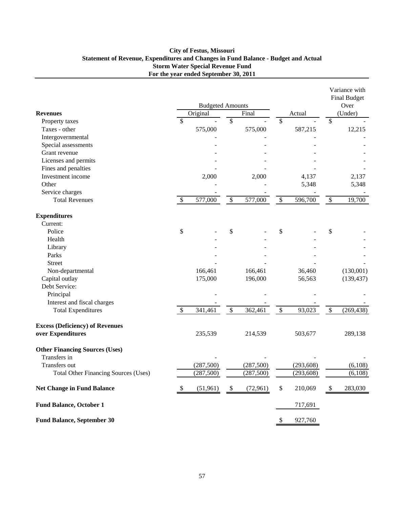## **City of Festus, Missouri Statement of Revenue, Expenditures and Changes in Fund Balance - Budget and Actual Storm Water Special Revenue Fund For the year ended September 30, 2011**

|                                             |                                              |            |                 |            |                          |            |               | Variance with<br><b>Final Budget</b><br>Over |
|---------------------------------------------|----------------------------------------------|------------|-----------------|------------|--------------------------|------------|---------------|----------------------------------------------|
| <b>Revenues</b>                             | <b>Budgeted Amounts</b><br>Original<br>Final |            |                 | Actual     |                          | (Under)    |               |                                              |
| Property taxes                              | $\overline{\mathcal{S}}$                     |            | $\overline{\$}$ |            | $\overline{\mathcal{S}}$ |            | \$            |                                              |
| Taxes - other                               |                                              | 575,000    |                 | 575,000    |                          | 587,215    |               | 12,215                                       |
| Intergovernmental                           |                                              |            |                 |            |                          |            |               |                                              |
| Special assessments                         |                                              |            |                 |            |                          |            |               |                                              |
| Grant revenue                               |                                              |            |                 |            |                          |            |               |                                              |
| Licenses and permits                        |                                              |            |                 |            |                          |            |               |                                              |
| Fines and penalties                         |                                              |            |                 |            |                          |            |               |                                              |
| Investment income                           |                                              | 2,000      |                 | 2,000      |                          | 4,137      |               | 2,137                                        |
| Other                                       |                                              |            |                 |            |                          | 5,348      |               | 5,348                                        |
| Service charges                             |                                              |            |                 |            |                          |            |               |                                              |
| <b>Total Revenues</b>                       | $\mathcal{S}$                                | 577,000    | $\$$            | 577,000    | $\boldsymbol{\$}$        | 596,700    | $\mathcal{L}$ | 19,700                                       |
| <b>Expenditures</b>                         |                                              |            |                 |            |                          |            |               |                                              |
| Current:                                    |                                              |            |                 |            |                          |            |               |                                              |
| Police                                      | \$                                           |            | \$              |            | \$                       |            | \$            |                                              |
| Health                                      |                                              |            |                 |            |                          |            |               |                                              |
| Library                                     |                                              |            |                 |            |                          |            |               |                                              |
| Parks                                       |                                              |            |                 |            |                          |            |               |                                              |
| <b>Street</b>                               |                                              |            |                 |            |                          |            |               |                                              |
| Non-departmental                            |                                              | 166,461    |                 | 166,461    |                          | 36,460     |               | (130,001)                                    |
| Capital outlay                              |                                              | 175,000    |                 | 196,000    |                          | 56,563     |               | (139, 437)                                   |
| Debt Service:                               |                                              |            |                 |            |                          |            |               |                                              |
| Principal                                   |                                              |            |                 |            |                          |            |               |                                              |
| Interest and fiscal charges                 |                                              |            |                 |            |                          |            |               |                                              |
| <b>Total Expenditures</b>                   | $\mathcal{S}$                                | 341,461    | $\mathbb{S}$    | 362,461    | $\mathbb{S}$             | 93,023     | $\mathbb{S}$  | (269, 438)                                   |
| <b>Excess (Deficiency) of Revenues</b>      |                                              |            |                 |            |                          |            |               |                                              |
| over Expenditures                           |                                              | 235,539    |                 | 214,539    |                          | 503,677    |               | 289,138                                      |
| <b>Other Financing Sources (Uses)</b>       |                                              |            |                 |            |                          |            |               |                                              |
| Transfers in                                |                                              |            |                 |            |                          |            |               |                                              |
| Transfers out                               |                                              | (287, 500) |                 | (287, 500) |                          | (293, 608) |               | (6,108)                                      |
| <b>Total Other Financing Sources (Uses)</b> |                                              | (287, 500) |                 | (287,500)  |                          | (293, 608) |               | (6,108)                                      |
| <b>Net Change in Fund Balance</b>           | \$                                           | (51,961)   | \$              | (72,961)   | \$                       | 210,069    | \$            | 283,030                                      |
| <b>Fund Balance, October 1</b>              |                                              |            |                 |            |                          | 717,691    |               |                                              |
| <b>Fund Balance, September 30</b>           |                                              |            |                 |            | $\mathcal{P}$            | 927,760    |               |                                              |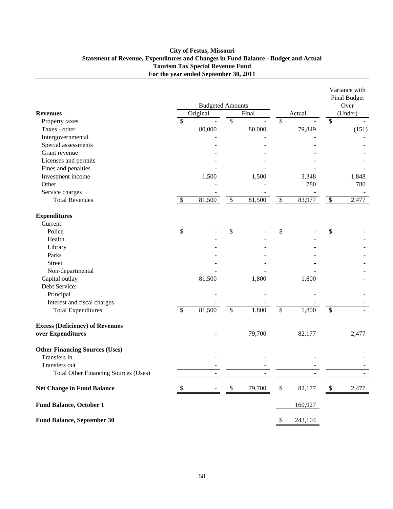## **City of Festus, Missouri Statement of Revenue, Expenditures and Changes in Fund Balance - Budget and Actual Tourism Tax Special Revenue Fund For the year ended September 30, 2011**

|                                             |                          |                         |                          |        |                          |         |                 | Variance with<br><b>Final Budget</b> |
|---------------------------------------------|--------------------------|-------------------------|--------------------------|--------|--------------------------|---------|-----------------|--------------------------------------|
|                                             |                          | <b>Budgeted Amounts</b> |                          |        |                          |         | Over            |                                      |
| <b>Revenues</b>                             | Original                 |                         |                          | Final  |                          | Actual  | (Under)         |                                      |
| Property taxes                              | $\overline{\mathcal{S}}$ |                         | $\overline{\mathcal{S}}$ |        | $\overline{\mathcal{S}}$ |         | $\overline{\$}$ |                                      |
| Taxes - other                               |                          | 80,000                  |                          | 80,000 |                          | 79,849  |                 | (151)                                |
| Intergovernmental                           |                          |                         |                          |        |                          |         |                 |                                      |
| Special assessments                         |                          |                         |                          |        |                          |         |                 |                                      |
| Grant revenue                               |                          |                         |                          |        |                          |         |                 |                                      |
| Licenses and permits                        |                          |                         |                          |        |                          |         |                 |                                      |
| Fines and penalties                         |                          |                         |                          |        |                          |         |                 |                                      |
| Investment income                           |                          | 1,500                   |                          | 1,500  |                          | 3,348   |                 | 1,848                                |
| Other                                       |                          |                         |                          |        |                          | 780     |                 | 780                                  |
| Service charges                             |                          |                         |                          |        |                          |         |                 |                                      |
| <b>Total Revenues</b>                       | $\mathcal{S}$            | 81,500                  | $\sqrt[6]{\frac{1}{2}}$  | 81,500 | $\mathcal{S}$            | 83,977  | $\mathcal{S}$   | 2,477                                |
| <b>Expenditures</b>                         |                          |                         |                          |        |                          |         |                 |                                      |
| Current:                                    |                          |                         |                          |        |                          |         |                 |                                      |
| Police                                      | \$                       |                         | \$                       |        | \$                       |         | \$              |                                      |
| Health                                      |                          |                         |                          |        |                          |         |                 |                                      |
| Library                                     |                          |                         |                          |        |                          |         |                 |                                      |
| Parks                                       |                          |                         |                          |        |                          |         |                 |                                      |
| <b>Street</b>                               |                          |                         |                          |        |                          |         |                 |                                      |
| Non-departmental                            |                          |                         |                          |        |                          |         |                 |                                      |
| Capital outlay                              |                          | 81,500                  |                          | 1,800  |                          | 1,800   |                 |                                      |
| Debt Service:                               |                          |                         |                          |        |                          |         |                 |                                      |
| Principal                                   |                          |                         |                          |        |                          |         |                 |                                      |
| Interest and fiscal charges                 |                          |                         |                          |        |                          |         |                 |                                      |
| <b>Total Expenditures</b>                   | $\sqrt{3}$               | 81,500                  | $\mathcal{S}$            | 1,800  | $\mathbb{S}$             | 1,800   | $\mathbb{S}$    |                                      |
| <b>Excess (Deficiency) of Revenues</b>      |                          |                         |                          |        |                          |         |                 |                                      |
| over Expenditures                           |                          |                         |                          | 79,700 |                          | 82,177  |                 | 2,477                                |
| <b>Other Financing Sources (Uses)</b>       |                          |                         |                          |        |                          |         |                 |                                      |
| Transfers in                                |                          |                         |                          |        |                          |         |                 |                                      |
| <b>Transfers out</b>                        |                          |                         |                          |        |                          |         |                 |                                      |
| <b>Total Other Financing Sources (Uses)</b> |                          |                         |                          |        |                          |         |                 |                                      |
| <b>Net Change in Fund Balance</b>           | \$                       |                         | \$                       | 79,700 | \$                       | 82,177  | \$              | 2,477                                |
| <b>Fund Balance, October 1</b>              |                          |                         |                          |        |                          | 160,927 |                 |                                      |
| <b>Fund Balance, September 30</b>           |                          |                         |                          |        | - \$                     | 243,104 |                 |                                      |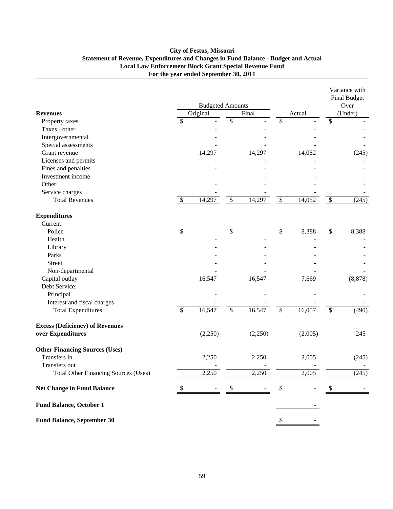## **City of Festus, Missouri Statement of Revenue, Expenditures and Changes in Fund Balance - Budget and Actual Local Law Enforcement Block Grant Special Revenue Fund For the year ended September 30, 2011**

|                                             |                         |          |               |         |              |         |                           | Variance with<br><b>Final Budget</b> |
|---------------------------------------------|-------------------------|----------|---------------|---------|--------------|---------|---------------------------|--------------------------------------|
|                                             | <b>Budgeted Amounts</b> |          |               |         |              |         | Over                      |                                      |
| <b>Revenues</b>                             |                         | Original |               | Final   |              | Actual  |                           | (Under)                              |
| Property taxes                              | $\mathcal{S}$           |          | \$            |         | \$           |         | \$                        |                                      |
| Taxes - other                               |                         |          |               |         |              |         |                           |                                      |
| Intergovernmental                           |                         |          |               |         |              |         |                           |                                      |
| Special assessments                         |                         |          |               |         |              |         |                           |                                      |
| Grant revenue                               |                         | 14,297   |               | 14,297  |              | 14,052  |                           | (245)                                |
| Licenses and permits                        |                         |          |               |         |              |         |                           |                                      |
| Fines and penalties                         |                         |          |               |         |              |         |                           |                                      |
| Investment income                           |                         |          |               |         |              |         |                           |                                      |
| Other                                       |                         |          |               |         |              |         |                           |                                      |
| Service charges                             |                         |          |               |         |              |         |                           |                                      |
| <b>Total Revenues</b>                       | $\mathcal{S}$           | 14,297   | $\mathbb{S}$  | 14,297  | $\$$         | 14,052  | $\mathbb{S}$              | (245)                                |
| <b>Expenditures</b>                         |                         |          |               |         |              |         |                           |                                      |
| Current:                                    |                         |          |               |         |              |         |                           |                                      |
| Police                                      | \$                      |          | \$            |         | \$           | 8,388   | \$                        | 8,388                                |
| Health                                      |                         |          |               |         |              |         |                           |                                      |
| Library                                     |                         |          |               |         |              |         |                           |                                      |
| Parks                                       |                         |          |               |         |              |         |                           |                                      |
| <b>Street</b>                               |                         |          |               |         |              |         |                           |                                      |
| Non-departmental                            |                         |          |               |         |              |         |                           |                                      |
| Capital outlay                              |                         | 16,547   |               | 16,547  |              | 7,669   |                           | (8, 878)                             |
| Debt Service:                               |                         |          |               |         |              |         |                           |                                      |
| Principal                                   |                         |          |               |         |              |         |                           |                                      |
| Interest and fiscal charges                 |                         |          |               |         |              |         |                           |                                      |
| <b>Total Expenditures</b>                   | $\mathcal{S}$           | 16,547   | $\mathcal{L}$ | 16,547  | $\mathbb{S}$ | 16,057  | $\boldsymbol{\mathsf{S}}$ | (490)                                |
| <b>Excess (Deficiency) of Revenues</b>      |                         |          |               |         |              |         |                           |                                      |
| over Expenditures                           |                         | (2,250)  |               | (2,250) |              | (2,005) |                           | 245                                  |
| <b>Other Financing Sources (Uses)</b>       |                         |          |               |         |              |         |                           |                                      |
| Transfers in                                |                         | 2,250    |               | 2,250   |              | 2,005   |                           | (245)                                |
| Transfers out                               |                         |          |               |         |              |         |                           |                                      |
| <b>Total Other Financing Sources (Uses)</b> |                         | 2,250    |               | 2,250   |              | 2,005   |                           | (245)                                |
| <b>Net Change in Fund Balance</b>           | \$                      |          | -\$           |         | \$           |         | \$                        |                                      |
| <b>Fund Balance, October 1</b>              |                         |          |               |         |              |         |                           |                                      |
| <b>Fund Balance, September 30</b>           |                         |          |               |         | \$           |         |                           |                                      |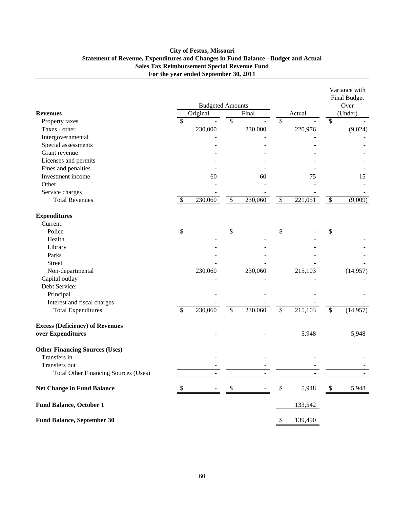## **City of Festus, Missouri Statement of Revenue, Expenditures and Changes in Fund Balance - Budget and Actual Sales Tax Reimbursement Special Revenue Fund For the year ended September 30, 2011**

|                                             | <b>Budgeted Amounts</b>   |         |                 |         |                          |         | Variance with<br><b>Final Budget</b><br>Over |           |  |
|---------------------------------------------|---------------------------|---------|-----------------|---------|--------------------------|---------|----------------------------------------------|-----------|--|
| <b>Revenues</b>                             | Original                  |         |                 | Final   |                          | Actual  |                                              | (Under)   |  |
| Property taxes                              | $\overline{\mathcal{S}}$  |         | $\overline{\$}$ |         | $\overline{\mathcal{S}}$ |         | \$                                           |           |  |
| Taxes - other                               |                           | 230,000 |                 | 230,000 |                          | 220,976 |                                              | (9,024)   |  |
| Intergovernmental                           |                           |         |                 |         |                          |         |                                              |           |  |
| Special assessments                         |                           |         |                 |         |                          |         |                                              |           |  |
| Grant revenue                               |                           |         |                 |         |                          |         |                                              |           |  |
| Licenses and permits                        |                           |         |                 |         |                          |         |                                              |           |  |
| Fines and penalties                         |                           |         |                 |         |                          |         |                                              |           |  |
| Investment income                           |                           | 60      |                 | 60      |                          | 75      |                                              | 15        |  |
| Other                                       |                           |         |                 |         |                          |         |                                              |           |  |
| Service charges                             |                           |         |                 |         |                          |         |                                              |           |  |
| <b>Total Revenues</b>                       | $\mathcal{S}$             | 230,060 | $\mathbb{S}$    | 230,060 | $\mathbb{S}$             | 221,051 | $\mathbb{S}$                                 | (9,009)   |  |
| <b>Expenditures</b>                         |                           |         |                 |         |                          |         |                                              |           |  |
| Current:                                    |                           |         |                 |         |                          |         |                                              |           |  |
| Police                                      | \$                        |         | \$              |         | \$                       |         | \$                                           |           |  |
| Health                                      |                           |         |                 |         |                          |         |                                              |           |  |
| Library                                     |                           |         |                 |         |                          |         |                                              |           |  |
| Parks                                       |                           |         |                 |         |                          |         |                                              |           |  |
| <b>Street</b>                               |                           |         |                 |         |                          |         |                                              |           |  |
| Non-departmental                            |                           | 230,060 |                 | 230,060 |                          | 215,103 |                                              | (14, 957) |  |
| Capital outlay                              |                           |         |                 |         |                          |         |                                              |           |  |
| Debt Service:                               |                           |         |                 |         |                          |         |                                              |           |  |
| Principal                                   |                           |         |                 |         |                          |         |                                              |           |  |
| Interest and fiscal charges                 |                           |         |                 |         |                          |         |                                              |           |  |
| <b>Total Expenditures</b>                   | $\boldsymbol{\mathsf{S}}$ | 230,060 | $\mathbb{S}$    | 230,060 | $\mathbb{S}$             | 215,103 | $\boldsymbol{\mathsf{S}}$                    | (14, 957) |  |
| <b>Excess (Deficiency) of Revenues</b>      |                           |         |                 |         |                          |         |                                              |           |  |
| over Expenditures                           |                           |         |                 |         |                          | 5,948   |                                              | 5,948     |  |
| <b>Other Financing Sources (Uses)</b>       |                           |         |                 |         |                          |         |                                              |           |  |
| Transfers in                                |                           |         |                 |         |                          |         |                                              |           |  |
| Transfers out                               |                           |         |                 |         |                          |         |                                              |           |  |
| <b>Total Other Financing Sources (Uses)</b> |                           |         |                 |         |                          |         |                                              |           |  |
| <b>Net Change in Fund Balance</b>           |                           |         |                 |         | \$                       | 5,948   |                                              | 5,948     |  |
| <b>Fund Balance, October 1</b>              |                           |         |                 |         |                          | 133,542 |                                              |           |  |
| <b>Fund Balance, September 30</b>           |                           |         |                 |         |                          | 139,490 |                                              |           |  |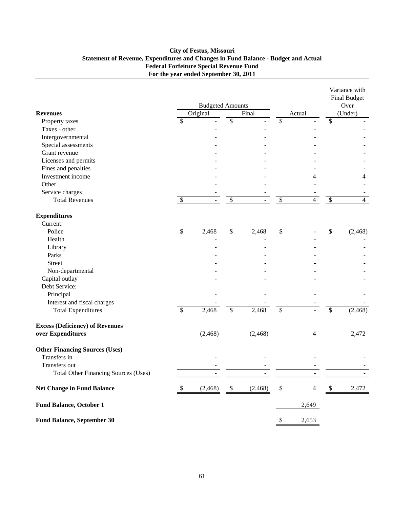## **City of Festus, Missouri Statement of Revenue, Expenditures and Changes in Fund Balance - Budget and Actual Federal Forfeiture Special Revenue Fund For the year ended September 30, 2011**

|                                             |                                     |          |              |          |                 | Variance with<br><b>Final Budget</b> |                           |                 |  |
|---------------------------------------------|-------------------------------------|----------|--------------|----------|-----------------|--------------------------------------|---------------------------|-----------------|--|
| <b>Revenues</b>                             | <b>Budgeted Amounts</b><br>Original |          |              | Final    | Actual          |                                      |                           | Over<br>(Under) |  |
| Property taxes                              | $\overline{\mathcal{S}}$            |          | \$           |          | \$              |                                      | \$                        |                 |  |
| Taxes - other                               |                                     |          |              |          |                 |                                      |                           |                 |  |
| Intergovernmental                           |                                     |          |              |          |                 |                                      |                           |                 |  |
| Special assessments                         |                                     |          |              |          |                 |                                      |                           |                 |  |
| Grant revenue                               |                                     |          |              |          |                 |                                      |                           |                 |  |
| Licenses and permits                        |                                     |          |              |          |                 |                                      |                           |                 |  |
| Fines and penalties                         |                                     |          |              |          |                 |                                      |                           |                 |  |
| Investment income                           |                                     |          |              |          |                 | 4                                    |                           | 4               |  |
| Other                                       |                                     |          |              |          |                 |                                      |                           |                 |  |
| Service charges                             |                                     |          |              |          |                 |                                      |                           |                 |  |
| <b>Total Revenues</b>                       | $\boldsymbol{\mathsf{S}}$           |          | \$           |          | $\$\,$          | 4                                    | $\boldsymbol{\mathsf{S}}$ | $\overline{4}$  |  |
|                                             |                                     |          |              |          |                 |                                      |                           |                 |  |
| <b>Expenditures</b>                         |                                     |          |              |          |                 |                                      |                           |                 |  |
| Current:                                    |                                     |          |              |          |                 |                                      |                           |                 |  |
| Police                                      | \$                                  | 2,468    | \$           | 2,468    | \$              |                                      | \$                        | (2, 468)        |  |
| Health                                      |                                     |          |              |          |                 |                                      |                           |                 |  |
| Library                                     |                                     |          |              |          |                 |                                      |                           |                 |  |
| Parks                                       |                                     |          |              |          |                 |                                      |                           |                 |  |
| <b>Street</b>                               |                                     |          |              |          |                 |                                      |                           |                 |  |
| Non-departmental                            |                                     |          |              |          |                 |                                      |                           |                 |  |
| Capital outlay                              |                                     |          |              |          |                 |                                      |                           |                 |  |
| Debt Service:                               |                                     |          |              |          |                 |                                      |                           |                 |  |
| Principal                                   |                                     |          |              |          |                 |                                      |                           |                 |  |
| Interest and fiscal charges                 |                                     |          |              |          |                 |                                      |                           |                 |  |
| <b>Total Expenditures</b>                   | \$                                  | 2,468    | $\mathbb{S}$ | 2,468    | $\overline{\$}$ |                                      | $\$$                      | (2, 468)        |  |
|                                             |                                     |          |              |          |                 |                                      |                           |                 |  |
| <b>Excess (Deficiency) of Revenues</b>      |                                     |          |              |          |                 |                                      |                           |                 |  |
| over Expenditures                           |                                     | (2, 468) |              | (2, 468) |                 | 4                                    |                           | 2,472           |  |
|                                             |                                     |          |              |          |                 |                                      |                           |                 |  |
| <b>Other Financing Sources (Uses)</b>       |                                     |          |              |          |                 |                                      |                           |                 |  |
| Transfers in                                |                                     |          |              |          |                 |                                      |                           |                 |  |
| Transfers out                               |                                     |          |              |          |                 |                                      |                           |                 |  |
| <b>Total Other Financing Sources (Uses)</b> |                                     |          |              |          |                 |                                      |                           |                 |  |
| <b>Net Change in Fund Balance</b>           | $\boldsymbol{\mathsf{S}}$           | (2, 468) | \$           | (2, 468) | \$              | $\overline{4}$                       | \$                        | 2,472           |  |
| <b>Fund Balance, October 1</b>              |                                     |          |              |          |                 | 2,649                                |                           |                 |  |
| <b>Fund Balance, September 30</b>           |                                     |          |              |          | \$              | 2,653                                |                           |                 |  |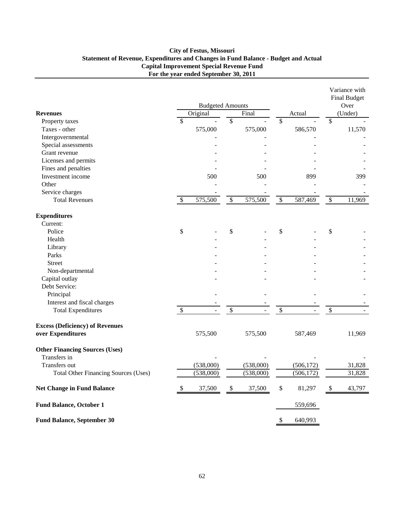## **City of Festus, Missouri Statement of Revenue, Expenditures and Changes in Fund Balance - Budget and Actual Capital Improvement Special Revenue Fund For the year ended September 30, 2011**

|                                             |                                 |                         |                 |           |                           |            |                           | Variance with<br><b>Final Budget</b> |  |
|---------------------------------------------|---------------------------------|-------------------------|-----------------|-----------|---------------------------|------------|---------------------------|--------------------------------------|--|
|                                             |                                 | <b>Budgeted Amounts</b> |                 |           |                           |            | Over                      |                                      |  |
| <b>Revenues</b>                             | $\overline{O}$ riginal<br>Final |                         |                 |           | Actual                    |            |                           | (Under)                              |  |
| Property taxes                              | $\overline{\mathcal{S}}$        |                         | $\overline{\$}$ |           | \$                        |            | \$                        |                                      |  |
| Taxes - other                               |                                 | 575,000                 |                 | 575,000   |                           | 586,570    |                           | 11,570                               |  |
| Intergovernmental                           |                                 |                         |                 |           |                           |            |                           |                                      |  |
| Special assessments                         |                                 |                         |                 |           |                           |            |                           |                                      |  |
| Grant revenue                               |                                 |                         |                 |           |                           |            |                           |                                      |  |
| Licenses and permits                        |                                 |                         |                 |           |                           |            |                           |                                      |  |
| Fines and penalties                         |                                 |                         |                 |           |                           |            |                           |                                      |  |
| Investment income                           |                                 | 500                     |                 | 500       |                           | 899        |                           | 399                                  |  |
| Other                                       |                                 |                         |                 |           |                           |            |                           |                                      |  |
| Service charges                             |                                 |                         |                 |           |                           |            |                           |                                      |  |
| <b>Total Revenues</b>                       | $\mathcal{S}$                   | 575,500                 | $\mathbb{S}$    | 575,500   | $\boldsymbol{\mathsf{S}}$ | 587,469    | $\boldsymbol{\mathsf{S}}$ | 11,969                               |  |
| <b>Expenditures</b>                         |                                 |                         |                 |           |                           |            |                           |                                      |  |
| Current:                                    |                                 |                         |                 |           |                           |            |                           |                                      |  |
| Police                                      | \$                              |                         | \$              |           | \$                        |            | \$                        |                                      |  |
| Health                                      |                                 |                         |                 |           |                           |            |                           |                                      |  |
| Library                                     |                                 |                         |                 |           |                           |            |                           |                                      |  |
| Parks                                       |                                 |                         |                 |           |                           |            |                           |                                      |  |
| <b>Street</b>                               |                                 |                         |                 |           |                           |            |                           |                                      |  |
| Non-departmental                            |                                 |                         |                 |           |                           |            |                           |                                      |  |
| Capital outlay                              |                                 |                         |                 |           |                           |            |                           |                                      |  |
| Debt Service:                               |                                 |                         |                 |           |                           |            |                           |                                      |  |
| Principal                                   |                                 |                         |                 |           |                           |            |                           |                                      |  |
| Interest and fiscal charges                 |                                 |                         |                 |           |                           |            |                           |                                      |  |
| <b>Total Expenditures</b>                   | $\boldsymbol{\mathsf{S}}$       | $\blacksquare$          | $\mathbb{S}$    |           | $\mathbb{S}$              |            | $\$\,$                    |                                      |  |
| <b>Excess (Deficiency) of Revenues</b>      |                                 |                         |                 |           |                           |            |                           |                                      |  |
| over Expenditures                           |                                 | 575,500                 |                 | 575,500   |                           | 587,469    |                           | 11,969                               |  |
| <b>Other Financing Sources (Uses)</b>       |                                 |                         |                 |           |                           |            |                           |                                      |  |
| Transfers in                                |                                 |                         |                 |           |                           |            |                           |                                      |  |
| <b>Transfers out</b>                        |                                 | (538,000)               |                 | (538,000) |                           | (506, 172) |                           | 31,828                               |  |
| <b>Total Other Financing Sources (Uses)</b> |                                 | (538,000)               |                 | (538,000) |                           | (506, 172) |                           | 31,828                               |  |
| <b>Net Change in Fund Balance</b>           | \$                              | 37,500                  | \$              | 37,500    | \$                        | 81,297     | P.                        | 43,797                               |  |
| <b>Fund Balance, October 1</b>              |                                 |                         |                 |           |                           | 559,696    |                           |                                      |  |
| <b>Fund Balance, September 30</b>           |                                 |                         |                 |           | $\boldsymbol{\mathsf{S}}$ | 640,993    |                           |                                      |  |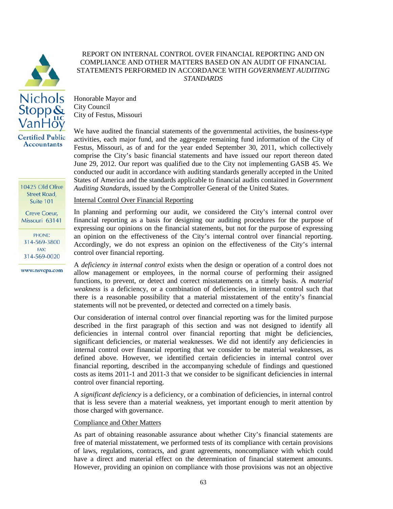

10425 Old Olive Street Road, Suite 101

Creve Coeur, Missouri 63141

PHONE: 314-569-3800 FAX: 314-569-0020

www.nsvcpa.com

## REPORT ON INTERNAL CONTROL OVER FINANCIAL REPORTING AND ON COMPLIANCE AND OTHER MATTERS BASED ON AN AUDIT OF FINANCIAL STATEMENTS PERFORMED IN ACCORDANCE WITH *GOVERNMENT AUDITING STANDARDS*

Honorable Mayor and City Council City of Festus, Missouri

We have audited the financial statements of the governmental activities, the business-type activities, each major fund, and the aggregate remaining fund information of the City of Festus, Missouri, as of and for the year ended September 30, 2011, which collectively comprise the City's basic financial statements and have issued our report thereon dated June 29, 2012. Our report was qualified due to the City not implementing GASB 45. We conducted our audit in accordance with auditing standards generally accepted in the United States of America and the standards applicable to financial audits contained in *Government Auditing Standards*, issued by the Comptroller General of the United States.

Internal Control Over Financial Reporting

In planning and performing our audit, we considered the City's internal control over financial reporting as a basis for designing our auditing procedures for the purpose of expressing our opinions on the financial statements, but not for the purpose of expressing an opinion on the effectiveness of the City's internal control over financial reporting. Accordingly, we do not express an opinion on the effectiveness of the City's internal control over financial reporting.

A *deficiency in internal control* exists when the design or operation of a control does not allow management or employees, in the normal course of performing their assigned functions, to prevent, or detect and correct misstatements on a timely basis. A *material weakness* is a deficiency, or a combination of deficiencies, in internal control such that there is a reasonable possibility that a material misstatement of the entity's financial statements will not be prevented, or detected and corrected on a timely basis.

Our consideration of internal control over financial reporting was for the limited purpose described in the first paragraph of this section and was not designed to identify all deficiencies in internal control over financial reporting that might be deficiencies, significant deficiencies, or material weaknesses. We did not identify any deficiencies in internal control over financial reporting that we consider to be material weaknesses, as defined above. However, we identified certain deficiencies in internal control over financial reporting, described in the accompanying schedule of findings and questioned costs as items 2011-1 and 2011-3 that we consider to be significant deficiencies in internal control over financial reporting.

A *significant deficiency* is a deficiency, or a combination of deficiencies, in internal control that is less severe than a material weakness, yet important enough to merit attention by those charged with governance.

## Compliance and Other Matters

As part of obtaining reasonable assurance about whether City's financial statements are free of material misstatement, we performed tests of its compliance with certain provisions of laws, regulations, contracts, and grant agreements, noncompliance with which could have a direct and material effect on the determination of financial statement amounts. However, providing an opinion on compliance with those provisions was not an objective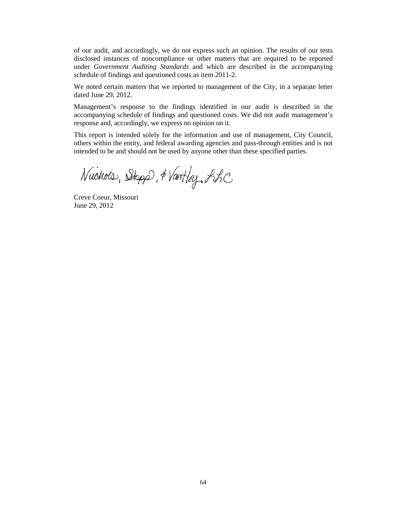of our audit, and accordingly, we do not express such an opinion. The results of our tests disclosed instances of noncompliance or other matters that are required to be reported under *Government Auditing Standards* and which are described in the accompanying schedule of findings and questioned costs as item 2011-2.

We noted certain matters that we reported to management of the City, in a separate letter dated June 29, 2012.

Management's response to the findings identified in our audit is described in the accompanying schedule of findings and questioned costs. We did not audit management's response and, accordingly, we express no opinion on it.

This report is intended solely for the information and use of management, City Council, others within the entity, and federal awarding agencies and pass-through entities and is not intended to be and should not be used by anyone other than these specified parties.

Nuchols, Stopp, & Vantlay, SLC

Creve Coeur, Missouri June 29, 2012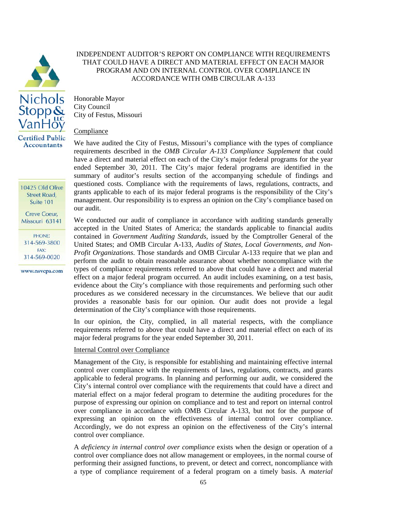

10425 Old Olive Street Road, Suite 101

**Creve Coeur.** Missouri 63141

PHONE: 314-569-3800 FAX: 314-569-0020

www.nsvcpa.com

## INDEPENDENT AUDITOR'S REPORT ON COMPLIANCE WITH REQUIREMENTS THAT COULD HAVE A DIRECT AND MATERIAL EFFECT ON EACH MAJOR PROGRAM AND ON INTERNAL CONTROL OVER COMPLIANCE IN ACCORDANCE WITH OMB CIRCULAR A-133

Honorable Mayor City Council City of Festus, Missouri

## Compliance

We have audited the City of Festus, Missouri's compliance with the types of compliance requirements described in the *OMB Circular A-133 Compliance Supplement* that could have a direct and material effect on each of the City's major federal programs for the year ended September 30, 2011. The City's major federal programs are identified in the summary of auditor's results section of the accompanying schedule of findings and questioned costs. Compliance with the requirements of laws, regulations, contracts, and grants applicable to each of its major federal programs is the responsibility of the City's management. Our responsibility is to express an opinion on the City's compliance based on our audit.

We conducted our audit of compliance in accordance with auditing standards generally accepted in the United States of America; the standards applicable to financial audits contained in *Government Auditing Standards*, issued by the Comptroller General of the United States; and OMB Circular A-133, *Audits of States, Local Governments, and Non-Profit Organizations*. Those standards and OMB Circular A-133 require that we plan and perform the audit to obtain reasonable assurance about whether noncompliance with the types of compliance requirements referred to above that could have a direct and material effect on a major federal program occurred. An audit includes examining, on a test basis, evidence about the City's compliance with those requirements and performing such other procedures as we considered necessary in the circumstances. We believe that our audit provides a reasonable basis for our opinion. Our audit does not provide a legal determination of the City's compliance with those requirements.

In our opinion, the City, complied, in all material respects, with the compliance requirements referred to above that could have a direct and material effect on each of its major federal programs for the year ended September 30, 2011.

## Internal Control over Compliance

Management of the City, is responsible for establishing and maintaining effective internal control over compliance with the requirements of laws, regulations, contracts, and grants applicable to federal programs. In planning and performing our audit, we considered the City's internal control over compliance with the requirements that could have a direct and material effect on a major federal program to determine the auditing procedures for the purpose of expressing our opinion on compliance and to test and report on internal control over compliance in accordance with OMB Circular A-133, but not for the purpose of expressing an opinion on the effectiveness of internal control over compliance. Accordingly, we do not express an opinion on the effectiveness of the City's internal control over compliance.

A *deficiency in internal control over compliance* exists when the design or operation of a control over compliance does not allow management or employees, in the normal course of performing their assigned functions, to prevent, or detect and correct, noncompliance with a type of compliance requirement of a federal program on a timely basis. A *material*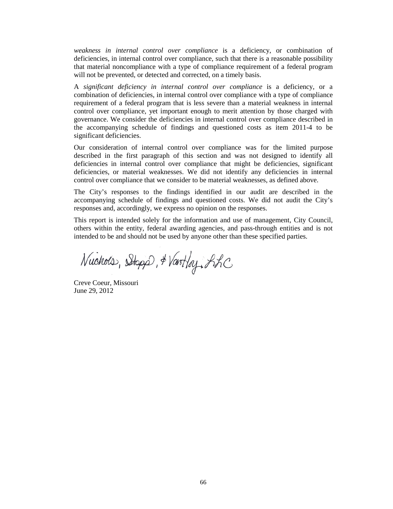*weakness in internal control over compliance* is a deficiency, or combination of deficiencies, in internal control over compliance, such that there is a reasonable possibility that material noncompliance with a type of compliance requirement of a federal program will not be prevented, or detected and corrected, on a timely basis.

A *significant deficiency in internal control over compliance* is a deficiency, or a combination of deficiencies, in internal control over compliance with a type of compliance requirement of a federal program that is less severe than a material weakness in internal control over compliance, yet important enough to merit attention by those charged with governance. We consider the deficiencies in internal control over compliance described in the accompanying schedule of findings and questioned costs as item 2011-4 to be significant deficiencies.

Our consideration of internal control over compliance was for the limited purpose described in the first paragraph of this section and was not designed to identify all deficiencies in internal control over compliance that might be deficiencies, significant deficiencies, or material weaknesses. We did not identify any deficiencies in internal control over compliance that we consider to be material weaknesses, as defined above.

The City's responses to the findings identified in our audit are described in the accompanying schedule of findings and questioned costs. We did not audit the City's responses and, accordingly, we express no opinion on the responses.

This report is intended solely for the information and use of management, City Council, others within the entity, federal awarding agencies, and pass-through entities and is not intended to be and should not be used by anyone other than these specified parties.

Nuchols, Stopp, # Vantlay, SLC

Creve Coeur, Missouri June 29, 2012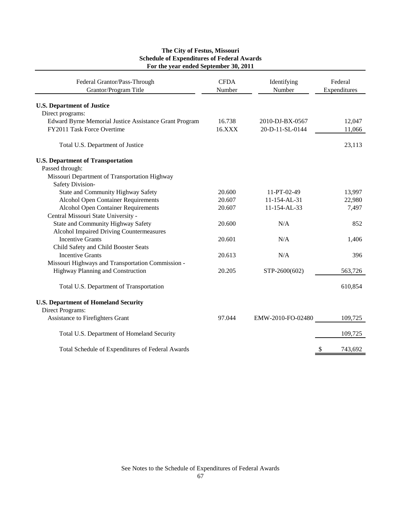| Federal Grantor/Pass-Through<br>Grantor/Program Title  | <b>CFDA</b><br>Number | Identifying<br>Number | Federal<br>Expenditures |
|--------------------------------------------------------|-----------------------|-----------------------|-------------------------|
| <b>U.S. Department of Justice</b>                      |                       |                       |                         |
| Direct programs:                                       |                       |                       |                         |
| Edward Byrne Memorial Justice Assistance Grant Program | 16.738                | 2010-DJ-BX-0567       | 12,047                  |
| FY2011 Task Force Overtime                             | 16.XXX                | 20-D-11-SL-0144       | 11,066                  |
| Total U.S. Department of Justice                       |                       |                       | 23,113                  |
| <b>U.S. Department of Transportation</b>               |                       |                       |                         |
| Passed through:                                        |                       |                       |                         |
| Missouri Department of Transportation Highway          |                       |                       |                         |
| Safety Division-                                       |                       |                       |                         |
| State and Community Highway Safety                     | 20.600                | 11-PT-02-49           | 13,997                  |
| <b>Alcohol Open Container Requirements</b>             | 20.607                | 11-154-AL-31          | 22,980                  |
| <b>Alcohol Open Container Requirements</b>             | 20.607                | 11-154-AL-33          | 7,497                   |
| Central Missouri State University -                    |                       |                       |                         |
| State and Community Highway Safety                     | 20.600                | N/A                   | 852                     |
| Alcohol Impaired Driving Countermeasures               |                       |                       |                         |
| <b>Incentive Grants</b>                                | 20.601                | N/A                   | 1,406                   |
| Child Safety and Child Booster Seats                   |                       |                       |                         |
| <b>Incentive Grants</b>                                | 20.613                | N/A                   | 396                     |
| Missouri Highways and Transportation Commission -      |                       |                       |                         |
| Highway Planning and Construction                      | 20.205                | STP-2600(602)         | 563,726                 |
| Total U.S. Department of Transportation                |                       |                       | 610,854                 |
| <b>U.S. Department of Homeland Security</b>            |                       |                       |                         |
| Direct Programs:                                       |                       |                       |                         |
| Assistance to Firefighters Grant                       | 97.044                | EMW-2010-FO-02480     | 109,725                 |
| Total U.S. Department of Homeland Security             |                       |                       | 109,725                 |
| Total Schedule of Expenditures of Federal Awards       |                       |                       | \$<br>743,692           |

# **The City of Festus, Missouri Schedule of Expenditures of Federal Awards For the year ended September 30, 2011**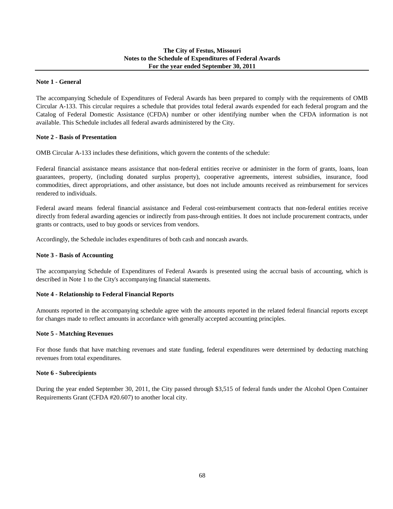### **Note 1 - General**

The accompanying Schedule of Expenditures of Federal Awards has been prepared to comply with the requirements of OMB Circular A-133. This circular requires a schedule that provides total federal awards expended for each federal program and the Catalog of Federal Domestic Assistance (CFDA) number or other identifying number when the CFDA information is not available. This Schedule includes all federal awards administered by the City.

### **Note 2 - Basis of Presentation**

OMB Circular A-133 includes these definitions, which govern the contents of the schedule:

Federal financial assistance means assistance that non-federal entities receive or administer in the form of grants, loans, loan guarantees, property, (including donated surplus property), cooperative agreements, interest subsidies, insurance, food commodities, direct appropriations, and other assistance, but does not include amounts received as reimbursement for services rendered to individuals.

Federal award means federal financial assistance and Federal cost-reimbursement contracts that non-federal entities receive directly from federal awarding agencies or indirectly from pass-through entities. It does not include procurement contracts, under grants or contracts, used to buy goods or services from vendors.

Accordingly, the Schedule includes expenditures of both cash and noncash awards.

### **Note 3 - Basis of Accounting**

The accompanying Schedule of Expenditures of Federal Awards is presented using the accrual basis of accounting, which is described in Note 1 to the City's accompanying financial statements.

### **Note 4 - Relationship to Federal Financial Reports**

Amounts reported in the accompanying schedule agree with the amounts reported in the related federal financial reports except for changes made to reflect amounts in accordance with generally accepted accounting principles.

### **Note 5 - Matching Revenues**

For those funds that have matching revenues and state funding, federal expenditures were determined by deducting matching revenues from total expenditures.

### **Note 6 - Subrecipients**

During the year ended September 30, 2011, the City passed through \$3,515 of federal funds under the Alcohol Open Container Requirements Grant (CFDA #20.607) to another local city.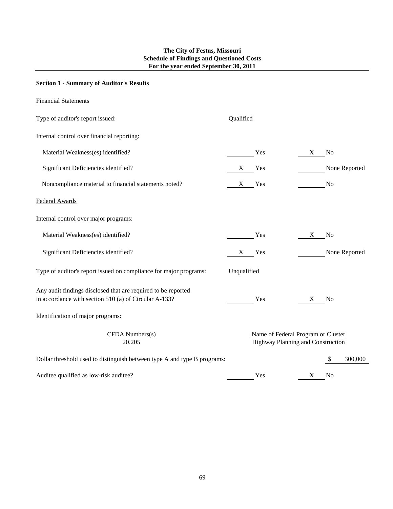## **The City of Festus, Missouri Schedule of Findings and Questioned Costs For the year ended September 30, 2011**

# **Section 1 - Summary of Auditor's Results**

| <b>Financial Statements</b>                                                                                            |             |                                                                         |     |   |                |               |
|------------------------------------------------------------------------------------------------------------------------|-------------|-------------------------------------------------------------------------|-----|---|----------------|---------------|
| Type of auditor's report issued:                                                                                       | Qualified   |                                                                         |     |   |                |               |
| Internal control over financial reporting:                                                                             |             |                                                                         |     |   |                |               |
| Material Weakness(es) identified?                                                                                      |             |                                                                         | Yes | X | N <sub>0</sub> |               |
| Significant Deficiencies identified?                                                                                   | X           |                                                                         | Yes |   |                | None Reported |
| Noncompliance material to financial statements noted?                                                                  | X           |                                                                         | Yes |   | N <sub>0</sub> |               |
| Federal Awards                                                                                                         |             |                                                                         |     |   |                |               |
| Internal control over major programs:                                                                                  |             |                                                                         |     |   |                |               |
| Material Weakness(es) identified?                                                                                      |             |                                                                         | Yes | X | <b>No</b>      |               |
| Significant Deficiencies identified?                                                                                   | X           |                                                                         | Yes |   |                | None Reported |
| Type of auditor's report issued on compliance for major programs:                                                      | Unqualified |                                                                         |     |   |                |               |
| Any audit findings disclosed that are required to be reported<br>in accordance with section 510 (a) of Circular A-133? |             |                                                                         | Yes | X | No             |               |
| Identification of major programs:                                                                                      |             |                                                                         |     |   |                |               |
| <b>CFDA</b> Numbers(s)<br>20.205                                                                                       |             | Name of Federal Program or Cluster<br>Highway Planning and Construction |     |   |                |               |
| Dollar threshold used to distinguish between type A and type B programs:                                               |             |                                                                         |     |   | \$             | 300,000       |
| Auditee qualified as low-risk auditee?                                                                                 |             |                                                                         | Yes | X | No             |               |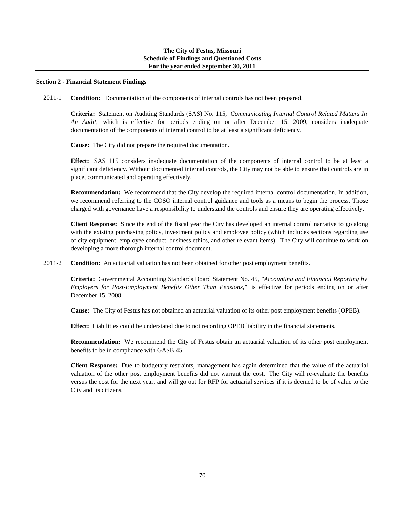#### **Section 2 - Financial Statement Findings**

2011-1 **Condition:** Documentation of the components of internal controls has not been prepared.

**Criteria:** Statement on Auditing Standards (SAS) No. 115, *Communicating Internal Control Related Matters In An Audit,* which is effective for periods ending on or after December 15, 2009, considers inadequate documentation of the components of internal control to be at least a significant deficiency.

**Cause:** The City did not prepare the required documentation.

**Effect:** SAS 115 considers inadequate documentation of the components of internal control to be at least a significant deficiency. Without documented internal controls, the City may not be able to ensure that controls are in place, communicated and operating effectively.

**Recommendation:** We recommend that the City develop the required internal control documentation. In addition, we recommend referring to the COSO internal control guidance and tools as a means to begin the process. Those charged with governance have a responsibility to understand the controls and ensure they are operating effectively.

**Client Response:** Since the end of the fiscal year the City has developed an internal control narrative to go along with the existing purchasing policy, investment policy and employee policy (which includes sections regarding use of city equipment, employee conduct, business ethics, and other relevant items). The City will continue to work on developing a more thorough internal control document.

2011-2 **Condition:** An actuarial valuation has not been obtained for other post employment benefits.

**Criteria:** Governmental Accounting Standards Board Statement No. 45, *"Accounting and Financial Reporting by Employers for Post-Employment Benefits Other Than Pensions,"* is effective for periods ending on or after December 15, 2008.

**Cause:** The City of Festus has not obtained an actuarial valuation of its other post employment benefits (OPEB).

**Effect:** Liabilities could be understated due to not recording OPEB liability in the financial statements.

**Recommendation:** We recommend the City of Festus obtain an actuarial valuation of its other post employment benefits to be in compliance with GASB 45.

**Client Response:** Due to budgetary restraints, management has again determined that the value of the actuarial valuation of the other post employment benefits did not warrant the cost. The City will re-evaluate the benefits versus the cost for the next year, and will go out for RFP for actuarial services if it is deemed to be of value to the City and its citizens.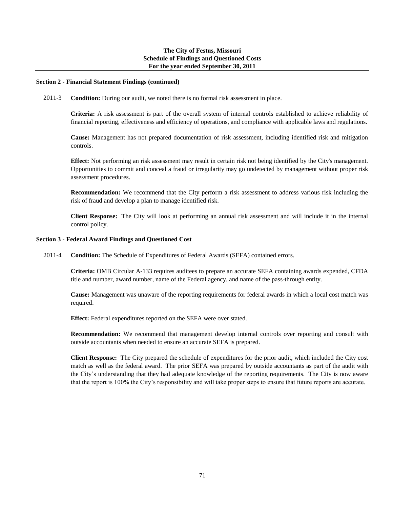#### **Section 2 - Financial Statement Findings (continued)**

2011-3 **Condition:** During our audit, we noted there is no formal risk assessment in place.

> **Criteria:** A risk assessment is part of the overall system of internal controls established to achieve reliability of financial reporting, effectiveness and efficiency of operations, and compliance with applicable laws and regulations.

> **Cause:** Management has not prepared documentation of risk assessment, including identified risk and mitigation controls.

> **Effect:** Not performing an risk assessment may result in certain risk not being identified by the City's management. Opportunities to commit and conceal a fraud or irregularity may go undetected by management without proper risk assessment procedures.

> **Recommendation:** We recommend that the City perform a risk assessment to address various risk including the risk of fraud and develop a plan to manage identified risk.

> **Client Response:** The City will look at performing an annual risk assessment and will include it in the internal control policy.

#### **Section 3 - Federal Award Findings and Questioned Cost**

2011-4 **Condition:** The Schedule of Expenditures of Federal Awards (SEFA) contained errors.

> **Criteria:** OMB Circular A-133 requires auditees to prepare an accurate SEFA containing awards expended, CFDA title and number, award number, name of the Federal agency, and name of the pass-through entity.

> **Cause:** Management was unaware of the reporting requirements for federal awards in which a local cost match was required.

**Effect:** Federal expenditures reported on the SEFA were over stated.

**Recommendation:** We recommend that management develop internal controls over reporting and consult with outside accountants when needed to ensure an accurate SEFA is prepared.

**Client Response:** The City prepared the schedule of expenditures for the prior audit, which included the City cost match as well as the federal award. The prior SEFA was prepared by outside accountants as part of the audit with the City's understanding that they had adequate knowledge of the reporting requirements. The City is now aware that the report is 100% the City's responsibility and will take proper steps to ensure that future reports are accurate.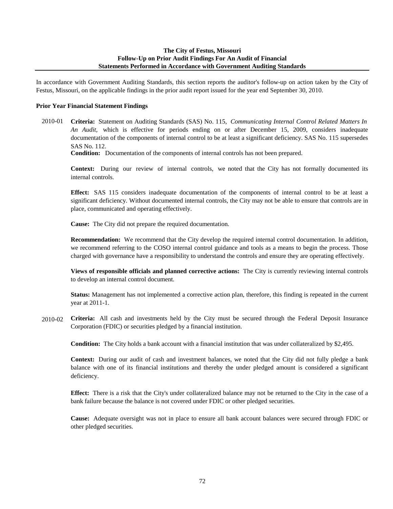## **The City of Festus, Missouri Follow-Up on Prior Audit Findings For An Audit of Financial Statements Performed in Accordance with Government Auditing Standards**

In accordance with Government Auditing Standards, this section reports the auditor's follow-up on action taken by the City of Festus, Missouri, on the applicable findings in the prior audit report issued for the year end September 30, 2010.

## **Prior Year Financial Statement Findings**

2010-01 **Criteria:** Statement on Auditing Standards (SAS) No. 115, *Communicating Internal Control Related Matters In An Audit,* which is effective for periods ending on or after December 15, 2009, considers inadequate documentation of the components of internal control to be at least a significant deficiency. SAS No. 115 supersedes SAS No. 112.

**Condition:** Documentation of the components of internal controls has not been prepared.

**Context:** During our review of internal controls, we noted that the City has not formally documented its internal controls.

**Effect:** SAS 115 considers inadequate documentation of the components of internal control to be at least a significant deficiency. Without documented internal controls, the City may not be able to ensure that controls are in place, communicated and operating effectively.

**Cause:** The City did not prepare the required documentation.

**Recommendation:** We recommend that the City develop the required internal control documentation. In addition, we recommend referring to the COSO internal control guidance and tools as a means to begin the process. Those charged with governance have a responsibility to understand the controls and ensure they are operating effectively.

**Views of responsible officials and planned corrective actions:** The City is currently reviewing internal controls to develop an internal control document.

**Status:** Management has not implemented a corrective action plan, therefore, this finding is repeated in the current year at 2011-1.

2010-02 **Criteria:** All cash and investments held by the City must be secured through the Federal Deposit Insurance Corporation (FDIC) or securities pledged by a financial institution.

**Condition:** The City holds a bank account with a financial institution that was under collateralized by \$2,495.

**Context:** During our audit of cash and investment balances, we noted that the City did not fully pledge a bank balance with one of its financial institutions and thereby the under pledged amount is considered a significant deficiency.

**Effect:** There is a risk that the City's under collateralized balance may not be returned to the City in the case of a bank failure because the balance is not covered under FDIC or other pledged securities.

**Cause:** Adequate oversight was not in place to ensure all bank account balances were secured through FDIC or other pledged securities.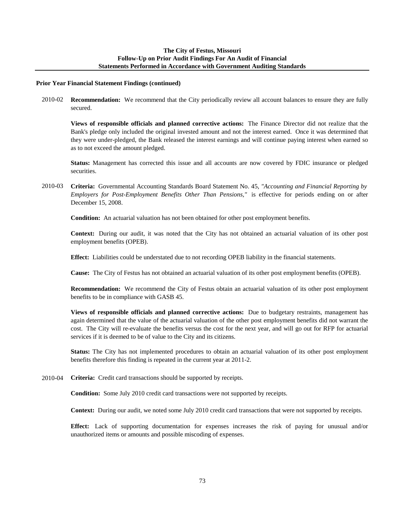## **Prior Year Financial Statement Findings (continued)**

2010-02 **Recommendation:** We recommend that the City periodically review all account balances to ensure they are fully secured.

**Views of responsible officials and planned corrective actions:** The Finance Director did not realize that the Bank's pledge only included the original invested amount and not the interest earned. Once it was determined that they were under-pledged, the Bank released the interest earnings and will continue paying interest when earned so as to not exceed the amount pledged.

**Status:** Management has corrected this issue and all accounts are now covered by FDIC insurance or pledged securities.

2010-03 **Criteria:** Governmental Accounting Standards Board Statement No. 45, *"Accounting and Financial Reporting by Employers for Post-Employment Benefits Other Than Pensions,"* is effective for periods ending on or after December 15, 2008.

**Condition:** An actuarial valuation has not been obtained for other post employment benefits.

**Context:** During our audit, it was noted that the City has not obtained an actuarial valuation of its other post employment benefits (OPEB).

**Effect:** Liabilities could be understated due to not recording OPEB liability in the financial statements.

**Cause:** The City of Festus has not obtained an actuarial valuation of its other post employment benefits (OPEB).

**Recommendation:** We recommend the City of Festus obtain an actuarial valuation of its other post employment benefits to be in compliance with GASB 45.

**Views of responsible officials and planned corrective actions:** Due to budgetary restraints, management has again determined that the value of the actuarial valuation of the other post employment benefits did not warrant the cost. The City will re-evaluate the benefits versus the cost for the next year, and will go out for RFP for actuarial services if it is deemed to be of value to the City and its citizens.

**Status:** The City has not implemented procedures to obtain an actuarial valuation of its other post employment benefits therefore this finding is repeated in the current year at 2011-2.

2010-04 **Criteria:** Credit card transactions should be supported by receipts.

**Condition:** Some July 2010 credit card transactions were not supported by receipts.

**Context:** During our audit, we noted some July 2010 credit card transactions that were not supported by receipts.

**Effect:** Lack of supporting documentation for expenses increases the risk of paying for unusual and/or unauthorized items or amounts and possible miscoding of expenses.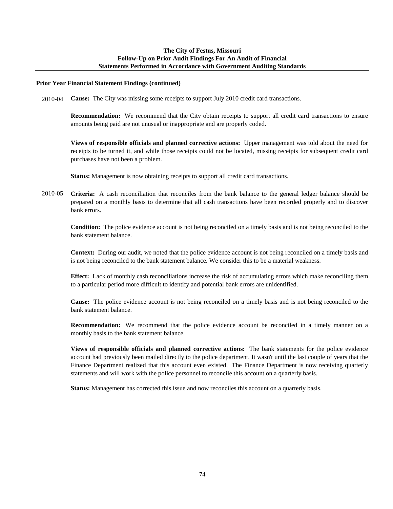#### **Prior Year Financial Statement Findings (continued)**

2010-04 **Cause:** The City was missing some receipts to support July 2010 credit card transactions.

**Recommendation:** We recommend that the City obtain receipts to support all credit card transactions to ensure amounts being paid are not unusual or inappropriate and are properly coded.

**Views of responsible officials and planned corrective actions:** Upper management was told about the need for receipts to be turned it, and while those receipts could not be located, missing receipts for subsequent credit card purchases have not been a problem.

**Status:** Management is now obtaining receipts to support all credit card transactions.

2010-05 **Criteria:** A cash reconciliation that reconciles from the bank balance to the general ledger balance should be prepared on a monthly basis to determine that all cash transactions have been recorded properly and to discover bank errors.

**Condition:** The police evidence account is not being reconciled on a timely basis and is not being reconciled to the bank statement balance.

**Context:** During our audit, we noted that the police evidence account is not being reconciled on a timely basis and is not being reconciled to the bank statement balance. We consider this to be a material weakness.

**Effect:** Lack of monthly cash reconciliations increase the risk of accumulating errors which make reconciling them to a particular period more difficult to identify and potential bank errors are unidentified.

**Cause:** The police evidence account is not being reconciled on a timely basis and is not being reconciled to the bank statement balance.

**Recommendation:** We recommend that the police evidence account be reconciled in a timely manner on a monthly basis to the bank statement balance.

**Views of responsible officials and planned corrective actions:** The bank statements for the police evidence account had previously been mailed directly to the police department. It wasn't until the last couple of years that the Finance Department realized that this account even existed. The Finance Department is now receiving quarterly statements and will work with the police personnel to reconcile this account on a quarterly basis.

**Status:** Management has corrected this issue and now reconciles this account on a quarterly basis.